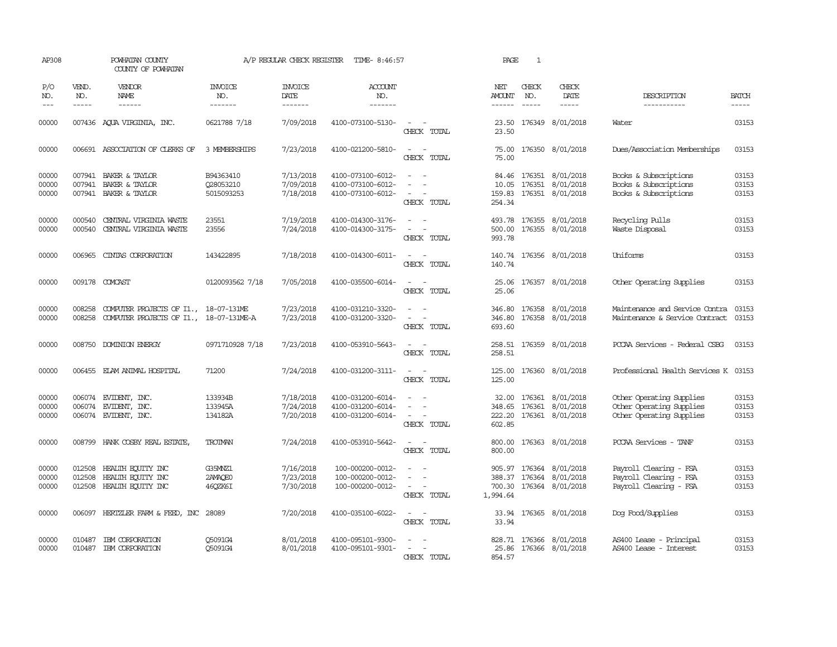| AP308                   |                               | POWHATAN COUNTY<br>COUNTY OF POWHATAN                                                   |                                      | A/P REGULAR CHECK REGISTER                | TIME- 8:46:57                                               |                                                                                                                                                 | PAGE                                  | $\mathbf{1}$                  |                                                                                 |                                                                                  |                         |
|-------------------------|-------------------------------|-----------------------------------------------------------------------------------------|--------------------------------------|-------------------------------------------|-------------------------------------------------------------|-------------------------------------------------------------------------------------------------------------------------------------------------|---------------------------------------|-------------------------------|---------------------------------------------------------------------------------|----------------------------------------------------------------------------------|-------------------------|
| P/O<br>NO.<br>$---$     | VEND.<br>NO.<br>$\frac{1}{2}$ | <b>VENDOR</b><br>NAME                                                                   | <b>INVOICE</b><br>NO.<br>--------    | <b>INVOICE</b><br>DATE<br>$- - - - - - -$ | ACCOUNT<br>NO.<br>$- - - - - - -$                           |                                                                                                                                                 | NET<br><b>AMOUNT</b><br>$- - - - - -$ | CHECK<br>NO.<br>$\frac{1}{2}$ | CHECK<br>DATE<br>$\begin{tabular}{ccccc} - & - & - & - \\ \hline \end{tabular}$ | DESCRIPTION<br>------------                                                      | <b>BATCH</b>            |
| 00000                   |                               | 007436 AQUA VIRGINIA, INC.                                                              | 0621788 7/18                         | 7/09/2018                                 | 4100-073100-5130-                                           | CHECK TOTAL                                                                                                                                     | 23.50                                 |                               | 23.50 176349 8/01/2018                                                          | Water                                                                            | 03153                   |
| 00000                   |                               | 006691 ASSOCIATION OF CLERKS OF                                                         | 3 MEMBERSHIPS                        | 7/23/2018                                 | 4100-021200-5810-                                           | CHECK TOTAL                                                                                                                                     | 75.00                                 |                               | 75.00 176350 8/01/2018                                                          | Dues/Association Memberships                                                     | 03153                   |
| 00000<br>00000<br>00000 | 007941                        | 007941 BAKER & TAYLOR<br>BAKER & TAYLOR<br>007941 BAKER & TAYLOR                        | B94363410<br>028053210<br>5015093253 | 7/13/2018<br>7/09/2018<br>7/18/2018       | 4100-073100-6012-<br>4100-073100-6012-<br>4100-073100-6012- | $\sim$<br>CHECK TOTAL                                                                                                                           | 254.34                                |                               | 84.46 176351 8/01/2018<br>10.05 176351 8/01/2018<br>159.83 176351 8/01/2018     | Books & Subscriptions<br>Books & Subscriptions<br>Books & Subscriptions          | 03153<br>03153<br>03153 |
| 00000<br>00000          | 000540<br>000540              | CENTRAL VIRGINIA WASTE<br>CENTRAL VIRGINIA WASTE                                        | 23551<br>23556                       | 7/19/2018<br>7/24/2018                    | 4100-014300-3176-<br>4100-014300-3175-                      | $\sim$<br>$\sim$<br>CHECK TOTAL                                                                                                                 | 500.00<br>993.78                      |                               | 493.78 176355 8/01/2018<br>176355 8/01/2018                                     | Recycling Pulls<br>Waste Disposal                                                | 03153<br>03153          |
| 00000                   | 006965                        | CINIAS CORPORATION                                                                      | 143422895                            | 7/18/2018                                 | 4100-014300-6011-                                           | $\overline{\phantom{a}}$<br>$\sim$<br>CHECK TOTAL                                                                                               | 140.74<br>140.74                      |                               | 176356 8/01/2018                                                                | Uniforms                                                                         | 03153                   |
| 00000                   |                               | 009178 COMCAST                                                                          | 0120093562 7/18                      | 7/05/2018                                 | 4100-035500-6014-                                           | $\overline{\phantom{a}}$<br>$\sim$<br>CHECK TOTAL                                                                                               | 25.06                                 |                               | 25.06 176357 8/01/2018                                                          | Other Operating Supplies                                                         | 03153                   |
| 00000<br>00000          | 008258                        | COMPUTER PROJECTS OF I1., 18-07-131ME<br>008258 COMPUTER PROJECTS OF I1., 18-07-131ME-A |                                      | 7/23/2018<br>7/23/2018                    | 4100-031210-3320-<br>4100-031200-3320-                      | $\frac{1}{2} \left( \frac{1}{2} \right) \left( \frac{1}{2} \right) = \frac{1}{2} \left( \frac{1}{2} \right)$<br>$\sim$<br>$\sim$<br>CHECK TOTAL | 693.60                                |                               | 346.80 176358 8/01/2018<br>346.80 176358 8/01/2018                              | Maintenance and Service Contra 03153<br>Maintenance & Service Contract           | 03153                   |
| 00000                   |                               | 008750 DOMINION ENERGY                                                                  | 0971710928 7/18                      | 7/23/2018                                 | 4100-053910-5643-                                           | CHECK TOTAL                                                                                                                                     | 258.51                                |                               | 258.51 176359 8/01/2018                                                         | PCCAA Services - Federal CSBG                                                    | 03153                   |
| 00000                   |                               | 006455 ELAM ANIMAL HOSPITAL                                                             | 71200                                | 7/24/2018                                 | 4100-031200-3111-                                           | $\overline{\phantom{a}}$<br>$\sim$<br>CHECK TOTAL                                                                                               | 125.00<br>125.00                      |                               | 176360 8/01/2018                                                                | Professional Health Services K 03153                                             |                         |
| 00000<br>00000<br>00000 |                               | 006074 EVIDENT, INC.<br>006074 EVIDENT, INC.<br>006074 EVIDENT, INC.                    | 133934B<br>133945A<br>134182A        | 7/18/2018<br>7/24/2018<br>7/20/2018       | 4100-031200-6014-<br>4100-031200-6014-<br>4100-031200-6014- | $\sim$<br>$\overline{\phantom{a}}$<br>$\sim$<br>CHECK TOTAL                                                                                     | 32.00<br>602.85                       |                               | 176361 8/01/2018<br>348.65 176361 8/01/2018<br>222.20 176361 8/01/2018          | Other Operating Supplies<br>Other Operating Supplies<br>Other Operating Supplies | 03153<br>03153<br>03153 |
| 00000                   |                               | 008799 HANK COSBY REAL ESTATE                                                           | TROIMAN                              | 7/24/2018                                 | 4100-053910-5642-                                           | $\sim$<br>$\sim$<br>CHECK TOTAL                                                                                                                 | 800.00<br>800.00                      |                               | 176363 8/01/2018                                                                | PCCAA Services - TANF                                                            | 03153                   |
| 00000<br>00000<br>00000 | 012508<br>012508              | HEALTH ECUTTY INC<br>012508 HEALTH EQUITY INC<br>HEALTH EQUITY INC                      | G35MNZ1<br>2AMAQE0<br>46QZK6I        | 7/16/2018<br>7/23/2018<br>7/30/2018       | 100-000200-0012-<br>100-000200-0012-<br>100-000200-0012-    | $\overline{\phantom{a}}$<br>$\sim$<br>$\sim$<br>CHECK TOTAL                                                                                     | 1,994.64                              |                               | 905.97 176364 8/01/2018<br>388.37 176364 8/01/2018<br>700.30 176364 8/01/2018   | Payroll Clearing - FSA<br>Payroll Clearing - FSA<br>Payroll Clearing - FSA       | 03153<br>03153<br>03153 |
| 00000                   | 006097                        | HERIZLER FARM & FEED, INC                                                               | 28089                                | 7/20/2018                                 | 4100-035100-6022-                                           | CHECK TOTAL                                                                                                                                     | 33.94<br>33.94                        |                               | 176365 8/01/2018                                                                | Dog Food/Supplies                                                                | 03153                   |
| 00000<br>00000          | 010487                        | IBM CORPORATION<br>010487 IBM CORPORATION                                               | Q5091G4<br>O5091G4                   | 8/01/2018<br>8/01/2018                    | 4100-095101-9300-<br>4100-095101-9301-                      | CHECK<br>TOTAL                                                                                                                                  | 854.57                                |                               | 828.71 176366 8/01/2018<br>25.86 176366 8/01/2018                               | AS400 Lease - Principal<br>AS400 Lease - Interest                                | 03153<br>03153          |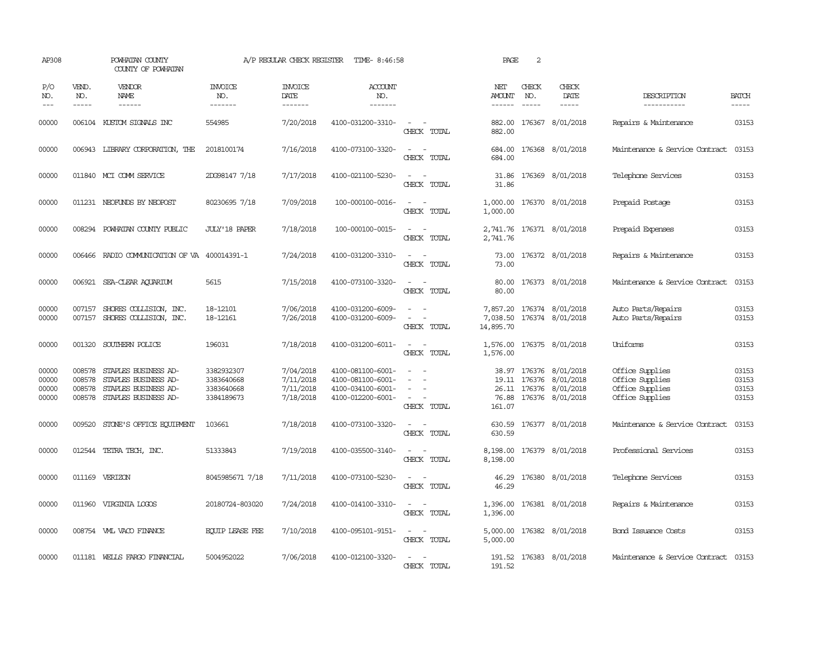| AP308                            |                             | POWHATAN COUNTY<br>COUNTY OF POWHATAN                                                               |                                                      | A/P REGULAR CHECK REGISTER                       | TIME-8:46:58                                                                     |                                                   | PAGE                              | 2                             |                                                                                                      |                                                                          |                                  |
|----------------------------------|-----------------------------|-----------------------------------------------------------------------------------------------------|------------------------------------------------------|--------------------------------------------------|----------------------------------------------------------------------------------|---------------------------------------------------|-----------------------------------|-------------------------------|------------------------------------------------------------------------------------------------------|--------------------------------------------------------------------------|----------------------------------|
| P/O<br>NO.<br>$---$              | VEND.<br>NO.<br>$- - - - -$ | VENDOR<br>NAME<br>$- - - - - -$                                                                     | <b>INVOICE</b><br>NO.<br>-------                     | <b>INVOICE</b><br>DATE<br>-------                | <b>ACCOUNT</b><br>NO.<br>-------                                                 |                                                   | NET<br><b>AMOUNT</b><br>------    | CHECK<br>NO.<br>$\frac{1}{2}$ | CHECK<br>DATE<br>$- - - - -$                                                                         | DESCRIPTION<br>-----------                                               | <b>BATCH</b><br>-----            |
| 00000                            |                             | 006104 KUSTOM SIGNALS INC                                                                           | 554985                                               | 7/20/2018                                        | 4100-031200-3310-                                                                | $\sim$<br>CHECK TOTAL                             | 882.00<br>882.00                  |                               | 176367 8/01/2018                                                                                     | Repairs & Maintenance                                                    | 03153                            |
| 00000                            |                             | 006943 LIBRARY CORPORATION, THE                                                                     | 2018100174                                           | 7/16/2018                                        | 4100-073100-3320-                                                                | $\sim$<br>CHECK TOTAL                             | 684.00<br>684.00                  |                               | 176368 8/01/2018                                                                                     | Maintenance & Service Contract                                           | 03153                            |
| 00000                            |                             | 011840 MCI COMM SERVICE                                                                             | 2DG98147 7/18                                        | 7/17/2018                                        | 4100-021100-5230-                                                                | $\sim$<br>CHECK TOTAL                             | 31.86                             |                               | 31.86 176369 8/01/2018                                                                               | Telephone Services                                                       | 03153                            |
| 00000                            |                             | 011231 NEOFUNDS BY NEOPOST                                                                          | 80230695 7/18                                        | 7/09/2018                                        | 100-000100-0016-                                                                 | $\sim$ $\sim$<br>CHECK TOTAL                      | 1,000.00<br>1,000.00              |                               | 176370 8/01/2018                                                                                     | Prepaid Postage                                                          | 03153                            |
| 00000                            |                             | 008294 POWHATAN COUNTY PUBLIC                                                                       | <b>JULY'18 PAPER</b>                                 | 7/18/2018                                        | 100-000100-0015-                                                                 | $\sim$<br>$\sim$ $-$<br>CHECK TOTAL               | 2,741.76                          |                               | 2,741.76 176371 8/01/2018                                                                            | Prepaid Expenses                                                         | 03153                            |
| 00000                            |                             | 006466 RADIO COMMUNICATION OF VA 400014391-1                                                        |                                                      | 7/24/2018                                        | 4100-031200-3310-                                                                | $\sim$<br>CHECK TOTAL                             | 73.00                             |                               | 73.00 176372 8/01/2018                                                                               | Repairs & Maintenance                                                    | 03153                            |
| 00000                            |                             | 006921 SEA-CLEAR AQUARIUM                                                                           | 5615                                                 | 7/15/2018                                        | 4100-073100-3320-                                                                | $\overline{\phantom{a}}$<br>$\sim$<br>CHECK TOTAL | 80.00<br>80.00                    |                               | 176373 8/01/2018                                                                                     | Maintenance & Service Contract                                           | 03153                            |
| 00000<br>00000                   | 007157<br>007157            | SHORES COLLISION, INC.<br>SHORES COLLISION, INC.                                                    | 18-12101<br>18-12161                                 | 7/06/2018<br>7/26/2018                           | 4100-031200-6009-<br>4100-031200-6009-                                           | CHECK TOTAL                                       | 7,857.20<br>7,038.50<br>14,895.70 |                               | 176374 8/01/2018<br>176374 8/01/2018                                                                 | Auto Parts/Repairs<br>Auto Parts/Repairs                                 | 03153<br>03153                   |
| 00000                            | 001320                      | SOUTHERN POLICE                                                                                     | 196031                                               | 7/18/2018                                        | 4100-031200-6011-                                                                | $\overline{\phantom{a}}$<br>CHECK TOTAL           | 1,576.00<br>1,576.00              |                               | 176375 8/01/2018                                                                                     | Uniforms                                                                 | 03153                            |
| 00000<br>00000<br>00000<br>00000 | 008578<br>008578<br>008578  | STAPLES BUSINESS AD-<br>STAPLES BUSINESS AD-<br>STAPLES BUSINESS AD-<br>008578 STAPLES BUSINESS AD- | 3382932307<br>3383640668<br>3383640668<br>3384189673 | 7/04/2018<br>7/11/2018<br>7/11/2018<br>7/18/2018 | 4100-081100-6001-<br>4100-081100-6001-<br>4100-034100-6001-<br>4100-012200-6001- | $\sim$<br>CHECK TOTAL                             | 161.07                            |                               | 38.97 176376 8/01/2018<br>19.11 176376 8/01/2018<br>26.11 176376 8/01/2018<br>76.88 176376 8/01/2018 | Office Supplies<br>Office Supplies<br>Office Supplies<br>Office Supplies | 03153<br>03153<br>03153<br>03153 |
| 00000                            |                             | 009520 STONE'S OFFICE EQUIPMENT                                                                     | 103661                                               | 7/18/2018                                        | 4100-073100-3320-                                                                | $\sim$<br>CHECK TOTAL                             | 630.59                            |                               | 630.59 176377 8/01/2018                                                                              | Maintenance & Service Contract                                           | 03153                            |
| 00000                            |                             | 012544 TETRA TECH, INC.                                                                             | 51333843                                             | 7/19/2018                                        | 4100-035500-3140-                                                                | $\sim$ $\sim$<br>CHECK TOTAL                      | 8,198.00                          |                               | 8,198.00 176379 8/01/2018                                                                            | Professional Services                                                    | 03153                            |
| 00000                            |                             | 011169 VERIZON                                                                                      | 8045985671 7/18                                      | 7/11/2018                                        | 4100-073100-5230-                                                                | $\sim$<br>$\sim$<br>CHECK TOTAL                   | 46.29<br>46.29                    |                               | 176380 8/01/2018                                                                                     | Telephone Services                                                       | 03153                            |
| 00000                            |                             | 011960 VIRGINIA LOGOS                                                                               | 20180724-803020                                      | 7/24/2018                                        | 4100-014100-3310-                                                                | CHECK TOTAL                                       | 1,396.00                          |                               | 1,396.00 176381 8/01/2018                                                                            | Repairs & Maintenance                                                    | 03153                            |
| 00000                            |                             | 008754 VML VACO FINANCE                                                                             | <b>EQUIP LEASE FEE</b>                               | 7/10/2018                                        | 4100-095101-9151-                                                                | $\sim$<br>CHECK TOTAL                             | 5,000.00<br>5,000.00              |                               | 176382 8/01/2018                                                                                     | Bond Issuance Costs                                                      | 03153                            |
| 00000                            |                             | 011181 WELLS FARGO FINANCIAL                                                                        | 5004952022                                           | 7/06/2018                                        | 4100-012100-3320-                                                                | CHECK TOTAL                                       | 191.52<br>191.52                  |                               | 176383 8/01/2018                                                                                     | Maintenance & Service Contract 03153                                     |                                  |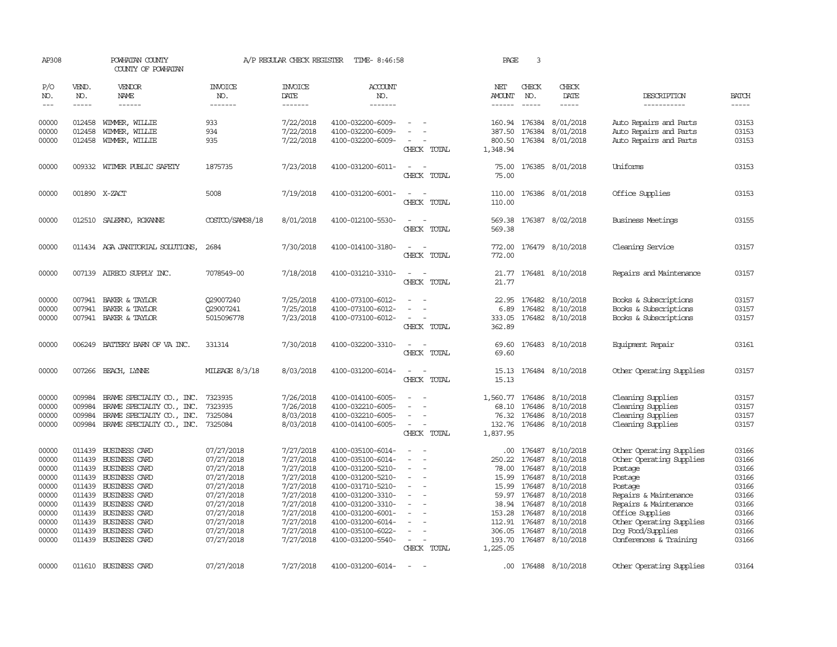| AP308               |                             | POWHATAN COUNTY<br>COUNTY OF POWHATAN        |                                  | A/P REGULAR CHECK REGISTER                       | TIME- 8:46:58                          |                          | PAGE                           | 3                              |                         |                                               |                             |
|---------------------|-----------------------------|----------------------------------------------|----------------------------------|--------------------------------------------------|----------------------------------------|--------------------------|--------------------------------|--------------------------------|-------------------------|-----------------------------------------------|-----------------------------|
| P/O<br>NO.<br>$---$ | VEND.<br>NO.<br>$- - - - -$ | VENDOR<br>NAME<br>------                     | <b>INVOICE</b><br>NO.<br>------- | <b>INVOICE</b><br><b>DATE</b><br>$- - - - - - -$ | <b>ACCOUNT</b><br>NO.<br>-------       |                          | NET<br>AMOUNT<br>$- - - - - -$ | CHECK<br>NO.<br>$- - - - -$    | CHECK<br>DATE<br>-----  | DESCRIPTION<br>-----------                    | <b>BATCH</b><br>$- - - - -$ |
|                     |                             |                                              |                                  |                                                  |                                        |                          |                                |                                |                         |                                               |                             |
| 00000               | 012458                      | WIMMER, WILLIE                               | 933                              | 7/22/2018                                        | 4100-032200-6009-                      |                          |                                | 160.94 176384                  | 8/01/2018               | Auto Repairs and Parts                        | 03153                       |
| 00000               | 012458                      | WIMMER, WILLIE                               | 934                              | 7/22/2018                                        | 4100-032200-6009-                      |                          | 387.50                         | 176384                         | 8/01/2018               | Auto Repairs and Parts                        | 03153                       |
| 00000               | 012458                      | WIMMER, WILLIE                               | 935                              | 7/22/2018                                        | 4100-032200-6009-                      | CHECK TOTAL              | 800.50<br>1,348.94             |                                | 176384 8/01/2018        | Auto Repairs and Parts                        | 03153                       |
|                     |                             |                                              |                                  |                                                  |                                        |                          |                                |                                |                         |                                               |                             |
| 00000               |                             | 009332 WITMER PUBLIC SAFETY                  | 1875735                          | 7/23/2018                                        | 4100-031200-6011-                      | CHECK TOTAL              | 75.00<br>75.00                 |                                | 176385 8/01/2018        | Uniforms                                      | 03153                       |
| 00000               | 001890 X-ZACT               |                                              | 5008                             | 7/19/2018                                        | 4100-031200-6001-                      |                          | 110.00                         |                                | 176386 8/01/2018        | Office Supplies                               | 03153                       |
|                     |                             |                                              |                                  |                                                  |                                        | CHECK TOTAL              | 110.00                         |                                |                         |                                               |                             |
| 00000               |                             | 012510 SALERNO, ROXANNE                      | COSTCO/SAMS8/18                  | 8/01/2018                                        | 4100-012100-5530-                      |                          | 569.38                         |                                | 176387 8/02/2018        | Business Meetings                             | 03155                       |
|                     |                             |                                              |                                  |                                                  |                                        | CHECK TOTAL              | 569.38                         |                                |                         |                                               |                             |
| 00000               |                             | 011434 AGA JANITORIAL SOLUTIONS,             | 2684                             | 7/30/2018                                        | 4100-014100-3180-                      |                          |                                |                                | 772.00 176479 8/10/2018 | Cleaning Service                              | 03157                       |
|                     |                             |                                              |                                  |                                                  |                                        | CHECK TOTAL              | 772.00                         |                                |                         |                                               |                             |
| 00000               |                             | 007139 AIRECO SUPPLY INC.                    | 7078549-00                       | 7/18/2018                                        | 4100-031210-3310-                      | $\sim$<br>$\sim$         |                                |                                | 21.77 176481 8/10/2018  | Repairs and Maintenance                       | 03157                       |
|                     |                             |                                              |                                  |                                                  |                                        | CHECK TOTAL              | 21.77                          |                                |                         |                                               |                             |
| 00000               | 007941                      | BAKER & TAYLOR                               | 029007240                        | 7/25/2018                                        | 4100-073100-6012-                      |                          | 22.95                          | 176482                         | 8/10/2018               | Books & Subscriptions                         | 03157                       |
| 00000               |                             | 007941 BAKER & TAYLOR                        | Q29007241                        | 7/25/2018                                        | 4100-073100-6012-                      |                          | 6.89                           | 176482                         | 8/10/2018               | Books & Subscriptions                         | 03157                       |
| 00000               |                             | 007941 BAKER & TAYLOR                        | 5015096778                       | 7/23/2018                                        | 4100-073100-6012-                      |                          | 333.05                         | 176482                         | 8/10/2018               | Books & Subscriptions                         | 03157                       |
|                     |                             |                                              |                                  |                                                  |                                        | CHECK TOTAL              | 362.89                         |                                |                         |                                               |                             |
| 00000               |                             | 006249 BATTERY BARN OF VA INC.               | 331314                           | 7/30/2018                                        | 4100-032200-3310-                      |                          | 69.60                          |                                | 176483 8/10/2018        | Equipment Repair                              | 03161                       |
|                     |                             |                                              |                                  |                                                  |                                        | CHECK TOTAL              | 69.60                          |                                |                         |                                               |                             |
| 00000               |                             | 007266 BEACH, LYNNE                          | MILEAGE 8/3/18                   | 8/03/2018                                        | 4100-031200-6014-                      | $\overline{\phantom{a}}$ |                                |                                | 15.13 176484 8/10/2018  | Other Operating Supplies                      | 03157                       |
|                     |                             |                                              |                                  |                                                  |                                        | CHECK TOTAL              | 15.13                          |                                |                         |                                               |                             |
| 00000               | 009984                      | BRAME SPECIALITY CO., INC.                   | 7323935                          | 7/26/2018                                        | 4100-014100-6005-                      |                          | 1,560.77 176486                |                                | 8/10/2018               | Cleaning Supplies                             | 03157                       |
| 00000               | 009984                      | BRAME SPECIALITY CO., INC.                   | 7323935                          | 7/26/2018                                        | 4100-032210-6005-                      |                          | 68.10                          | 176486                         | 8/10/2018               | Cleaning Supplies                             | 03157                       |
| 00000               | 009984                      | BRAME SPECIALITY CO., INC.                   | 7325084                          | 8/03/2018                                        | 4100-032210-6005-                      |                          | 76.32                          | 176486                         | 8/10/2018               | Cleaning Supplies                             | 03157                       |
| 00000               |                             | 009984 BRAME SPECIALTY CO., INC.             | 7325084                          | 8/03/2018                                        | 4100-014100-6005-                      | $\overline{\phantom{a}}$ |                                |                                | 132.76 176486 8/10/2018 | Cleaning Supplies                             | 03157                       |
|                     |                             |                                              |                                  |                                                  |                                        | CHECK TOTAL              | 1,837.95                       |                                |                         |                                               |                             |
| 00000               | 011439                      | <b>BUSINESS CARD</b>                         | 07/27/2018                       | 7/27/2018                                        | 4100-035100-6014-                      |                          | .00                            | 176487                         | 8/10/2018               | Other Operating Supplies                      | 03166                       |
| 00000               | 011439                      | BUSINESS CARD                                | 07/27/2018                       | 7/27/2018                                        | 4100-035100-6014-                      |                          | 250.22                         | 176487                         | 8/10/2018               | Other Operating Supplies                      | 03166                       |
| 00000               | 011439                      | BUSINESS CARD                                | 07/27/2018                       | 7/27/2018                                        | 4100-031200-5210-                      |                          | 78.00                          | 176487                         | 8/10/2018               | Postage                                       | 03166                       |
| 00000               |                             | 011439 BUSINESS CARD                         | 07/27/2018                       | 7/27/2018                                        | 4100-031200-5210-                      |                          | 15.99                          | 176487                         | 8/10/2018               | Postage                                       | 03166                       |
| 00000               |                             | 011439 BUSINESS CARD                         | 07/27/2018                       | 7/27/2018                                        | 4100-031710-5210-                      |                          | 15.99                          | 176487                         | 8/10/2018               | Postage                                       | 03166                       |
| 00000               |                             | 011439 BUSINESS CARD                         | 07/27/2018                       | 7/27/2018                                        | 4100-031200-3310-                      |                          | 59.97                          | 176487                         | 8/10/2018               | Repairs & Maintenance                         | 03166                       |
| 00000               |                             | 011439 BUSINESS CARD                         | 07/27/2018                       | 7/27/2018                                        | 4100-031200-3310-                      | $\equiv$                 |                                | 38.94 176487                   | 8/10/2018               | Repairs & Maintenance                         | 03166                       |
| 00000               |                             | 011439 BUSINESS CARD                         | 07/27/2018                       | 7/27/2018                                        | 4100-031200-6001-                      |                          | 153.28                         | 176487                         | 8/10/2018               | Office Supplies                               | 03166                       |
| 00000<br>00000      |                             | 011439 BUSINESS CARD<br>011439 BUSINESS CARD | 07/27/2018<br>07/27/2018         | 7/27/2018<br>7/27/2018                           | 4100-031200-6014-<br>4100-035100-6022- |                          |                                | 112.91 176487<br>306.05 176487 | 8/10/2018<br>8/10/2018  | Other Operating Supplies<br>Dog Food/Supplies | 03166<br>03166              |
| 00000               |                             | 011439 BUSINESS CARD                         | 07/27/2018                       | 7/27/2018                                        | 4100-031200-5540-                      | $\overline{\phantom{a}}$ | 193.70                         | 176487                         | 8/10/2018               | Conferences & Training                        | 03166                       |
|                     |                             |                                              |                                  |                                                  |                                        | CHECK TOTAL              | 1,225.05                       |                                |                         |                                               |                             |
| 00000               |                             | 011610 BUSINESS CARD                         | 07/27/2018                       | 7/27/2018                                        | 4100-031200-6014-                      |                          |                                |                                | .00 176488 8/10/2018    | Other Operating Supplies                      | 03164                       |
|                     |                             |                                              |                                  |                                                  |                                        |                          |                                |                                |                         |                                               |                             |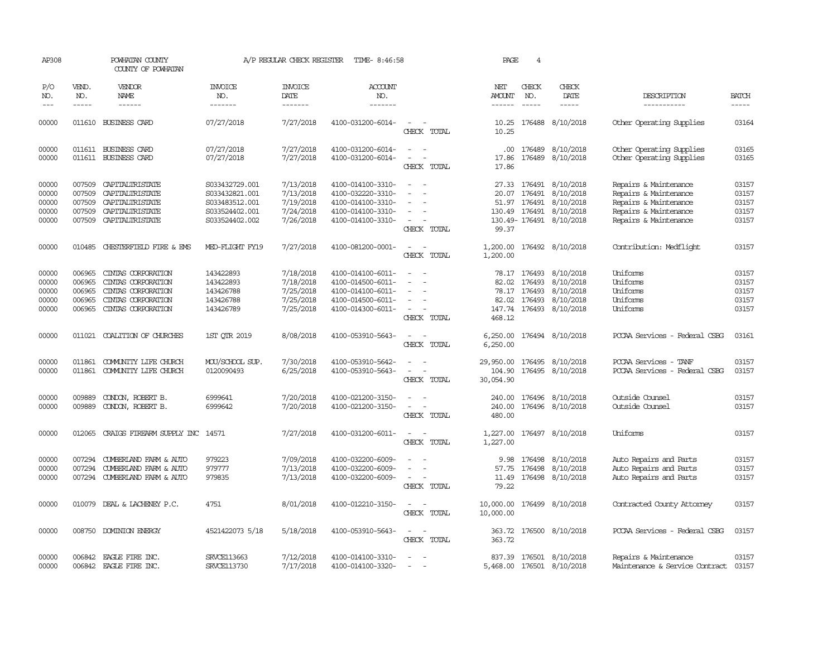| AP308                                     |                                                                                                                                                                                                                                                                                                                                                                                                                                                                         | POWHATAN COUNTY<br>COUNTY OF POWHATAN                                                                      |                                                                                        | A/P REGULAR CHECK REGISTER                                    | TIME- 8:46:58                                                                                         |                                                                                                                                                                     | PAGE                             | 4                                                                |                                                                                                                                  |                                                                                                                           |                                           |
|-------------------------------------------|-------------------------------------------------------------------------------------------------------------------------------------------------------------------------------------------------------------------------------------------------------------------------------------------------------------------------------------------------------------------------------------------------------------------------------------------------------------------------|------------------------------------------------------------------------------------------------------------|----------------------------------------------------------------------------------------|---------------------------------------------------------------|-------------------------------------------------------------------------------------------------------|---------------------------------------------------------------------------------------------------------------------------------------------------------------------|----------------------------------|------------------------------------------------------------------|----------------------------------------------------------------------------------------------------------------------------------|---------------------------------------------------------------------------------------------------------------------------|-------------------------------------------|
| P/O<br>NO.<br>$---$                       | VEND.<br>NO.<br>$\begin{tabular}{ccccc} \multicolumn{2}{c }{\multicolumn{2}{c }{\multicolumn{2}{c }{\multicolumn{2}{c}}{\hspace{-2.2cm}}}} \multicolumn{2}{c }{\multicolumn{2}{c }{\hspace{-2.2cm}}\hline} \multicolumn{2}{c }{\hspace{-2.2cm}}\hline \multicolumn{2}{c }{\hspace{-2.2cm}}\hline \multicolumn{2}{c }{\hspace{-2.2cm}}\hline \multicolumn{2}{c }{\hspace{-2.2cm}}\hline \multicolumn{2}{c }{\hspace{-2.2cm}}\hline \multicolumn{2}{c }{\hspace{-2.2cm}}$ | <b>VENDOR</b><br>NAME<br>------                                                                            | <b>INVOICE</b><br>NO.<br>-------                                                       | <b>INVOICE</b><br>DATE<br>-------                             | <b>ACCOUNT</b><br>NO.<br>-------                                                                      |                                                                                                                                                                     | NET<br>AMOUNT<br>------          | CHECK<br>NO.<br>$- - - - -$                                      | CHECK<br>DATE<br>-----                                                                                                           | DESCRIPTION<br>-----------                                                                                                | <b>BATCH</b><br>-----                     |
| 00000                                     |                                                                                                                                                                                                                                                                                                                                                                                                                                                                         | 011610 BUSINESS CARD                                                                                       | 07/27/2018                                                                             | 7/27/2018                                                     | 4100-031200-6014-                                                                                     | $\sim$<br>CHECK TOTAL                                                                                                                                               | 10.25<br>10.25                   |                                                                  | 176488 8/10/2018                                                                                                                 | Other Operating Supplies                                                                                                  | 03164                                     |
| 00000<br>00000                            |                                                                                                                                                                                                                                                                                                                                                                                                                                                                         | 011611 BUSINESS CARD<br>011611 BUSINESS CARD                                                               | 07/27/2018<br>07/27/2018                                                               | 7/27/2018<br>7/27/2018                                        | 4100-031200-6014-<br>4100-031200-6014-                                                                | $\frac{1}{2} \left( \frac{1}{2} \right) \left( \frac{1}{2} \right) = \frac{1}{2} \left( \frac{1}{2} \right)$<br>$\equiv$<br>$\overline{\phantom{a}}$<br>CHECK TOTAL | 17.86<br>17.86                   |                                                                  | .00 176489 8/10/2018<br>176489 8/10/2018                                                                                         | Other Operating Supplies<br>Other Operating Supplies                                                                      | 03165<br>03165                            |
| 00000<br>00000<br>00000<br>00000<br>00000 | 007509<br>007509<br>007509<br>007509<br>007509                                                                                                                                                                                                                                                                                                                                                                                                                          | CAPITALIRISTATE<br>CAPITALIRISTATE<br>CAPITALIRISTATE<br>CAPITALIRISTATE<br>CAPITALIRISTATE                | S033432729.001<br>S033432821.001<br>S033483512.001<br>S033524402.001<br>S033524402.002 | 7/13/2018<br>7/13/2018<br>7/19/2018<br>7/24/2018<br>7/26/2018 | 4100-014100-3310-<br>4100-032220-3310-<br>4100-014100-3310-<br>4100-014100-3310-<br>4100-014100-3310- | $\equiv$<br>$\sim$<br>CHECK TOTAL                                                                                                                                   | 99.37                            |                                                                  | 27.33 176491 8/10/2018<br>20.07 176491 8/10/2018<br>51.97 176491 8/10/2018<br>130.49 176491 8/10/2018<br>130.49-176491 8/10/2018 | Repairs & Maintenance<br>Repairs & Maintenance<br>Repairs & Maintenance<br>Repairs & Maintenance<br>Repairs & Maintenance | 03157<br>03157<br>03157<br>03157<br>03157 |
| 00000                                     | 010485                                                                                                                                                                                                                                                                                                                                                                                                                                                                  | CHESTERFIELD FIRE & EMS                                                                                    | MED-FLIGHT FY19                                                                        | 7/27/2018                                                     | 4100-081200-0001-                                                                                     | $\sim$<br>$\sim$<br>CHECK TOTAL                                                                                                                                     | 1,200.00<br>1,200.00             |                                                                  | 176492 8/10/2018                                                                                                                 | Contribution: Medflight                                                                                                   | 03157                                     |
| 00000<br>00000<br>00000<br>00000<br>00000 | 006965<br>006965<br>006965<br>006965<br>006965                                                                                                                                                                                                                                                                                                                                                                                                                          | CINIAS CORPORATION<br>CINIAS CORPORATION<br>CINIAS CORPORATION<br>CINIAS CORPORATION<br>CINIAS CORPORATION | 143422893<br>143422893<br>143426788<br>143426788<br>143426789                          | 7/18/2018<br>7/18/2018<br>7/25/2018<br>7/25/2018<br>7/25/2018 | 4100-014100-6011-<br>4100-014500-6011-<br>4100-014100-6011-<br>4100-014500-6011-<br>4100-014300-6011- | $\overline{\phantom{a}}$<br>$\sim$<br>CHECK TOTAL                                                                                                                   | 82.02<br>147.74<br>468.12        | 78.17 176493<br>176493<br>78.17 176493<br>82.02 176493<br>176493 | 8/10/2018<br>8/10/2018<br>8/10/2018<br>8/10/2018<br>8/10/2018                                                                    | Uniforms<br>Uniforms<br>Uniforms<br>Uniforms<br>Uniforms                                                                  | 03157<br>03157<br>03157<br>03157<br>03157 |
| 00000                                     | 011021                                                                                                                                                                                                                                                                                                                                                                                                                                                                  | COALITION OF CHURCHES                                                                                      | 1ST OTR 2019                                                                           | 8/08/2018                                                     | 4100-053910-5643-                                                                                     | CHECK TOTAL                                                                                                                                                         | 6,250.00<br>6,250.00             |                                                                  | 176494 8/10/2018                                                                                                                 | PCCAA Services - Federal CSBG                                                                                             | 03161                                     |
| 00000<br>00000                            | 011861<br>011861                                                                                                                                                                                                                                                                                                                                                                                                                                                        | COMUNITY LIFE CHURCH<br>COMUNITY LIFE CHURCH                                                               | MOU/SCHOOL SUP.<br>0120090493                                                          | 7/30/2018<br>6/25/2018                                        | 4100-053910-5642-<br>4100-053910-5643-                                                                | $\equiv$<br>CHECK TOTAL                                                                                                                                             | 29,950.00<br>104.90<br>30,054.90 | 176495<br>176495                                                 | 8/10/2018<br>8/10/2018                                                                                                           | PCCAA Services<br>- TANF<br>PCCAA Services - Federal CSBG                                                                 | 03157<br>03157                            |
| 00000<br>00000                            | 009889<br>009889                                                                                                                                                                                                                                                                                                                                                                                                                                                        | CONDON, ROBERT B.<br>CONDON, ROBERT B.                                                                     | 6999641<br>6999642                                                                     | 7/20/2018<br>7/20/2018                                        | 4100-021200-3150-<br>4100-021200-3150-                                                                | $\overline{\phantom{a}}$<br>$\frac{1}{2} \left( \frac{1}{2} \right) \left( \frac{1}{2} \right) = \frac{1}{2} \left( \frac{1}{2} \right)$<br>CHECK TOTAL             | 240.00<br>240.00<br>480.00       |                                                                  | 176496 8/10/2018<br>176496 8/10/2018                                                                                             | Outside Counsel<br>Outside Counsel                                                                                        | 03157<br>03157                            |
| 00000                                     | 012065                                                                                                                                                                                                                                                                                                                                                                                                                                                                  | CRAIGS FIREARM SUPPLY INC                                                                                  | 14571                                                                                  | 7/27/2018                                                     | 4100-031200-6011-                                                                                     | CHECK TOTAL                                                                                                                                                         | 1,227.00<br>1,227.00             |                                                                  | 176497 8/10/2018                                                                                                                 | Uniforms                                                                                                                  | 03157                                     |
| 00000<br>00000<br>00000                   | 007294<br>007294                                                                                                                                                                                                                                                                                                                                                                                                                                                        | CUMBERLAND FARM & AUTO<br>CUMBERLAND FARM & AUTO<br>007294 CUMBERLAND FARM & AUTO                          | 979223<br>979777<br>979835                                                             | 7/09/2018<br>7/13/2018<br>7/13/2018                           | 4100-032200-6009-<br>4100-032200-6009-<br>4100-032200-6009-                                           | $\equiv$<br>$\overline{\phantom{a}}$<br>CHECK TOTAL                                                                                                                 | 9.98<br>11.49<br>79.22           | 176498<br>57.75 176498                                           | 8/10/2018<br>8/10/2018<br>176498 8/10/2018                                                                                       | Auto Repairs and Parts<br>Auto Repairs and Parts<br>Auto Repairs and Parts                                                | 03157<br>03157<br>03157                   |
| 00000                                     |                                                                                                                                                                                                                                                                                                                                                                                                                                                                         | 010079 DEAL & LACHENEY P.C.                                                                                | 4751                                                                                   | 8/01/2018                                                     | 4100-012210-3150-                                                                                     | $\sim$ $\sim$<br>CHECK TOTAL                                                                                                                                        | 10,000.00<br>10,000.00           |                                                                  | 176499 8/10/2018                                                                                                                 | Contracted County Attorney                                                                                                | 03157                                     |
| 00000                                     |                                                                                                                                                                                                                                                                                                                                                                                                                                                                         | 008750 DOMINION ENERGY                                                                                     | 4521422073 5/18                                                                        | 5/18/2018                                                     | 4100-053910-5643-                                                                                     | $\frac{1}{2} \left( \frac{1}{2} \right) \left( \frac{1}{2} \right) = \frac{1}{2} \left( \frac{1}{2} \right)$<br>CHECK TOTAL                                         | 363.72                           |                                                                  | 363.72 176500 8/10/2018                                                                                                          | PCCAA Services - Federal CSBG                                                                                             | 03157                                     |
| 00000<br>00000                            |                                                                                                                                                                                                                                                                                                                                                                                                                                                                         | 006842 EAGLE FIRE INC.<br>006842 EAGLE FIRE INC.                                                           | SRVCE113663<br>SRVCE113730                                                             | 7/12/2018<br>7/17/2018                                        | 4100-014100-3310-<br>4100-014100-3320-                                                                |                                                                                                                                                                     |                                  |                                                                  | 837.39 176501 8/10/2018<br>5,468.00 176501 8/10/2018                                                                             | Repairs & Maintenance<br>Maintenance & Service Contract 03157                                                             | 03157                                     |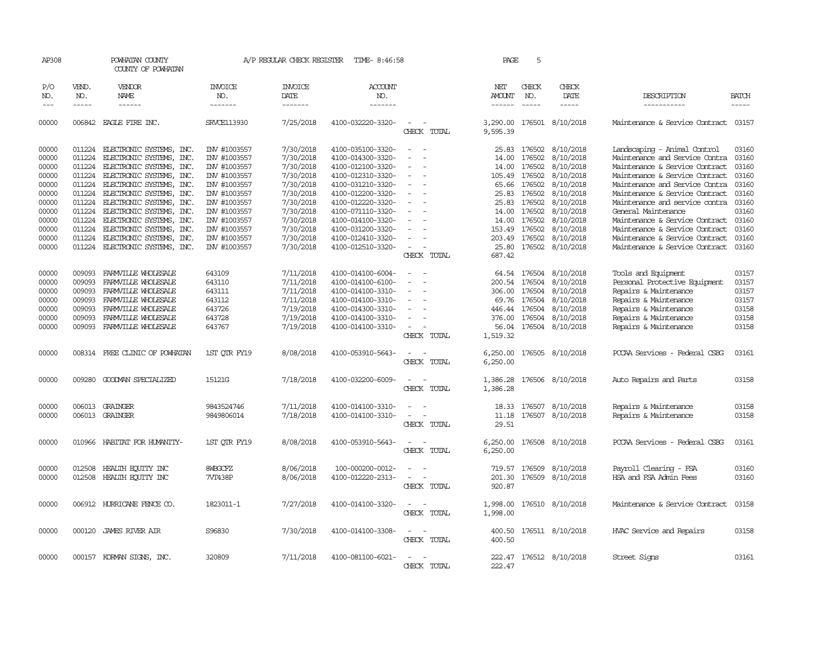| AP308          |                  | POWHATAN COUNTY<br>COUNTY OF POWHATAN  |                       | A/P REGULAR CHECK REGISTER | TIME- 8:46:58                         |                                                      | PAGE                 | 5                |                           |                                                  |              |
|----------------|------------------|----------------------------------------|-----------------------|----------------------------|---------------------------------------|------------------------------------------------------|----------------------|------------------|---------------------------|--------------------------------------------------|--------------|
| P/O<br>NO.     | VEND.<br>NO.     | VENDOR<br>NAME                         | <b>INVOICE</b><br>NO. | <b>INVOICE</b><br>DATE     | ACCOUNT<br>NO.                        |                                                      | NET<br>AMOUNT        | CHECK<br>NO.     | CHECK<br>DATE             | DESCRIPTION                                      | <b>BATCH</b> |
| $---$          | $\frac{1}{2}$    | $- - - - - -$                          | --------              | -------                    | -------                               |                                                      | $- - - - - -$        | $\frac{1}{2}$    | -----                     | -----------                                      | $- - - - -$  |
| 00000          |                  | 006842 EAGLE FIRE INC.                 | <b>SRVCE113930</b>    | 7/25/2018                  | 4100-032220-3320-                     | CHECK TOTAL                                          | 9,595.39             |                  | 3,290.00 176501 8/10/2018 | Maintenance & Service Contract                   | 03157        |
| 00000          |                  | 011224 ELECTRONIC SYSTEMS, INC.        | INV #1003557          | 7/30/2018                  | 4100-035100-3320-                     | $\overline{\phantom{a}}$<br>$\overline{\phantom{a}}$ |                      | 25.83 176502     | 8/10/2018                 | Landscaping - Animal Control                     | 03160        |
| 00000          | 011224           | ELECTRONIC SYSTEMS, INC.               | INV #1003557          | 7/30/2018                  | 4100-014300-3320-                     |                                                      | 14.00                | 176502           | 8/10/2018                 | Maintenance and Service Contra                   | 03160        |
| 00000          | 011224           | ELECTRONIC SYSTEMS, INC.               | INV #1003557          | 7/30/2018                  | 4100-012100-3320-                     |                                                      | 14.00                | 176502           | 8/10/2018                 | Maintenance & Service Contract                   | 03160        |
| 00000          | 011224           | ELECTRONIC SYSTEMS, INC.               | INV #1003557          | 7/30/2018                  | 4100-012310-3320-                     |                                                      |                      | 105.49 176502    | 8/10/2018                 | Maintenance & Service Contract                   | 03160        |
| 00000          |                  | 011224 ELECTRONIC SYSTEMS, INC.        | INV #1003557          | 7/30/2018                  | 4100-031210-3320-                     |                                                      |                      | 65.66 176502     | 8/10/2018                 | Maintenance and Service Contra                   | 03160        |
| 00000          | 011224           | ELECTRONIC SYSTEMS, INC.               | INV #1003557          | 7/30/2018                  | 4100-012200-3320-                     |                                                      | 25.83                | 176502           | 8/10/2018                 | Maintenance & Service Contract                   | 03160        |
| 00000          |                  | 011224 ELECTRONIC SYSTEMS, INC.        | INV #1003557          | 7/30/2018                  | 4100-012220-3320-                     |                                                      | 25.83                | 176502           | 8/10/2018                 | Maintenance and service contra                   | 03160        |
| 00000          | 011224           | ELECTRONIC SYSTEMS, INC.               | INV #1003557          | 7/30/2018                  | 4100-071110-3320-                     |                                                      | 14.00                | 176502           | 8/10/2018                 | General Maintenance                              | 03160        |
| 00000          |                  | 011224 ELECTRONIC SYSTEMS, INC.        | INV #1003557          | 7/30/2018                  | 4100-014100-3320-                     |                                                      | 14.00                | 176502           | 8/10/2018                 | Maintenance & Service Contract                   | 03160        |
| 00000          | 011224           | ELECTRONIC SYSTEMS, INC.               | INV #1003557          | 7/30/2018                  | 4100-031200-3320-                     |                                                      |                      | 153.49 176502    | 8/10/2018                 | Maintenance & Service Contract                   | 03160        |
| 00000          | 011224           | ELECTRONIC SYSTEMS, INC.               | INV #1003557          | 7/30/2018                  | 4100-012410-3320-                     |                                                      |                      | 203.49 176502    | 8/10/2018                 | Maintenance & Service Contract                   | 03160        |
| 00000          |                  | 011224 ELECTRONIC SYSTEMS, INC.        | INV #1003557          | 7/30/2018                  | 4100-012510-3320-                     | $\overline{\phantom{a}}$                             |                      |                  | 25.80 176502 8/10/2018    | Maintenance & Service Contract                   | 03160        |
|                |                  |                                        |                       |                            |                                       | CHECK TOTAL                                          | 687.42               |                  |                           |                                                  |              |
| 00000          | 009093           | FARMILLE WHOLESALE                     | 643109                | 7/11/2018                  | 4100-014100-6004-                     | $\overline{\phantom{a}}$<br>$\overline{a}$           |                      | 64.54 176504     | 8/10/2018                 | Tools and Equipment                              | 03157        |
| 00000          | 009093           | FARMVILLE WHOLESALE                    | 643110                | 7/11/2018                  | 4100-014100-6100-                     | $\sim$                                               | 200.54               | 176504           | 8/10/2018                 | Personal Protective Equipment                    | 03157        |
| 00000          | 009093           | FARMVILLE WHOLESALE                    | 643111                | 7/11/2018                  | 4100-014100-3310-                     |                                                      | 306.00               | 176504           | 8/10/2018                 | Repairs & Maintenance                            | 03157        |
| 00000          | 009093           | FARMVILLE WHOLESALE                    | 643112                | 7/11/2018                  | 4100-014100-3310-                     |                                                      | 69.76                | 176504           | 8/10/2018                 | Repairs & Maintenance                            | 03157        |
| 00000          | 009093           | FARMVILLE WHOLESALE                    | 643726                | 7/19/2018                  | 4100-014300-3310-                     |                                                      | 446.44               | 176504           | 8/10/2018                 | Repairs & Maintenance                            | 03158        |
| 00000          | 009093           | FARMVILLE WHOLESALE                    | 643728                | 7/19/2018                  | 4100-014100-3310-                     |                                                      | 376.00               | 176504           | 8/10/2018                 | Repairs & Maintenance                            | 03158        |
| 00000          |                  | 009093 FARMVILLE WHOLESALE             | 643767                | 7/19/2018                  | 4100-014100-3310-                     |                                                      |                      |                  | 56.04 176504 8/10/2018    | Repairs & Maintenance                            | 03158        |
|                |                  |                                        |                       |                            |                                       | CHECK TOTAL                                          | 1,519.32             |                  |                           |                                                  |              |
| 00000          |                  | 008314 FREE CLINIC OF POWHATAN         | 1ST QTR FY19          | 8/08/2018                  | 4100-053910-5643-                     |                                                      | 6,250.00             |                  | 176505 8/10/2018          | PCCAA Services - Federal CSBG                    | 03161        |
|                |                  |                                        |                       |                            |                                       | CHECK TOTAL                                          | 6,250.00             |                  |                           |                                                  |              |
|                |                  |                                        |                       |                            |                                       |                                                      |                      |                  |                           |                                                  |              |
| 00000          | 009280           | GOODMAN SPECIALIZED                    | 15121G                | 7/18/2018                  | 4100-032200-6009-                     | CHECK TOTAL                                          | 1,386.28<br>1,386.28 |                  | 176506 8/10/2018          | Auto Repairs and Parts                           | 03158        |
|                |                  |                                        |                       |                            |                                       |                                                      |                      |                  |                           |                                                  |              |
| 00000          |                  | 006013 GRAINGER                        | 9843524746            | 7/11/2018                  | 4100-014100-3310-                     |                                                      | 18.33                | 176507           | 8/10/2018                 | Repairs & Maintenance                            | 03158        |
| 00000          | 006013           | GRAINGER                               | 9849806014            | 7/18/2018                  | 4100-014100-3310-                     |                                                      | 11.18                | 176507           | 8/10/2018                 | Repairs & Maintenance                            | 03158        |
|                |                  |                                        |                       |                            |                                       | CHECK TOTAL                                          | 29.51                |                  |                           |                                                  |              |
| 00000          |                  | 010966 HABITAT FOR HUMANITY-           | 1ST QTR FY19          | 8/08/2018                  | 4100-053910-5643-                     |                                                      | 6,250.00             |                  | 176508 8/10/2018          | PCCAA Services - Federal CSBG                    | 03161        |
|                |                  |                                        |                       |                            |                                       | CHECK TOTAL                                          | 6,250.00             |                  |                           |                                                  |              |
|                |                  |                                        |                       |                            |                                       |                                                      |                      |                  |                           |                                                  | 03160        |
| 00000<br>00000 | 012508<br>012508 | HEALTH ECUTTY INC<br>HEALTH ECUTTY INC | 8WBGCFZ<br>7VT438P    | 8/06/2018<br>8/06/2018     | 100-000200-0012-<br>4100-012220-2313- | $\overline{a}$                                       | 719.57<br>201.30     | 176509<br>176509 | 8/10/2018<br>8/10/2018    | Payroll Clearing - FSA<br>HSA and FSA Admin Fees | 03160        |
|                |                  |                                        |                       |                            |                                       | CHECK TOTAL                                          | 920.87               |                  |                           |                                                  |              |
|                |                  |                                        |                       |                            |                                       |                                                      |                      |                  |                           |                                                  |              |
| 00000          |                  | 006912 HURRICANE FENCE CO.             | 1823011-1             | 7/27/2018                  | 4100-014100-3320-                     |                                                      | 1,998.00             |                  | 176510 8/10/2018          | Maintenance & Service Contract                   | 03158        |
|                |                  |                                        |                       |                            |                                       | CHECK TOTAL                                          | 1,998.00             |                  |                           |                                                  |              |
| 00000          |                  | 000120 JAMES RIVER AIR                 | S96830                | 7/30/2018                  | 4100-014100-3308-                     | $\sim$                                               |                      |                  | 400.50 176511 8/10/2018   | HVAC Service and Repairs                         | 03158        |
|                |                  |                                        |                       |                            |                                       | CHECK TOTAL                                          | 400.50               |                  |                           |                                                  |              |
|                |                  |                                        |                       |                            |                                       |                                                      |                      |                  |                           |                                                  |              |
| 00000          |                  | 000157 KORMAN SIGNS, INC.              | 320809                | 7/11/2018                  | 4100-081100-6021-                     | $\overline{\phantom{a}}$                             |                      |                  | 222.47 176512 8/10/2018   | Street Signs                                     | 03161        |
|                |                  |                                        |                       |                            |                                       | CHECK TOTAL                                          | 222.47               |                  |                           |                                                  |              |
|                |                  |                                        |                       |                            |                                       |                                                      |                      |                  |                           |                                                  |              |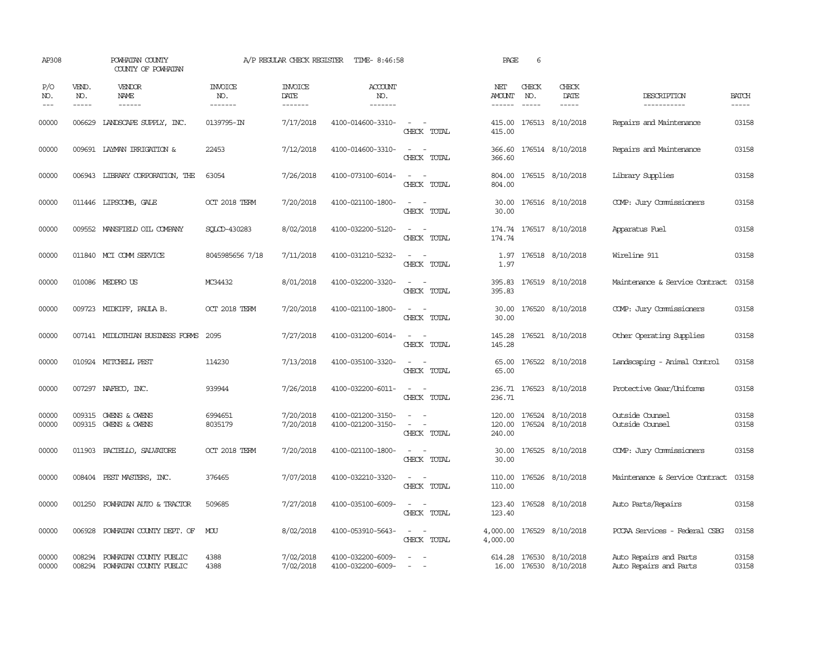| AP308               |                               | POWHATAN COUNTY<br>COUNTY OF POWHATAN            |                                   | A/P REGULAR CHECK REGISTER         | TIME- 8:46:58                          |                                                                                                                             | PAGE                           | 6                             |                                                   |                                                  |                             |
|---------------------|-------------------------------|--------------------------------------------------|-----------------------------------|------------------------------------|----------------------------------------|-----------------------------------------------------------------------------------------------------------------------------|--------------------------------|-------------------------------|---------------------------------------------------|--------------------------------------------------|-----------------------------|
| P/O<br>NO.<br>$---$ | VEND.<br>NO.<br>$\frac{1}{2}$ | VENDOR<br>NAME<br>------                         | <b>INVOICE</b><br>NO.<br>-------- | <b>INVOICE</b><br>DATE<br>-------- | <b>ACCOUNT</b><br>NO.<br>-------       |                                                                                                                             | NET<br>AMOUNT<br>$- - - - - -$ | CHECK<br>NO.<br>$\frac{1}{2}$ | CHECK<br>DATE<br>$- - - - -$                      | DESCRIPTION<br>-----------                       | <b>BATCH</b><br>$- - - - -$ |
| 00000               | 006629                        | LANDSCAPE SUPPLY, INC.                           | 0139795-IN                        | 7/17/2018                          | 4100-014600-3310-                      | $\sim$ 100 $\sim$<br>CHECK TOTAL                                                                                            | 415.00<br>415.00               |                               | 176513 8/10/2018                                  | Repairs and Maintenance                          | 03158                       |
| 00000               |                               | 009691 LAYMAN IRRIGATION &                       | 22453                             | 7/12/2018                          | 4100-014600-3310-                      | $\omega_{\rm{max}}$ and $\omega_{\rm{max}}$<br>CHECK TOTAL                                                                  | 366.60                         |                               | 366.60 176514 8/10/2018                           | Repairs and Maintenance                          | 03158                       |
| 00000               |                               | 006943 LIBRARY CORPORATION, THE                  | 63054                             | 7/26/2018                          | 4100-073100-6014-                      | $\sim$<br>$\sim$<br>CHECK TOTAL                                                                                             | 804.00<br>804.00               |                               | 176515 8/10/2018                                  | Library Supplies                                 | 03158                       |
| 00000               |                               | 011446 LIPSCOMB, GALE                            | OCT 2018 TERM                     | 7/20/2018                          | 4100-021100-1800-                      | $\sim$ $\sim$<br>CHECK TOTAL                                                                                                | 30.00                          |                               | 30.00 176516 8/10/2018                            | COMP: Jury Commissioners                         | 03158                       |
| 00000               |                               | 009552 MANSFIELD OIL COMPANY                     | SOLCD-430283                      | 8/02/2018                          | 4100-032200-5120-                      | $\sim$<br>$\sim$<br>CHECK TOTAL                                                                                             | 174.74                         |                               | 174.74 176517 8/10/2018                           | Apparatus Fuel                                   | 03158                       |
| 00000               |                               | 011840 MCI COMM SERVICE                          | 8045985656 7/18                   | 7/11/2018                          | 4100-031210-5232-                      | $\overline{\phantom{a}}$<br>$\sim$<br>CHECK TOTAL                                                                           | 1.97<br>1.97                   |                               | 176518 8/10/2018                                  | Wireline 911                                     | 03158                       |
| 00000               |                               | 010086 MEDPROUS                                  | MC34432                           | 8/01/2018                          | 4100-032200-3320-                      | $\equiv$<br>CHECK TOTAL                                                                                                     | 395.83<br>395.83               |                               | 176519 8/10/2018                                  | Maintenance & Service Contract                   | 03158                       |
| 00000               |                               | 009723 MIDKIFF, PAULA B.                         | OCT 2018 TERM                     | 7/20/2018                          | 4100-021100-1800-                      | $\sim$<br>CHECK TOTAL                                                                                                       | 30.00<br>30.00                 |                               | 176520 8/10/2018                                  | COMP: Jury Commissioners                         | 03158                       |
| 00000               |                               | 007141 MIDIOTHIAN BUSINESS FORMS                 | 2095                              | 7/27/2018                          | 4100-031200-6014-                      | $\overline{\phantom{a}}$<br>$\sim$<br>CHECK TOTAL                                                                           | 145.28<br>145.28               |                               | 176521 8/10/2018                                  | Other Operating Supplies                         | 03158                       |
| 00000               |                               | 010924 MITCHELL PEST                             | 114230                            | 7/13/2018                          | 4100-035100-3320-                      | $ -$<br>CHECK TOTAL                                                                                                         | 65.00                          |                               | 65.00 176522 8/10/2018                            | Landscaping - Animal Control                     | 03158                       |
| 00000               |                               | 007297 NAFECO, INC.                              | 939944                            | 7/26/2018                          | 4100-032200-6011-                      | $\frac{1}{2} \left( \frac{1}{2} \right) \left( \frac{1}{2} \right) = \frac{1}{2} \left( \frac{1}{2} \right)$<br>CHECK TOTAL | 236.71                         |                               | 236.71 176523 8/10/2018                           | Protective Gear/Uniforms                         | 03158                       |
| 00000<br>00000      |                               | 009315 OWENS & OWENS<br>009315 OWENS & OWENS     | 6994651<br>8035179                | 7/20/2018<br>7/20/2018             | 4100-021200-3150-<br>4100-021200-3150- | $\sim$<br>CHECK TOTAL                                                                                                       | 120.00<br>240.00               |                               | 120.00 176524 8/10/2018<br>176524 8/10/2018       | Outside Counsel<br>Outside Counsel               | 03158<br>03158              |
| 00000               |                               | 011903 PACIELLO, SALVATORE                       | OCT 2018 TERM                     | 7/20/2018                          | 4100-021100-1800-                      | $\sim$ 10 $\,$<br>CHECK TOTAL                                                                                               | 30.00                          |                               | 30.00 176525 8/10/2018                            | COMP: Jury Commissioners                         | 03158                       |
| 00000               |                               | 008404 PEST MASTERS, INC.                        | 376465                            | 7/07/2018                          | 4100-032210-3320-                      | $\sim$ $ \sim$<br>CHECK TOTAL                                                                                               | 110.00<br>110.00               |                               | 176526 8/10/2018                                  | Maintenance & Service Contract                   | 03158                       |
| 00000               | 001250                        | POWHATAN AUTO & TRACTOR                          | 509685                            | 7/27/2018                          | 4100-035100-6009-                      | $ -$<br>CHECK TOTAL                                                                                                         | 123.40<br>123.40               |                               | 176528 8/10/2018                                  | Auto Parts/Repairs                               | 03158                       |
| 00000               | 006928                        | POWHATAN COUNTY DEPT. OF                         | MOU                               | 8/02/2018                          | 4100-053910-5643-                      | $\frac{1}{2} \left( \frac{1}{2} \right) \left( \frac{1}{2} \right) = \frac{1}{2} \left( \frac{1}{2} \right)$<br>CHECK TOTAL | 4,000.00                       |                               | 4,000.00 176529 8/10/2018                         | PCCAA Services - Federal CSBG                    | 03158                       |
| 00000<br>00000      | 008294<br>008294              | POWHATAN COUNTY PUBLIC<br>POWHATAN COUNTY PUBLIC | 4388<br>4388                      | 7/02/2018<br>7/02/2018             | 4100-032200-6009-<br>4100-032200-6009- | $\equiv$<br>$\sim$                                                                                                          |                                |                               | 614.28 176530 8/10/2018<br>16.00 176530 8/10/2018 | Auto Repairs and Parts<br>Auto Repairs and Parts | 03158<br>03158              |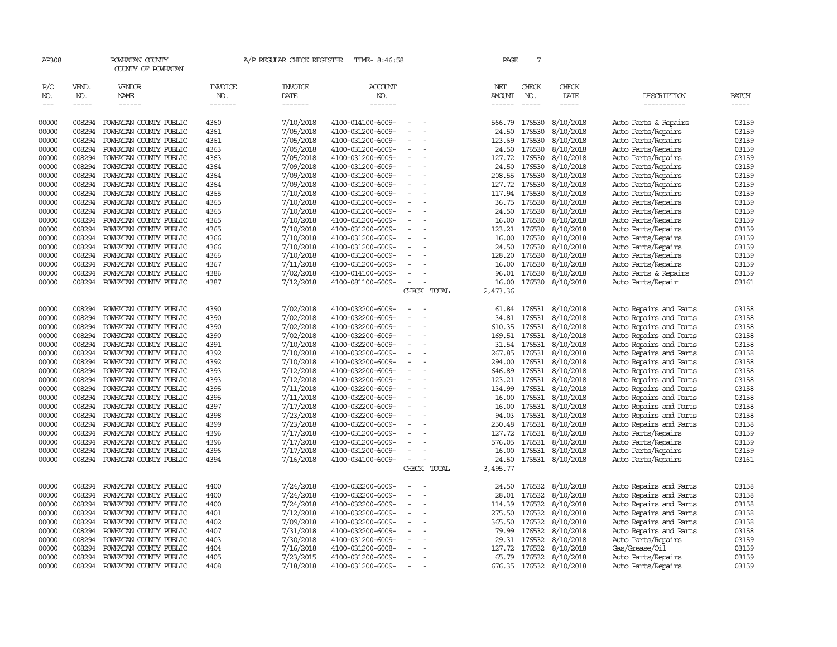| AP308                                                                                                                                                                                                                                                                                                                                                                                                      |                       | POWHATAN COUNTY<br>COUNTY OF POWHATAN            |                                  | A/P REGULAR CHECK REGISTER        | TIME- 8:46:58                          |                                      | PAGE                                  | 7                           |                              |                                                  |                       |
|------------------------------------------------------------------------------------------------------------------------------------------------------------------------------------------------------------------------------------------------------------------------------------------------------------------------------------------------------------------------------------------------------------|-----------------------|--------------------------------------------------|----------------------------------|-----------------------------------|----------------------------------------|--------------------------------------|---------------------------------------|-----------------------------|------------------------------|--------------------------------------------------|-----------------------|
| P/O<br>NO.<br>$\frac{1}{2} \frac{1}{2} \frac{1}{2} \frac{1}{2} \frac{1}{2} \frac{1}{2} \frac{1}{2} \frac{1}{2} \frac{1}{2} \frac{1}{2} \frac{1}{2} \frac{1}{2} \frac{1}{2} \frac{1}{2} \frac{1}{2} \frac{1}{2} \frac{1}{2} \frac{1}{2} \frac{1}{2} \frac{1}{2} \frac{1}{2} \frac{1}{2} \frac{1}{2} \frac{1}{2} \frac{1}{2} \frac{1}{2} \frac{1}{2} \frac{1}{2} \frac{1}{2} \frac{1}{2} \frac{1}{2} \frac{$ | VEND.<br>NO.<br>----- | VENDOR<br><b>NAME</b>                            | <b>INVOICE</b><br>NO.<br>------- | <b>INVOICE</b><br>DATE<br>------- | ACCOUNT<br>NO.<br>-------              |                                      | NET<br><b>AMOUNT</b><br>$- - - - - -$ | CHECK<br>NO.<br>$- - - - -$ | CHECK<br>DATE<br>$- - - - -$ | DESCRIPTION<br>-----------                       | <b>BATCH</b><br>----- |
| 00000                                                                                                                                                                                                                                                                                                                                                                                                      | 008294                | POWHATAN COUNTY PUBLIC                           | 4360                             | 7/10/2018                         | 4100-014100-6009-                      |                                      | 566.79                                | 176530                      | 8/10/2018                    | Auto Parts & Repairs                             | 03159                 |
| 00000                                                                                                                                                                                                                                                                                                                                                                                                      | 008294                | POWHATAN COUNTY PUBLIC                           | 4361                             | 7/05/2018                         | 4100-031200-6009-                      |                                      | 24.50                                 | 176530                      | 8/10/2018                    | Auto Parts/Repairs                               | 03159                 |
| 00000                                                                                                                                                                                                                                                                                                                                                                                                      | 008294                | POWHATAN COUNTY PUBLIC                           | 4361                             | 7/05/2018                         | 4100-031200-6009-                      |                                      | 123.69                                | 176530                      | 8/10/2018                    | Auto Parts/Repairs                               | 03159                 |
| 00000                                                                                                                                                                                                                                                                                                                                                                                                      | 008294                | POWHATAN COUNTY PUBLIC                           | 4363                             | 7/05/2018                         | 4100-031200-6009-                      |                                      | 24.50                                 | 176530                      | 8/10/2018                    | Auto Parts/Repairs                               | 03159                 |
| 00000                                                                                                                                                                                                                                                                                                                                                                                                      | 008294                | POWHATAN COUNTY PUBLIC                           | 4363                             | 7/05/2018                         | 4100-031200-6009-                      |                                      | 127.72                                | 176530                      | 8/10/2018                    | Auto Parts/Repairs                               | 03159                 |
| 00000                                                                                                                                                                                                                                                                                                                                                                                                      | 008294                | POWHATAN COUNTY PUBLIC                           | 4364                             | 7/09/2018                         | 4100-031200-6009-                      |                                      | 24.50                                 | 176530                      | 8/10/2018                    | Auto Parts/Repairs                               | 03159                 |
| 00000                                                                                                                                                                                                                                                                                                                                                                                                      | 008294                | POWHATAN COUNTY PUBLIC                           | 4364                             | 7/09/2018                         | 4100-031200-6009-                      | $\equiv$<br>$\overline{\phantom{a}}$ | 208.55 176530                         |                             | 8/10/2018                    | Auto Parts/Repairs                               | 03159                 |
| 00000                                                                                                                                                                                                                                                                                                                                                                                                      | 008294                | POWHATAN COUNTY PUBLIC                           | 4364                             | 7/09/2018                         | 4100-031200-6009-                      |                                      | 127.72                                | 176530                      | 8/10/2018                    | Auto Parts/Repairs                               | 03159                 |
| 00000                                                                                                                                                                                                                                                                                                                                                                                                      | 008294                | POWHATAN COUNTY PUBLIC                           | 4365                             | 7/10/2018                         | 4100-031200-6009-                      |                                      | 117.94                                | 176530                      | 8/10/2018                    | Auto Parts/Repairs                               | 03159                 |
| 00000                                                                                                                                                                                                                                                                                                                                                                                                      | 008294                | POWHATAN COUNTY PUBLIC                           | 4365                             | 7/10/2018                         | 4100-031200-6009-                      | $\equiv$                             | 36.75                                 | 176530                      | 8/10/2018                    | Auto Parts/Repairs                               | 03159                 |
| 00000                                                                                                                                                                                                                                                                                                                                                                                                      | 008294                | POWHATAN COUNTY PUBLIC                           | 4365                             | 7/10/2018                         | 4100-031200-6009-                      |                                      | 24.50                                 | 176530                      | 8/10/2018                    | Auto Parts/Repairs                               | 03159                 |
| 00000                                                                                                                                                                                                                                                                                                                                                                                                      | 008294                | POWHATAN COUNTY PUBLIC                           | 4365                             | 7/10/2018                         | 4100-031200-6009-                      |                                      | 16.00                                 | 176530                      | 8/10/2018                    | Auto Parts/Repairs                               | 03159                 |
| 00000                                                                                                                                                                                                                                                                                                                                                                                                      | 008294                | POWHATAN COUNTY PUBLIC                           | 4365                             | 7/10/2018                         | 4100-031200-6009-                      |                                      | 123.21                                | 176530                      | 8/10/2018                    | Auto Parts/Repairs                               | 03159                 |
| 00000                                                                                                                                                                                                                                                                                                                                                                                                      | 008294                | POWHATAN COUNTY PUBLIC                           | 4366                             | 7/10/2018                         | 4100-031200-6009-                      |                                      | 16.00                                 | 176530                      | 8/10/2018                    | Auto Parts/Repairs                               | 03159                 |
| 00000                                                                                                                                                                                                                                                                                                                                                                                                      | 008294                | POWHATAN COUNTY PUBLIC                           | 4366                             | 7/10/2018                         | 4100-031200-6009-                      |                                      | 24.50                                 | 176530                      | 8/10/2018                    | Auto Parts/Repairs                               | 03159                 |
| 00000                                                                                                                                                                                                                                                                                                                                                                                                      | 008294                | POWHATAN COUNTY PUBLIC                           | 4366                             | 7/10/2018                         | 4100-031200-6009-                      |                                      | 128.20                                | 176530                      | 8/10/2018                    | Auto Parts/Repairs                               | 03159                 |
| 00000                                                                                                                                                                                                                                                                                                                                                                                                      | 008294                | POWHATAN COUNTY PUBLIC                           | 4367                             | 7/11/2018                         | 4100-031200-6009-                      | $\equiv$                             | 16.00                                 | 176530                      | 8/10/2018                    | Auto Parts/Repairs                               | 03159                 |
| 00000                                                                                                                                                                                                                                                                                                                                                                                                      | 008294                | POWHATAN COUNTY PUBLIC                           | 4386                             | 7/02/2018                         | 4100-014100-6009-                      |                                      | 96.01                                 | 176530                      | 8/10/2018                    | Auto Parts & Repairs                             | 03159                 |
| 00000                                                                                                                                                                                                                                                                                                                                                                                                      | 008294                | POWHATAN COUNTY PUBLIC                           | 4387                             | 7/12/2018                         | 4100-081100-6009-                      | CHECK TOTAL                          | 16.00<br>2,473.36                     | 176530                      | 8/10/2018                    | Auto Parts/Repair                                | 03161                 |
|                                                                                                                                                                                                                                                                                                                                                                                                            |                       |                                                  |                                  |                                   |                                        |                                      |                                       |                             |                              |                                                  |                       |
| 00000                                                                                                                                                                                                                                                                                                                                                                                                      | 008294                | POWHATAN COUNTY PUBLIC                           | 4390                             | 7/02/2018                         | 4100-032200-6009-                      |                                      | 61.84                                 | 176531                      | 8/10/2018                    | Auto Repairs and Parts                           | 03158                 |
| 00000                                                                                                                                                                                                                                                                                                                                                                                                      | 008294                | POWHATAN COUNTY PUBLIC                           | 4390                             | 7/02/2018                         | 4100-032200-6009-                      |                                      | 34.81                                 | 176531                      | 8/10/2018                    | Auto Repairs and Parts                           | 03158                 |
| 00000                                                                                                                                                                                                                                                                                                                                                                                                      | 008294                | POWHATAN COUNTY PUBLIC                           | 4390                             | 7/02/2018                         | 4100-032200-6009-                      | $\equiv$<br>$\overline{\phantom{a}}$ | 610.35                                | 176531                      | 8/10/2018                    | Auto Repairs and Parts                           | 03158                 |
| 00000                                                                                                                                                                                                                                                                                                                                                                                                      | 008294                | POWHATAN COUNTY PUBLIC                           | 4390                             | 7/02/2018                         | 4100-032200-6009-                      |                                      | 169.51                                | 176531                      | 8/10/2018                    | Auto Repairs and Parts                           | 03158                 |
| 00000                                                                                                                                                                                                                                                                                                                                                                                                      | 008294                | POWHATAN COUNTY PUBLIC                           | 4391                             | 7/10/2018                         | 4100-032200-6009-                      |                                      | 31.54                                 | 176531                      | 8/10/2018                    | Auto Repairs and Parts                           | 03158                 |
| 00000                                                                                                                                                                                                                                                                                                                                                                                                      | 008294                | POWHATAN COUNTY PUBLIC                           | 4392                             | 7/10/2018                         | 4100-032200-6009-                      | $\equiv$                             | 267.85                                | 176531                      | 8/10/2018                    | Auto Repairs and Parts                           | 03158                 |
| 00000                                                                                                                                                                                                                                                                                                                                                                                                      | 008294                | POWHATAN COUNTY PUBLIC                           | 4392                             | 7/10/2018                         | 4100-032200-6009-                      |                                      | 294.00                                | 176531                      | 8/10/2018                    | Auto Repairs and Parts                           | 03158                 |
| 00000<br>00000                                                                                                                                                                                                                                                                                                                                                                                             | 008294<br>008294      | POWHATAN COUNTY PUBLIC<br>POWHATAN COUNTY PUBLIC | 4393<br>4393                     | 7/12/2018                         | 4100-032200-6009-<br>4100-032200-6009- |                                      | 646.89<br>123.21                      | 176531<br>176531            | 8/10/2018                    | Auto Repairs and Parts                           | 03158<br>03158        |
| 00000                                                                                                                                                                                                                                                                                                                                                                                                      | 008294                | POWHATAN COUNTY PUBLIC                           | 4395                             | 7/12/2018<br>7/11/2018            | 4100-032200-6009-                      | $\equiv$<br>$\overline{\phantom{a}}$ | 134.99                                | 176531                      | 8/10/2018<br>8/10/2018       | Auto Repairs and Parts<br>Auto Repairs and Parts | 03158                 |
| 00000                                                                                                                                                                                                                                                                                                                                                                                                      | 008294                | POWHATAN COUNTY PUBLIC                           | 4395                             | 7/11/2018                         | 4100-032200-6009-                      |                                      | 16.00                                 | 176531                      | 8/10/2018                    | Auto Repairs and Parts                           | 03158                 |
| 00000                                                                                                                                                                                                                                                                                                                                                                                                      | 008294                | POWHATAN COUNTY PUBLIC                           | 4397                             | 7/17/2018                         | 4100-032200-6009-                      |                                      | 16.00                                 | 176531                      | 8/10/2018                    | Auto Repairs and Parts                           | 03158                 |
| 00000                                                                                                                                                                                                                                                                                                                                                                                                      | 008294                | POWHATAN COUNTY PUBLIC                           | 4398                             | 7/23/2018                         | 4100-032200-6009-                      |                                      | 94.03                                 | 176531                      | 8/10/2018                    | Auto Repairs and Parts                           | 03158                 |
| 00000                                                                                                                                                                                                                                                                                                                                                                                                      | 008294                | POWHATAN COUNTY PUBLIC                           | 4399                             | 7/23/2018                         | 4100-032200-6009-                      |                                      | 250.48                                | 176531                      | 8/10/2018                    | Auto Repairs and Parts                           | 03158                 |
| 00000                                                                                                                                                                                                                                                                                                                                                                                                      | 008294                | POWHATAN COUNTY PUBLIC                           | 4396                             | 7/17/2018                         | 4100-031200-6009-                      |                                      | 127.72                                | 176531                      | 8/10/2018                    | Auto Parts/Repairs                               | 03159                 |
| 00000                                                                                                                                                                                                                                                                                                                                                                                                      | 008294                | POWHATAN COUNTY PUBLIC                           | 4396                             | 7/17/2018                         | 4100-031200-6009-                      |                                      | 576.05                                | 176531                      | 8/10/2018                    | Auto Parts/Repairs                               | 03159                 |
| 00000                                                                                                                                                                                                                                                                                                                                                                                                      | 008294                | POWHATAN COUNTY PUBLIC                           | 4396                             | 7/17/2018                         | 4100-031200-6009-                      | $\sim$                               | 16.00                                 | 176531                      | 8/10/2018                    | Auto Parts/Repairs                               | 03159                 |
| 00000                                                                                                                                                                                                                                                                                                                                                                                                      | 008294                | POWHATAN COUNTY PUBLIC                           | 4394                             | 7/16/2018                         | 4100-034100-6009-                      | $\equiv$<br>$\overline{\phantom{a}}$ | 24.50                                 |                             | 176531 8/10/2018             | Auto Parts/Repairs                               | 03161                 |
|                                                                                                                                                                                                                                                                                                                                                                                                            |                       |                                                  |                                  |                                   |                                        | CHECK TOTAL                          | 3,495.77                              |                             |                              |                                                  |                       |
| 00000                                                                                                                                                                                                                                                                                                                                                                                                      | 008294                | POWHATAN COUNTY PUBLIC                           | 4400                             | 7/24/2018                         | 4100-032200-6009-                      |                                      | 24.50                                 | 176532                      | 8/10/2018                    | Auto Repairs and Parts                           | 03158                 |
| 00000                                                                                                                                                                                                                                                                                                                                                                                                      | 008294                | POWHATAN COUNTY PUBLIC                           | 4400                             | 7/24/2018                         | 4100-032200-6009-                      |                                      | 28.01                                 | 176532                      | 8/10/2018                    | Auto Repairs and Parts                           | 03158                 |
| 00000                                                                                                                                                                                                                                                                                                                                                                                                      | 008294                | POWHATAN COUNTY PUBLIC                           | 4400                             | 7/24/2018                         | 4100-032200-6009-                      |                                      | 114.39                                | 176532                      | 8/10/2018                    | Auto Repairs and Parts                           | 03158                 |
| 00000                                                                                                                                                                                                                                                                                                                                                                                                      | 008294                | POWHATAN COUNTY PUBLIC                           | 4401                             | 7/12/2018                         | 4100-032200-6009-                      | $\sim$<br>$\overline{\phantom{a}}$   | 275.50                                | 176532                      | 8/10/2018                    | Auto Repairs and Parts                           | 03158                 |
| 00000                                                                                                                                                                                                                                                                                                                                                                                                      | 008294                | POWHATAN COUNTY PUBLIC                           | 4402                             | 7/09/2018                         | 4100-032200-6009-                      |                                      | 365.50                                | 176532                      | 8/10/2018                    | Auto Repairs and Parts                           | 03158                 |
| 00000                                                                                                                                                                                                                                                                                                                                                                                                      | 008294                | POWHATAN COUNTY PUBLIC                           | 4407                             | 7/31/2018                         | 4100-032200-6009-                      |                                      | 79.99                                 | 176532                      | 8/10/2018                    | Auto Repairs and Parts                           | 03158                 |
| 00000                                                                                                                                                                                                                                                                                                                                                                                                      | 008294                | POWHATAN COUNTY PUBLIC                           | 4403                             | 7/30/2018                         | 4100-031200-6009-                      |                                      | 29.31                                 | 176532                      | 8/10/2018                    | Auto Parts/Repairs                               | 03159                 |
| 00000                                                                                                                                                                                                                                                                                                                                                                                                      | 008294                | POWHATAN COUNTY PUBLIC                           | 4404                             | 7/16/2018                         | 4100-031200-6008-                      |                                      | 127.72                                | 176532                      | 8/10/2018                    | Gas/Grease/Oil                                   | 03159                 |
| 00000                                                                                                                                                                                                                                                                                                                                                                                                      | 008294                | POWHATAN COUNTY PUBLIC                           | 4405                             | 7/23/2015                         | 4100-031200-6009-                      | $\overline{\phantom{a}}$             | 65.79                                 | 176532                      | 8/10/2018                    | Auto Parts/Repairs                               | 03159                 |
| 00000                                                                                                                                                                                                                                                                                                                                                                                                      | 008294                | POWHATAN COUNTY PUBLIC                           | 4408                             | 7/18/2018                         | 4100-031200-6009-                      |                                      | 676.35                                |                             | 176532 8/10/2018             | Auto Parts/Repairs                               | 03159                 |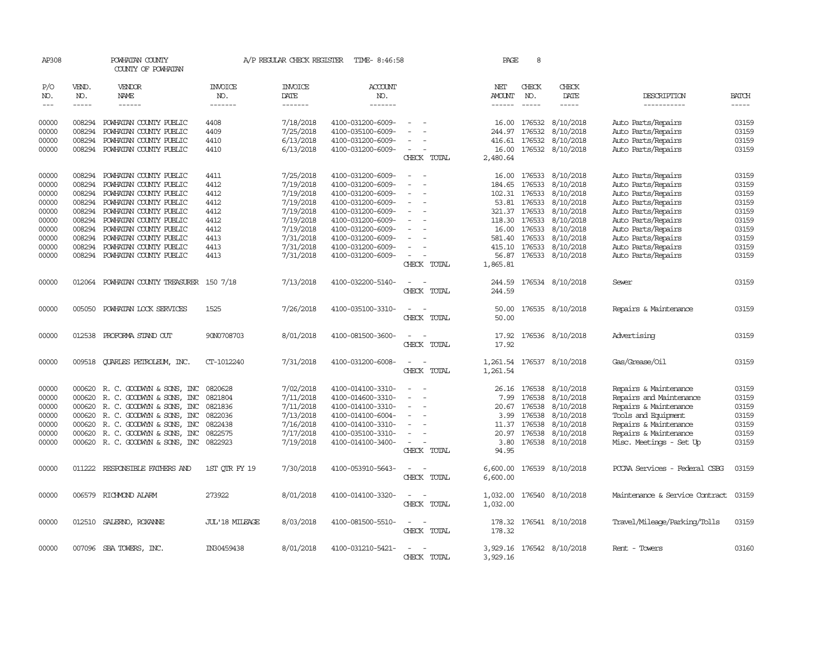| AP308      |              | POWHATAN COUNTY<br>COUNTY OF POWHATAN     |                       | A/P REGULAR CHECK REGISTER | TIME-8:46:58          |                                                      | PAGE             | 8             |                           |                                |              |
|------------|--------------|-------------------------------------------|-----------------------|----------------------------|-----------------------|------------------------------------------------------|------------------|---------------|---------------------------|--------------------------------|--------------|
| P/O<br>NO. | VEND.<br>NO. | <b>VENDOR</b><br><b>NAME</b>              | <b>INVOICE</b><br>NO. | <b>INVOICE</b><br>DATE     | <b>ACCOUNT</b><br>NO. |                                                      | NET<br>AMOUNT    | CHECK<br>NO.  | CHECK<br>DATE             | DESCRIPTION                    | <b>BATCH</b> |
| $---$      | $- - - - -$  | $- - - - - -$                             | -------               | -------                    | -------               |                                                      | $- - - - - -$    | $- - - - -$   | -----                     | -----------                    | $- - - - -$  |
| 00000      |              | 008294 POWHATAN COUNTY PUBLIC             | 4408                  | 7/18/2018                  | 4100-031200-6009-     |                                                      | 16.00            | 176532        | 8/10/2018                 | Auto Parts/Repairs             | 03159        |
| 00000      | 008294       | POWHATAN COUNTY PUBLIC                    | 4409                  | 7/25/2018                  | 4100-035100-6009-     |                                                      | 244.97           | 176532        | 8/10/2018                 | Auto Parts/Repairs             | 03159        |
| 00000      | 008294       | POWHATAN COUNTY PUBLIC                    | 4410                  | 6/13/2018                  | 4100-031200-6009-     |                                                      | 416.61           | 176532        | 8/10/2018                 | Auto Parts/Repairs             | 03159        |
| 00000      |              | 008294 POWHATAN COUNTY PUBLIC             | 4410                  | 6/13/2018                  | 4100-031200-6009-     | $\sim$                                               |                  |               | 16.00 176532 8/10/2018    | Auto Parts/Repairs             | 03159        |
|            |              |                                           |                       |                            |                       | CHECK TOTAL                                          | 2,480.64         |               |                           |                                |              |
|            |              |                                           |                       |                            |                       |                                                      |                  |               |                           |                                |              |
| 00000      |              | 008294 POWHATAN COUNTY PUBLIC             | 4411                  | 7/25/2018                  | 4100-031200-6009-     |                                                      |                  | 16.00 176533  | 8/10/2018                 | Auto Parts/Repairs             | 03159        |
| 00000      | 008294       | POWHATAN COUNTY PUBLIC                    | 4412                  | 7/19/2018                  | 4100-031200-6009-     |                                                      | 184.65           | 176533        | 8/10/2018                 | Auto Parts/Repairs             | 03159        |
| 00000      | 008294       | POWHATAN COUNTY PUBLIC                    | 4412                  | 7/19/2018                  | 4100-031200-6009-     |                                                      |                  | 102.31 176533 | 8/10/2018                 | Auto Parts/Repairs             | 03159        |
| 00000      | 008294       | POWHATAN COUNTY PUBLIC                    | 4412                  | 7/19/2018                  | 4100-031200-6009-     |                                                      | 53.81            | 176533        | 8/10/2018                 | Auto Parts/Repairs             | 03159        |
| 00000      |              | 008294 POWHATAN COUNTY PUBLIC             | 4412                  | 7/19/2018                  | 4100-031200-6009-     |                                                      |                  | 321.37 176533 | 8/10/2018                 | Auto Parts/Repairs             | 03159        |
| 00000      |              | 008294 POWHATAN COUNTY PUBLIC             | 4412                  | 7/19/2018                  | 4100-031200-6009-     |                                                      |                  | 118.30 176533 | 8/10/2018                 | Auto Parts/Repairs             | 03159        |
| 00000      | 008294       | POWHATAN COUNTY PUBLIC                    | 4412                  | 7/19/2018                  | 4100-031200-6009-     |                                                      | 16.00            | 176533        | 8/10/2018                 | Auto Parts/Repairs             | 03159        |
| 00000      | 008294       | POWHATAN COUNTY PUBLIC                    | 4413                  | 7/31/2018                  | 4100-031200-6009-     |                                                      | 581.40           | 176533        | 8/10/2018                 | Auto Parts/Repairs             | 03159        |
| 00000      | 008294       | POWHATAN COUNTY PUBLIC                    | 4413                  | 7/31/2018                  | 4100-031200-6009-     |                                                      | 415.10           | 176533        | 8/10/2018                 | Auto Parts/Repairs             | 03159        |
| 00000      |              | 008294 POWHATAN COUNTY PUBLIC             | 4413                  | 7/31/2018                  | 4100-031200-6009-     |                                                      |                  |               | 56.87 176533 8/10/2018    | Auto Parts/Repairs             | 03159        |
|            |              |                                           |                       |                            |                       | CHECK TOTAL                                          | 1,865.81         |               |                           |                                |              |
| 00000      |              |                                           |                       | 7/13/2018                  | 4100-032200-5140-     | $\sim$<br>$\sim$                                     |                  |               | 176534 8/10/2018          | Sewer                          | 03159        |
|            |              | 012064 POWHATAN COUNTY TREASURER 150 7/18 |                       |                            |                       | CHECK TOTAL                                          | 244.59<br>244.59 |               |                           |                                |              |
|            |              |                                           |                       |                            |                       |                                                      |                  |               |                           |                                |              |
| 00000      | 005050       | POWHATAN LOCK SERVICES                    | 1525                  | 7/26/2018                  | 4100-035100-3310-     | $\sim$                                               |                  |               | 50.00 176535 8/10/2018    | Repairs & Maintenance          | 03159        |
|            |              |                                           |                       |                            |                       | CHECK TOTAL                                          | 50.00            |               |                           |                                |              |
|            |              | 012538 PROFORMA STAND OUT                 |                       |                            | 4100-081500-3600-     | $\hspace{0.1mm}-\hspace{0.1mm}$                      |                  |               |                           | Advertising                    | 03159        |
| 00000      |              |                                           | 90N0708703            | 8/01/2018                  |                       | CHECK TOTAL                                          | 17.92<br>17.92   |               | 176536 8/10/2018          |                                |              |
|            |              |                                           |                       |                            |                       |                                                      |                  |               |                           |                                |              |
| 00000      |              | 009518 CUARLES PETROLEUM, INC.            | CT-1012240            | 7/31/2018                  | 4100-031200-6008-     | $\overline{\phantom{a}}$                             |                  |               | 1,261.54 176537 8/10/2018 | Gas/Grease/Oil                 | 03159        |
|            |              |                                           |                       |                            |                       | CHECK TOTAL                                          | 1,261.54         |               |                           |                                |              |
|            |              |                                           |                       |                            |                       |                                                      |                  |               |                           |                                |              |
| 00000      | 000620       | R. C. GOODWYN & SONS, INC                 | 0820628               | 7/02/2018                  | 4100-014100-3310-     |                                                      | 26.16            | 176538        | 8/10/2018                 | Repairs & Maintenance          | 03159        |
| 00000      | 000620       | R. C. GOODWYN & SONS, INC                 | 0821804               | 7/11/2018                  | 4100-014600-3310-     |                                                      | 7.99             | 176538        | 8/10/2018                 | Repairs and Maintenance        | 03159        |
| 00000      |              | 000620 R. C. GOODWYN & SONS, INC          | 0821836               | 7/11/2018                  | 4100-014100-3310-     | $\overline{\phantom{a}}$<br>$\overline{a}$           |                  | 20.67 176538  | 8/10/2018                 | Repairs & Maintenance          | 03159        |
| 00000      | 000620       | R. C. GOODWYN & SONS, INC                 | 0822036               | 7/13/2018                  | 4100-014100-6004-     |                                                      | 3.99             | 176538        | 8/10/2018                 | Tools and Equipment            | 03159        |
| 00000      | 000620       | R. C. GOODWYN & SONS, INC                 | 0822438               | 7/16/2018                  | 4100-014100-3310-     |                                                      |                  | 11.37 176538  | 8/10/2018                 | Repairs & Maintenance          | 03159        |
| 00000      | 000620       | R. C. GOODWYN & SONS, INC                 | 0822575               | 7/17/2018                  | 4100-035100-3310-     | $\equiv$                                             | 20.97            | 176538        | 8/10/2018                 | Repairs & Maintenance          | 03159        |
| 00000      |              | 000620 R. C. GOODWYN & SONS, INC          | 0822923               | 7/19/2018                  | 4100-014100-3400-     |                                                      | 3.80             | 176538        | 8/10/2018                 | Misc. Meetings - Set Up        | 03159        |
|            |              |                                           |                       |                            |                       | CHECK TOTAL                                          | 94.95            |               |                           |                                |              |
| 00000      |              | 011222 RESPONSIBLE FAIHERS AND            | 1ST OTR FY 19         | 7/30/2018                  | 4100-053910-5643-     | $\overline{\phantom{a}}$<br>$\overline{\phantom{a}}$ | 6,600.00         | 176539        | 8/10/2018                 | PCCAA Services - Federal CSBG  | 03159        |
|            |              |                                           |                       |                            |                       | CHECK TOTAL                                          | 6,600.00         |               |                           |                                |              |
|            |              |                                           |                       |                            |                       |                                                      |                  |               |                           |                                |              |
| 00000      |              | 006579 RICHMOND ALARM                     | 273922                | 8/01/2018                  | 4100-014100-3320-     |                                                      |                  |               | 1,032.00 176540 8/10/2018 | Maintenance & Service Contract | 03159        |
|            |              |                                           |                       |                            |                       | CHECK TOTAL                                          | 1,032.00         |               |                           |                                |              |
|            |              |                                           |                       |                            |                       |                                                      |                  |               |                           |                                |              |
| 00000      |              | 012510 SALERNO, ROXANNE                   | JUL'18 MILEAGE        | 8/03/2018                  | 4100-081500-5510-     | $\sim$<br>$\overline{\phantom{a}}$                   |                  |               | 178.32 176541 8/10/2018   | Travel/Mileage/Parking/Tolls   | 03159        |
|            |              |                                           |                       |                            |                       | CHECK TOTAL                                          | 178.32           |               |                           |                                |              |
| 00000      |              | 007096 SBA TOWERS, INC.                   | IN30459438            | 8/01/2018                  | 4100-031210-5421-     |                                                      |                  |               | 3,929.16 176542 8/10/2018 | Rent - Towers                  | 03160        |
|            |              |                                           |                       |                            |                       | CHECK TOTAL                                          | 3,929.16         |               |                           |                                |              |
|            |              |                                           |                       |                            |                       |                                                      |                  |               |                           |                                |              |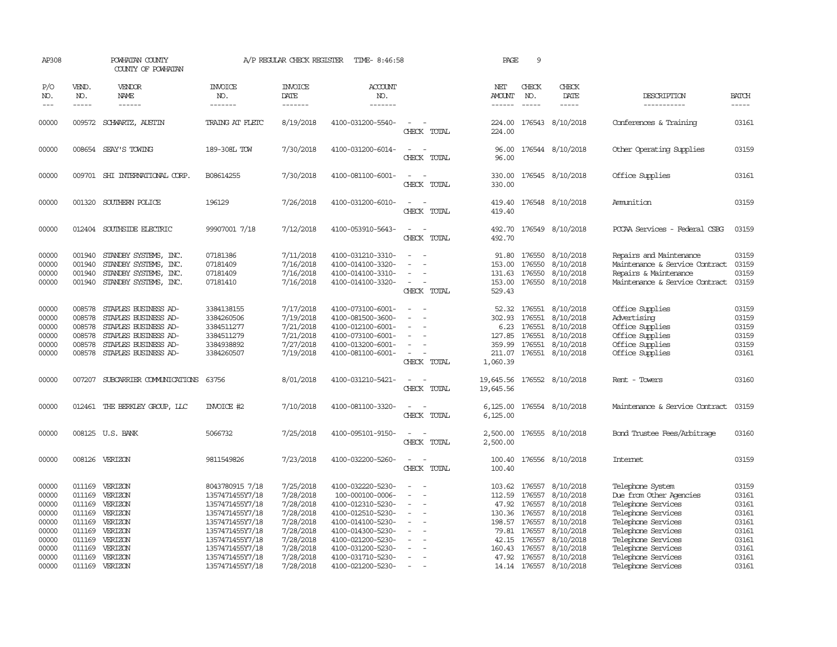| AP308                                              |                                                | POWHATAN COUNTY<br>COUNTY OF POWHATAN                                                                                                               |                                                                                                                | A/P REGULAR CHECK REGISTER                                                 | TIME- 8:46:58                                                                                                              |                                                                                                                             | PAGE                                                   | 9                                          |                                                                                                 |                                                                                                                                     |                                                    |
|----------------------------------------------------|------------------------------------------------|-----------------------------------------------------------------------------------------------------------------------------------------------------|----------------------------------------------------------------------------------------------------------------|----------------------------------------------------------------------------|----------------------------------------------------------------------------------------------------------------------------|-----------------------------------------------------------------------------------------------------------------------------|--------------------------------------------------------|--------------------------------------------|-------------------------------------------------------------------------------------------------|-------------------------------------------------------------------------------------------------------------------------------------|----------------------------------------------------|
| P/O<br>NO.<br>$---$                                | VEND.<br>NO.<br>$- - - - -$                    | <b>VENDOR</b><br>NAME                                                                                                                               | <b>INVOICE</b><br>NO.<br>-------                                                                               | <b>INVOICE</b><br>DATE<br>-------                                          | <b>ACCOUNT</b><br>NO.<br>-------                                                                                           |                                                                                                                             | NET<br><b>AMOUNT</b><br>$- - - - - -$                  | CHECK<br>NO.<br>$\frac{1}{2}$              | CHECK<br>DATE<br>-----                                                                          | DESCRIPTION<br>-----------                                                                                                          | <b>BATCH</b><br>-----                              |
| 00000                                              |                                                | 009572 SCHWARTZ, AUSTIN                                                                                                                             | TRAING AT FLETC                                                                                                | 8/19/2018                                                                  | 4100-031200-5540-                                                                                                          | CHECK TOTAL                                                                                                                 | 224.00<br>224.00                                       |                                            | 176543 8/10/2018                                                                                | Conferences & Training                                                                                                              | 03161                                              |
| 00000                                              |                                                | 008654 SEAY'S TOWING                                                                                                                                | 189-308L TOW                                                                                                   | 7/30/2018                                                                  | 4100-031200-6014-                                                                                                          | $\overline{\phantom{a}}$<br>CHECK TOTAL                                                                                     | 96.00                                                  |                                            | 96.00 176544 8/10/2018                                                                          | Other Operating Supplies                                                                                                            | 03159                                              |
| 00000                                              |                                                | 009701 SHI INTERNATIONAL CORP.                                                                                                                      | B08614255                                                                                                      | 7/30/2018                                                                  | 4100-081100-6001-                                                                                                          | CHECK TOTAL                                                                                                                 | 330.00<br>330.00                                       |                                            | 176545 8/10/2018                                                                                | Office Supplies                                                                                                                     | 03161                                              |
| 00000                                              |                                                | 001320 SOUTHERN POLICE                                                                                                                              | 196129                                                                                                         | 7/26/2018                                                                  | 4100-031200-6010-                                                                                                          | $\frac{1}{2} \left( \frac{1}{2} \right) \left( \frac{1}{2} \right) = \frac{1}{2} \left( \frac{1}{2} \right)$<br>CHECK TOTAL | 419.40<br>419.40                                       |                                            | 176548 8/10/2018                                                                                | Amunition                                                                                                                           | 03159                                              |
| 00000                                              |                                                | 012404 SOUTHSIDE ELECTRIC                                                                                                                           | 99907001 7/18                                                                                                  | 7/12/2018                                                                  | 4100-053910-5643-                                                                                                          | $\sim$ $\sim$<br>CHECK TOTAL                                                                                                | 492.70                                                 |                                            | 492.70 176549 8/10/2018                                                                         | PCCAA Services - Federal CSBG                                                                                                       | 03159                                              |
| 00000<br>00000<br>00000<br>00000                   | 001940<br>001940<br>001940                     | STANDBY SYSTEMS, INC.<br>STANDBY SYSTEMS, INC.<br>STANDBY SYSTEMS, INC.<br>001940 STANDBY SYSTEMS, INC.                                             | 07181386<br>07181409<br>07181409<br>07181410                                                                   | 7/11/2018<br>7/16/2018<br>7/16/2018<br>7/16/2018                           | 4100-031210-3310-<br>4100-014100-3320-<br>4100-014100-3310-<br>4100-014100-3320-                                           | $\sim$<br>CHECK TOTAL                                                                                                       | 153.00<br>131.63<br>153.00<br>529.43                   | 91.80 176550<br>176550<br>176550<br>176550 | 8/10/2018<br>8/10/2018<br>8/10/2018<br>8/10/2018                                                | Repairs and Maintenance<br>Maintenance & Service Contract<br>Repairs & Maintenance<br>Maintenance & Service Contract                | 03159<br>03159<br>03159<br>03159                   |
| 00000<br>00000<br>00000<br>00000<br>00000<br>00000 | 008578<br>008578<br>008578<br>008578<br>008578 | STAPLES BUSINESS AD-<br>STAPLES BUSINESS AD-<br>STAPLES BUSINESS AD-<br>STAPLES BUSINESS AD-<br>STAPLES BUSINESS AD-<br>008578 STAPLES BUSINESS AD- | 3384138155<br>3384260506<br>3384511277<br>3384511279<br>3384938892<br>3384260507                               | 7/17/2018<br>7/19/2018<br>7/21/2018<br>7/21/2018<br>7/27/2018<br>7/19/2018 | 4100-073100-6001-<br>4100-081500-3600-<br>4100-012100-6001-<br>4100-073100-6001-<br>4100-013200-6001-<br>4100-081100-6001- | $\overline{\phantom{a}}$<br>CHECK TOTAL                                                                                     | 52.32<br>302.93<br>127.85<br>359.99 176551<br>1,060.39 | 176551<br>6.23 176551<br>176551            | 176551 8/10/2018<br>8/10/2018<br>8/10/2018<br>8/10/2018<br>8/10/2018<br>211.07 176551 8/10/2018 | Office Supplies<br>Advertising<br>Office Supplies<br>Office Supplies<br>Office Supplies<br>Office Supplies                          | 03159<br>03159<br>03159<br>03159<br>03159<br>03161 |
| 00000                                              | 007207                                         | SUBCARRIER COMUNICATIONS                                                                                                                            | 63756                                                                                                          | 8/01/2018                                                                  | 4100-031210-5421-                                                                                                          | $\sim$ 10 $\sim$ 10 $\sim$<br>CHECK TOTAL                                                                                   | 19,645.56 176552 8/10/2018<br>19,645.56                |                                            |                                                                                                 | Rent - Towers                                                                                                                       | 03160                                              |
| 00000                                              |                                                | 012461 THE BERKLEY GROUP, LLC                                                                                                                       | INVOICE #2                                                                                                     | 7/10/2018                                                                  | 4100-081100-3320-                                                                                                          | $\sim$<br>$\sim$<br>CHECK TOTAL                                                                                             | 6,125.00                                               |                                            | 6,125.00 176554 8/10/2018                                                                       | Maintenance & Service Contract                                                                                                      | 03159                                              |
| 00000                                              |                                                | 008125 U.S. BANK                                                                                                                                    | 5066732                                                                                                        | 7/25/2018                                                                  | 4100-095101-9150-                                                                                                          | CHECK TOTAL                                                                                                                 | 2,500.00<br>2,500.00                                   |                                            | 176555 8/10/2018                                                                                | <b>Bond Trustee Fees/Arbitrage</b>                                                                                                  | 03160                                              |
| 00000                                              |                                                | 008126 VERIZON                                                                                                                                      | 9811549826                                                                                                     | 7/23/2018                                                                  | 4100-032200-5260-                                                                                                          | $\sim$<br>CHECK TOTAL                                                                                                       | 100.40<br>100.40                                       |                                            | 176556 8/10/2018                                                                                | Intemet                                                                                                                             | 03159                                              |
| 00000<br>00000<br>00000<br>00000<br>00000<br>00000 | 011169<br>011169<br>011169<br>011169<br>011169 | VERIZON<br>VERIZON<br>VERIZON<br>011169 VERIZON<br>VERIZON<br>VERIZON                                                                               | 8043780915 7/18<br>1357471455Y7/18<br>1357471455Y7/18<br>1357471455Y7/18<br>1357471455Y7/18<br>1357471455Y7/18 | 7/25/2018<br>7/28/2018<br>7/28/2018<br>7/28/2018<br>7/28/2018<br>7/28/2018 | 4100-032220-5230-<br>100-000100-0006-<br>4100-012310-5230-<br>4100-012510-5230-<br>4100-014100-5230-<br>4100-014300-5230-  | $\overline{\phantom{a}}$<br>$\sim$                                                                                          | 103.62 176557<br>112.59<br>47.92<br>198.57 176557      | 176557<br>79.81 176557                     | 8/10/2018<br>8/10/2018<br>176557 8/10/2018<br>130.36 176557 8/10/2018<br>8/10/2018<br>8/10/2018 | Telephone System<br>Due from Other Agencies<br>Telephone Services<br>Telephone Services<br>Telephone Services<br>Telephone Services | 03159<br>03161<br>03161<br>03161<br>03161<br>03161 |
| 00000<br>00000<br>00000<br>00000                   | 011169<br>011169<br>011169<br>011169           | VERIZON<br>VERIZON<br>VERIZON<br>VERIZON                                                                                                            | 1357471455Y7/18<br>1357471455Y7/18<br>1357471455Y7/18<br>1357471455Y7/18                                       | 7/28/2018<br>7/28/2018<br>7/28/2018<br>7/28/2018                           | 4100-021200-5230-<br>4100-031200-5230-<br>4100-031710-5230-<br>4100-021200-5230-                                           | $\overline{\phantom{a}}$<br>$\sim$                                                                                          | 42.15<br>160.43                                        | 176557<br>176557                           | 8/10/2018<br>8/10/2018<br>47.92 176557 8/10/2018<br>14.14 176557 8/10/2018                      | Telephone Services<br>Telephone Services<br>Telephone Services<br>Telephone Services                                                | 03161<br>03161<br>03161<br>03161                   |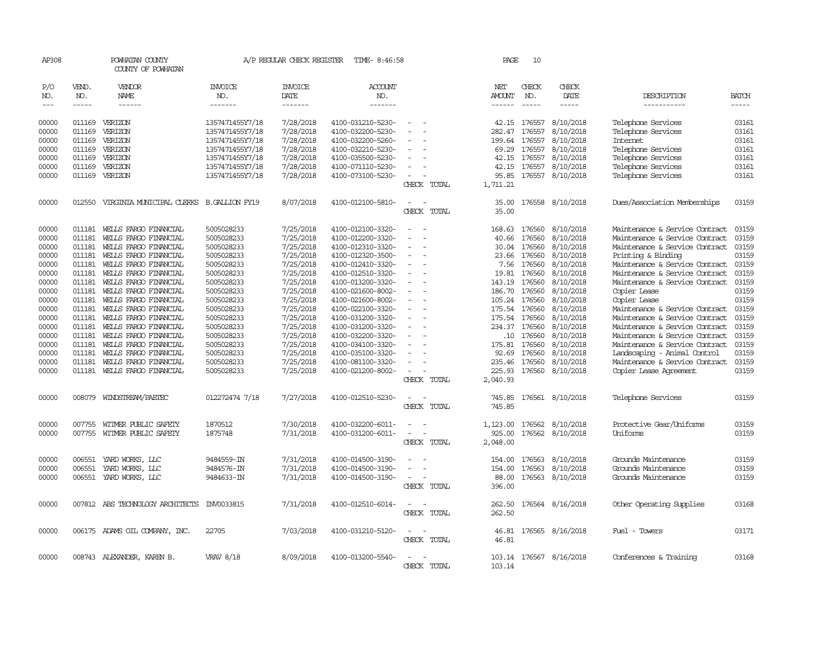| AP308   |               | POWHATAN COUNTY<br>COUNTY OF POWHATAN    |                 | A/P REGULAR CHECK REGISTER | TIME- 8:46:58     |                          | PAGE          | 10            |                  |                                |              |
|---------|---------------|------------------------------------------|-----------------|----------------------------|-------------------|--------------------------|---------------|---------------|------------------|--------------------------------|--------------|
| P/O     | VEND.         | VENDOR                                   | <b>INVOICE</b>  | <b>INVOICE</b>             | <b>ACCOUNT</b>    |                          | NET           | CHECK         | CHECK            |                                |              |
| NO.     | NO.           | <b>NAME</b>                              | NO.             | DATE                       | NO.               |                          | AMOUNT        | NO.           | DATE             | DESCRIPTION                    | <b>BATCH</b> |
| $- - -$ | $\frac{1}{2}$ | ------                                   | -------         | -------                    | -------           |                          | ------        | $\frac{1}{2}$ | $- - - - -$      | -----------                    | -----        |
| 00000   |               | 011169 VERIZON                           | 1357471455Y7/18 | 7/28/2018                  | 4100-031210-5230- | $\overline{\phantom{a}}$ |               | 42.15 176557  | 8/10/2018        | Telephone Services             | 03161        |
| 00000   | 011169        | VERIZON                                  | 1357471455Y7/18 | 7/28/2018                  | 4100-032200-5230- | $\equiv$                 | 282.47        | 176557        | 8/10/2018        | Telephone Services             | 03161        |
| 00000   | 011169        | VERIZON                                  | 1357471455Y7/18 | 7/28/2018                  | 4100-032200-5260- |                          | 199.64        | 176557        | 8/10/2018        | Internet.                      | 03161        |
| 00000   | 011169        | VERIZON                                  | 1357471455Y7/18 | 7/28/2018                  | 4100-032210-5230- | $\sim$                   | 69.29         | 176557        | 8/10/2018        | Telephone Services             | 03161        |
| 00000   | 011169        | VERIZON                                  | 1357471455Y7/18 | 7/28/2018                  | 4100-035500-5230- |                          | 42.15         | 176557        | 8/10/2018        | Telephone Services             | 03161        |
| 00000   | 011169        | VERIZON                                  | 1357471455Y7/18 | 7/28/2018                  | 4100-071110-5230- | $\equiv$                 | 42.15         | 176557        | 8/10/2018        | Telephone Services             | 03161        |
| 00000   |               | 011169 VERIZON                           | 1357471455Y7/18 | 7/28/2018                  | 4100-073100-5230- | $\overline{\phantom{a}}$ | 95.85         |               | 176557 8/10/2018 | Telephone Services             | 03161        |
|         |               |                                          |                 |                            |                   | CHECK TOTAL              | 1,711.21      |               |                  |                                |              |
| 00000   | 012550        | VIRGINIA MUNICIPAL CLERKS B.GALLION FY19 |                 | 8/07/2018                  | 4100-012100-5810- | $\equiv$                 | 35.00         |               | 176558 8/10/2018 | Dues/Association Memberships   | 03159        |
|         |               |                                          |                 |                            |                   | CHECK TOTAL              | 35.00         |               |                  |                                |              |
| 00000   | 011181        | WELLS FARGO FINANCIAL                    | 5005028233      | 7/25/2018                  | 4100-012100-3320- | $\equiv$                 | 168.63        | 176560        | 8/10/2018        | Maintenance & Service Contract | 03159        |
| 00000   | 011181        | WELLS FARGO FINANCIAL                    | 5005028233      | 7/25/2018                  | 4100-012200-3320- |                          | 40.66         | 176560        | 8/10/2018        | Maintenance & Service Contract | 03159        |
| 00000   | 011181        | WELLS FARGO FINANCIAL                    | 5005028233      | 7/25/2018                  | 4100-012310-3320- | $\sim$                   | 30.04         | 176560        | 8/10/2018        | Maintenance & Service Contract | 03159        |
| 00000   | 011181        | WELLS FARGO FINANCIAL                    | 5005028233      | 7/25/2018                  | 4100-012320-3500- |                          | 23.66         | 176560        | 8/10/2018        | Printing & Binding             | 03159        |
| 00000   | 011181        | WELLS FARGO FINANCIAL                    | 5005028233      | 7/25/2018                  | 4100-012410-3320- |                          | 7.56          | 176560        | 8/10/2018        | Maintenance & Service Contract | 03159        |
| 00000   | 011181        | WEILS FARGO FINANCIAL                    | 5005028233      | 7/25/2018                  | 4100-012510-3320- |                          | 19.81         | 176560        | 8/10/2018        | Maintenance & Service Contract | 03159        |
| 00000   | 011181        | WELLS FARGO FINANCIAL                    | 5005028233      | 7/25/2018                  | 4100-013200-3320- |                          | 143.19        | 176560        | 8/10/2018        | Maintenance & Service Contract | 03159        |
| 00000   | 011181        | WELLS FARGO FINANCIAL                    | 5005028233      | 7/25/2018                  | 4100-021600-8002- | $\equiv$                 | 186.70        | 176560        | 8/10/2018        | Copier Lease                   | 03159        |
| 00000   | 011181        | WELLS FARGO FINANCIAL                    | 5005028233      | 7/25/2018                  | 4100-021600-8002- |                          | 105.24        | 176560        | 8/10/2018        | Copier Lease                   | 03159        |
| 00000   | 011181        | WELLS FARGO FINANCIAL                    | 5005028233      | 7/25/2018                  | 4100-022100-3320- | $\equiv$                 | 175.54 176560 |               | 8/10/2018        | Maintenance & Service Contract | 03159        |
| 00000   | 011181        | WELLS FARGO FINANCIAL                    | 5005028233      | 7/25/2018                  | 4100-031200-3320- |                          | 175.54        | 176560        | 8/10/2018        | Maintenance & Service Contract | 03159        |
| 00000   | 011181        | WELLS FARGO FINANCIAL                    | 5005028233      | 7/25/2018                  | 4100-031200-3320- |                          | 234.37        | 176560        | 8/10/2018        | Maintenance & Service Contract | 03159        |
| 00000   | 011181        | WELLS FARGO FINANCIAL                    | 5005028233      | 7/25/2018                  | 4100-032200-3320- |                          | .10           | 176560        | 8/10/2018        | Maintenance & Service Contract | 03159        |
| 00000   | 011181        | WELLS FARGO FINANCIAL                    | 5005028233      | 7/25/2018                  | 4100-034100-3320- |                          | 175.81        | 176560        | 8/10/2018        | Maintenance & Service Contract | 03159        |
| 00000   | 011181        | WELLS FARGO FINANCIAL                    | 5005028233      | 7/25/2018                  | 4100-035100-3320- |                          | 92.69         | 176560        | 8/10/2018        | Landscaping - Animal Control   | 03159        |
| 00000   | 011181        | WELLS FARGO FINANCIAL                    | 5005028233      | 7/25/2018                  | 4100-081100-3320- |                          | 235.46        | 176560        | 8/10/2018        | Maintenance & Service Contract | 03159        |
| 00000   |               | 011181 WELLS FARGO FINANCIAL             | 5005028233      | 7/25/2018                  | 4100-021200-8002- | $\equiv$                 | 225.93        |               | 176560 8/10/2018 | Copier Lease Agreement         | 03159        |
|         |               |                                          |                 |                            |                   | CHECK TOTAL              | 2,040.93      |               |                  |                                |              |
| 00000   |               | 008079 WINDSTREAM/PAETEC                 | 012272474 7/18  | 7/27/2018                  | 4100-012510-5230- | $\sim$ 100 $\mu$         | 745.85        |               | 176561 8/10/2018 | Telephone Services             | 03159        |
|         |               |                                          |                 |                            |                   | CHECK TOTAL              | 745.85        |               |                  |                                |              |
| 00000   | 007755        | WITMER PUBLIC SAFETY                     | 1870512         | 7/30/2018                  | 4100-032200-6011- |                          | 1,123.00      |               | 176562 8/10/2018 | Protective Gear/Uniforms       | 03159        |
| 00000   |               | 007755 WITMER PUBLIC SAFETY              | 1875748         | 7/31/2018                  | 4100-031200-6011- | $\equiv$                 | 925.00        |               | 176562 8/10/2018 | <b>Uniforms</b>                | 03159        |
|         |               |                                          |                 |                            |                   | CHECK TOTAL              | 2,048.00      |               |                  |                                |              |
| 00000   | 006551        | YARD WORKS, LLC                          | 9484559-IN      | 7/31/2018                  | 4100-014500-3190- |                          | 154.00        | 176563        | 8/10/2018        | Grounds Maintenance            | 03159        |
| 00000   | 006551        | YARD WORKS, LLC                          | 9484576-IN      | 7/31/2018                  | 4100-014500-3190- | $\equiv$                 | 154.00        | 176563        | 8/10/2018        | Grounds Maintenance            | 03159        |
| 00000   | 006551        | YARD WORKS, LLC                          | 9484633-IN      | 7/31/2018                  | 4100-014500-3190- | $\equiv$                 | 88.00         | 176563        | 8/10/2018        | Grounds Maintenance            | 03159        |
|         |               |                                          |                 |                            |                   | CHECK TOTAL              | 396.00        |               |                  |                                |              |
| 00000   |               | 007812 ABS TECHNOLOGY ARCHITECTS         | INV0033815      | 7/31/2018                  | 4100-012510-6014- |                          | 262.50        |               | 176564 8/16/2018 | Other Operating Supplies       | 03168        |
|         |               |                                          |                 |                            |                   | CHECK TOTAL              | 262.50        |               |                  |                                |              |
| 00000   |               | 006175 ADAMS OIL COMPANY, INC.           | 22705           | 7/03/2018                  | 4100-031210-5120- | $\sim$                   | 46.81         |               | 176565 8/16/2018 | Fuel - Towers                  | 03171        |
|         |               |                                          |                 |                            |                   | CHECK TOTAL              | 46.81         |               |                  |                                |              |
| 00000   |               | 008743 ALEXANDER, KAREN B.               | VRAV 8/18       | 8/09/2018                  | 4100-013200-5540- |                          | 103.14        |               | 176567 8/16/2018 | Conferences & Training         | 03168        |
|         |               |                                          |                 |                            |                   | CHECK TOTAL              | 103.14        |               |                  |                                |              |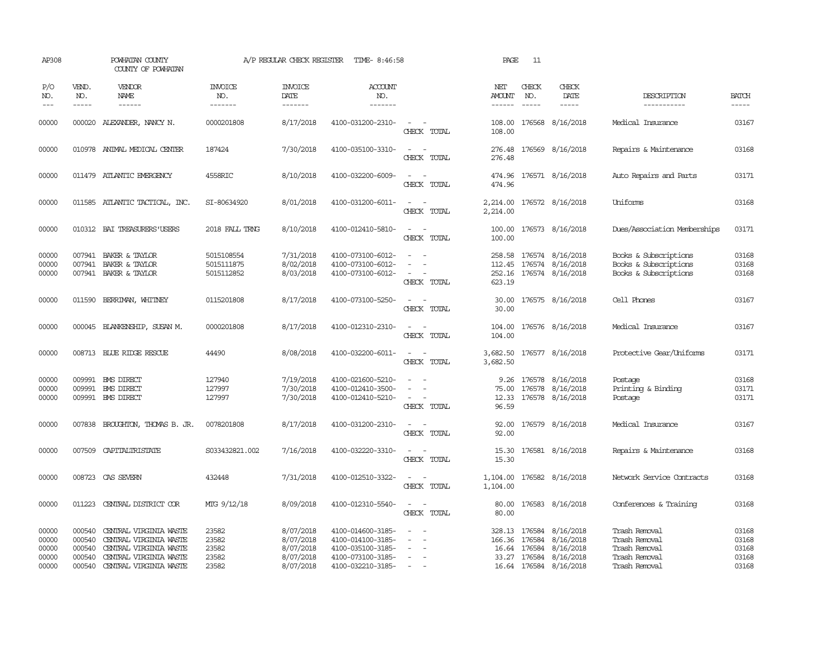| AP308                                     |                                                | POWHATAN COUNTY<br>COUNTY OF POWHATAN                                                                                          |                                           | A/P REGULAR CHECK REGISTER                                    | TIME- 8:46:58                                                                                         |                                                                                                                             | PAGE                           | 11                            |                                                                                                 |                                                                                   |                                           |
|-------------------------------------------|------------------------------------------------|--------------------------------------------------------------------------------------------------------------------------------|-------------------------------------------|---------------------------------------------------------------|-------------------------------------------------------------------------------------------------------|-----------------------------------------------------------------------------------------------------------------------------|--------------------------------|-------------------------------|-------------------------------------------------------------------------------------------------|-----------------------------------------------------------------------------------|-------------------------------------------|
| P/O<br>NO.<br>$---$                       | VEND.<br>NO.<br>$- - - - -$                    | <b>VENDOR</b><br>NAME<br>$- - - - - -$                                                                                         | <b>INVOICE</b><br>NO.<br>-------          | <b>INVOICE</b><br><b>DATE</b><br>-------                      | <b>ACCOUNT</b><br>NO.<br>-------                                                                      |                                                                                                                             | NET<br><b>AMOUNT</b><br>------ | CHECK<br>NO.<br>$\frac{1}{2}$ | CHECK<br>DATE<br>-----                                                                          | DESCRIPTION<br>-----------                                                        | <b>BATCH</b><br>-----                     |
| 00000                                     |                                                | 000020 ALEXANDER, NANCY N.                                                                                                     | 0000201808                                | 8/17/2018                                                     | 4100-031200-2310-                                                                                     | $\sim$ 10 $\sim$ 10 $\sim$<br>CHECK TOTAL                                                                                   | 108.00<br>108.00               |                               | 176568 8/16/2018                                                                                | Medical Insurance                                                                 | 03167                                     |
| 00000                                     |                                                | 010978 ANIMAL MEDICAL CENTER                                                                                                   | 187424                                    | 7/30/2018                                                     | 4100-035100-3310-                                                                                     | $\sim$ $\sim$<br>CHECK TOTAL                                                                                                | 276.48                         |                               | 276.48 176569 8/16/2018                                                                         | Repairs & Maintenance                                                             | 03168                                     |
| 00000                                     |                                                | 011479 ATLANTIC EMERGENCY                                                                                                      | 4558RIC                                   | 8/10/2018                                                     | 4100-032200-6009-                                                                                     | $\equiv$<br>CHECK TOTAL                                                                                                     | 474.96                         |                               | 474.96 176571 8/16/2018                                                                         | Auto Repairs and Parts                                                            | 03171                                     |
| 00000                                     |                                                | 011585 ATLANTIC TACTICAL, INC.                                                                                                 | SI-80634920                               | 8/01/2018                                                     | 4100-031200-6011-                                                                                     | $\omega_{\rm{max}}$ and $\omega_{\rm{max}}$<br>CHECK TOTAL                                                                  | 2,214.00                       |                               | 2,214.00 176572 8/16/2018                                                                       | Uniforms                                                                          | 03168                                     |
| 00000                                     |                                                | 010312 BAI TREASURERS USERS                                                                                                    | 2018 FALL TRNG                            | 8/10/2018                                                     | 4100-012410-5810-                                                                                     | $\sim$<br>$\sim$<br>CHECK TOTAL                                                                                             | 100.00                         |                               | 100.00 176573 8/16/2018                                                                         | Dues/Association Memberships                                                      | 03171                                     |
| 00000<br>00000<br>00000                   | 007941                                         | 007941 BAKER & TAYLOR<br>BAKER & TAYLOR<br>007941 BAKER & TAYLOR                                                               | 5015108554<br>5015111875<br>5015112852    | 7/31/2018<br>8/02/2018<br>8/03/2018                           | 4100-073100-6012-<br>4100-073100-6012-<br>4100-073100-6012-                                           | $\sim$<br>CHECK TOTAL                                                                                                       | 112.45<br>623.19               |                               | 258.58 176574 8/16/2018<br>176574 8/16/2018<br>252.16 176574 8/16/2018                          | Books & Subscriptions<br>Books & Subscriptions<br>Books & Subscriptions           | 03168<br>03168<br>03168                   |
| 00000                                     |                                                | 011590 BERRIMAN, WHITNEY                                                                                                       | 0115201808                                | 8/17/2018                                                     | 4100-073100-5250-                                                                                     | CHECK TOTAL                                                                                                                 | 30.00                          |                               | 30.00 176575 8/16/2018                                                                          | Cell Phones                                                                       | 03167                                     |
| 00000                                     |                                                | 000045 BLANKENSHIP, SUSAN M.                                                                                                   | 0000201808                                | 8/17/2018                                                     | 4100-012310-2310-                                                                                     | $\sim$ 10 $\sim$ 10 $\sim$<br>CHECK TOTAL                                                                                   | 104.00<br>104.00               |                               | 176576 8/16/2018                                                                                | Medical Insurance                                                                 | 03167                                     |
| 00000                                     |                                                | 008713 BLUE RIDGE RESCUE                                                                                                       | 44490                                     | 8/08/2018                                                     | 4100-032200-6011-                                                                                     | $\sim$ $\sim$<br>CHECK TOTAL                                                                                                | 3,682.50                       |                               | 3,682.50 176577 8/16/2018                                                                       | Protective Gear/Uniforms                                                          | 03171                                     |
| 00000<br>00000<br>00000                   | 009991                                         | 009991 BMS DIRECT<br><b>EMS DIRECT</b><br>009991 BMS DIRECT                                                                    | 127940<br>127997<br>127997                | 7/19/2018<br>7/30/2018<br>7/30/2018                           | 4100-021600-5210-<br>4100-012410-3500-<br>4100-012410-5210-                                           | $\sim$<br>CHECK TOTAL                                                                                                       | 75.00<br>12.33<br>96.59        |                               | 9.26 176578 8/16/2018<br>176578 8/16/2018<br>176578 8/16/2018                                   | Postage<br>Printing & Binding<br>Postage                                          | 03168<br>03171<br>03171                   |
| 00000                                     |                                                | 007838 BROUGHTON, THOMAS B. JR.                                                                                                | 0078201808                                | 8/17/2018                                                     | 4100-031200-2310-                                                                                     | CHECK TOTAL                                                                                                                 | 92.00                          |                               | 92.00 176579 8/16/2018                                                                          | Medical Insurance                                                                 | 03167                                     |
| 00000                                     |                                                | 007509 CAPITALIRISTATE                                                                                                         | S033432821.002                            | 7/16/2018                                                     | 4100-032220-3310-                                                                                     | $\equiv$<br>CHECK TOTAL                                                                                                     | 15.30                          |                               | 15.30 176581 8/16/2018                                                                          | Repairs & Maintenance                                                             | 03168                                     |
| 00000                                     |                                                | 008723 CAS SEVERN                                                                                                              | 432448                                    | 7/31/2018                                                     | 4100-012510-3322-                                                                                     | $\sim$ $ \sim$<br>CHECK TOTAL                                                                                               | 1,104.00                       |                               | 1,104.00 176582 8/16/2018                                                                       | Network Service Contracts                                                         | 03168                                     |
| 00000                                     |                                                | 011223 CENTRAL DISTRICT COR                                                                                                    | MTG 9/12/18                               | 8/09/2018                                                     | 4100-012310-5540-                                                                                     | $\frac{1}{2} \left( \frac{1}{2} \right) \left( \frac{1}{2} \right) = \frac{1}{2} \left( \frac{1}{2} \right)$<br>CHECK TOTAL | 80.00                          |                               | 80.00 176583 8/16/2018                                                                          | Conferences & Training                                                            | 03168                                     |
| 00000<br>00000<br>00000<br>00000<br>00000 | 000540<br>000540<br>000540<br>000540<br>000540 | CENTRAL VIRGINIA WASTE<br>CENTRAL VIRGINIA WASTE<br>CENTRAL VIRGINIA WASTE<br>CENTRAL VIRGINIA WASTE<br>CENTRAL VIRGINIA WASTE | 23582<br>23582<br>23582<br>23582<br>23582 | 8/07/2018<br>8/07/2018<br>8/07/2018<br>8/07/2018<br>8/07/2018 | 4100-014600-3185-<br>4100-014100-3185-<br>4100-035100-3185-<br>4100-073100-3185-<br>4100-032210-3185- | $\equiv$<br>$\sim$<br>$\sim$ $-$                                                                                            | 166.36<br>33.27                | 176584<br>16.64 176584        | 328.13 176584 8/16/2018<br>8/16/2018<br>8/16/2018<br>176584 8/16/2018<br>16.64 176584 8/16/2018 | Trash Removal<br>Trash Removal<br>Trash Removal<br>Trash Removal<br>Trash Removal | 03168<br>03168<br>03168<br>03168<br>03168 |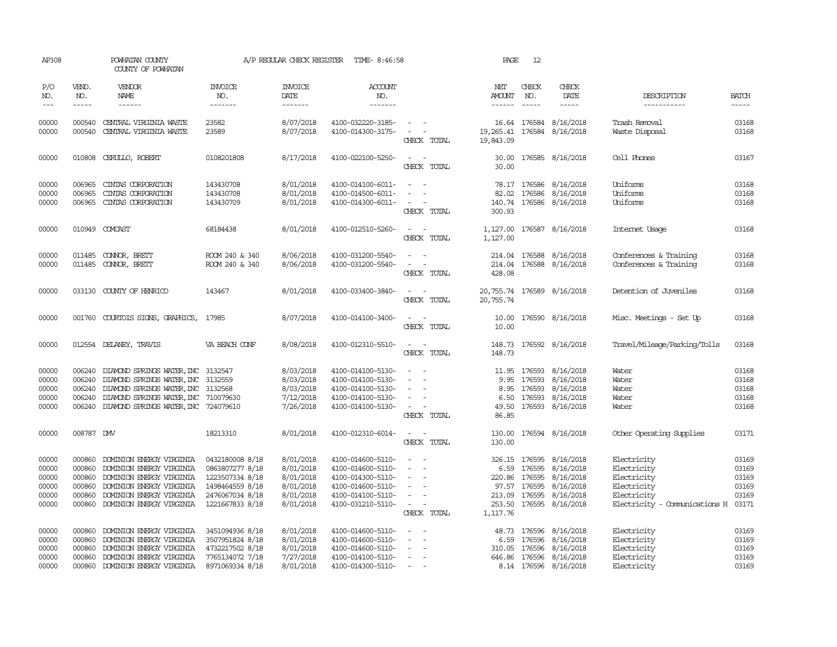| AP308                                              |                                                | POWHATAN COUNTY<br>COUNTY OF POWHATAN                                                                                                                                                                                                                                                                                                                                                                                                                                     |                                                                                                                | A/P REGULAR CHECK REGISTER                                                 | TIME-8:46:58                                                                                                               |                                                                                                                             | PAGE                                     | 12                                                     |                                                                                                        |                                                                                                                |                                           |
|----------------------------------------------------|------------------------------------------------|---------------------------------------------------------------------------------------------------------------------------------------------------------------------------------------------------------------------------------------------------------------------------------------------------------------------------------------------------------------------------------------------------------------------------------------------------------------------------|----------------------------------------------------------------------------------------------------------------|----------------------------------------------------------------------------|----------------------------------------------------------------------------------------------------------------------------|-----------------------------------------------------------------------------------------------------------------------------|------------------------------------------|--------------------------------------------------------|--------------------------------------------------------------------------------------------------------|----------------------------------------------------------------------------------------------------------------|-------------------------------------------|
| P/O<br>NO.<br>$---$                                | VEND.<br>NO.<br>$- - - - -$                    | VENDOR<br>NAME<br>$\begin{tabular}{ccccc} \multicolumn{2}{c }{\multicolumn{2}{c }{\multicolumn{2}{c }{\multicolumn{2}{c}}{\hspace{-2.2cm}}}} \multicolumn{2}{c }{\multicolumn{2}{c }{\hspace{-2.2cm}}\hline} \multicolumn{2}{c }{\hspace{-2.2cm}}\hline \multicolumn{2}{c }{\hspace{-2.2cm}}\hline \multicolumn{2}{c }{\hspace{-2.2cm}}\hline \multicolumn{2}{c }{\hspace{-2.2cm}}\hline \multicolumn{2}{c }{\hspace{-2.2cm}}\hline \multicolumn{2}{c }{\hspace{-2.2cm}}$ | <b>INVOICE</b><br>NO.<br>-------                                                                               | <b>INVOICE</b><br><b>DATE</b><br>-------                                   | <b>ACCOUNT</b><br>NO.<br>-------                                                                                           |                                                                                                                             | NET<br>AMOUNT<br>------                  | CHECK<br>NO.<br>$\frac{1}{2}$                          | CHECK<br>DATE<br>$- - - - -$                                                                           | DESCRIPTION<br>-----------                                                                                     | <b>BATCH</b><br>-----                     |
| 00000<br>00000                                     | 000540                                         | 000540 CENTRAL VIRGINIA WASTE<br>CENTRAL VIRGINIA WASTE                                                                                                                                                                                                                                                                                                                                                                                                                   | 23582<br>23589                                                                                                 | 8/07/2018<br>8/07/2018                                                     | 4100-032220-3185-<br>4100-014300-3175-                                                                                     | $\sim$ $\sim$<br>$\sim$ $ -$<br>CHECK TOTAL                                                                                 | 19, 265.41 176584 8/16/2018<br>19,843.09 |                                                        | 16.64 176584 8/16/2018                                                                                 | Trash Removal<br>Waste Disposal                                                                                | 03168<br>03168                            |
| 00000                                              |                                                | 010808 CERULLO, ROBERT                                                                                                                                                                                                                                                                                                                                                                                                                                                    | 0108201808                                                                                                     | 8/17/2018                                                                  | 4100-022100-5250-                                                                                                          | $\overline{\phantom{a}}$<br>CHECK TOTAL                                                                                     | 30.00<br>30.00                           |                                                        | 176585 8/16/2018                                                                                       | Cell Phones                                                                                                    | 03167                                     |
| 00000<br>00000<br>00000                            | 006965<br>006965                               | CINIAS CORPORATION<br>CINIAS CORPORATION<br>006965 CINTAS CORPORATION                                                                                                                                                                                                                                                                                                                                                                                                     | 143430708<br>143430708<br>143430709                                                                            | 8/01/2018<br>8/01/2018<br>8/01/2018                                        | 4100-014100-6011-<br>4100-014500-6011-<br>4100-014300-6011-                                                                | $\sim$<br>CHECK TOTAL                                                                                                       | 300.93                                   |                                                        | 78.17 176586 8/16/2018<br>82.02 176586 8/16/2018<br>140.74 176586 8/16/2018                            | Uniforms<br>Uniforms<br>Uniforms                                                                               | 03168<br>03168<br>03168                   |
| 00000                                              |                                                | 010949 COMCAST                                                                                                                                                                                                                                                                                                                                                                                                                                                            | 68184438                                                                                                       | 8/01/2018                                                                  | 4100-012510-5260-                                                                                                          | $\sim$ $\sim$<br>CHECK TOTAL                                                                                                | 1,127.00                                 |                                                        | 1,127.00 176587 8/16/2018                                                                              | Internet Usage                                                                                                 | 03168                                     |
| 00000<br>00000                                     | 011485                                         | CONNOR, BRETT<br>011485 CONNOR, BRETT                                                                                                                                                                                                                                                                                                                                                                                                                                     | ROOM 240 & 340<br>ROOM 240 & 340                                                                               | 8/06/2018<br>8/06/2018                                                     | 4100-031200-5540-<br>4100-031200-5540-                                                                                     | $\sim$<br>CHECK TOTAL                                                                                                       | 214.04<br>428.08                         |                                                        | 214.04 176588 8/16/2018<br>176588 8/16/2018                                                            | Conferences & Training<br>Conferences & Training                                                               | 03168<br>03168                            |
| 00000                                              |                                                | 033130 COUNTY OF HENRICO                                                                                                                                                                                                                                                                                                                                                                                                                                                  | 143467                                                                                                         | 8/01/2018                                                                  | 4100-033400-3840-                                                                                                          | CHECK TOTAL                                                                                                                 | 20,755.74                                |                                                        | 20, 755.74 176589 8/16/2018                                                                            | Detention of Juveniles                                                                                         | 03168                                     |
| 00000                                              |                                                | 001760 COURTOIS SIGNS, GRAPHICS,                                                                                                                                                                                                                                                                                                                                                                                                                                          | 17985                                                                                                          | 8/07/2018                                                                  | 4100-014100-3400-                                                                                                          | $\frac{1}{2} \left( \frac{1}{2} \right) \left( \frac{1}{2} \right) = \frac{1}{2} \left( \frac{1}{2} \right)$<br>CHECK TOTAL | 10.00                                    |                                                        | 10.00 176590 8/16/2018                                                                                 | Misc. Meetings - Set Up                                                                                        | 03168                                     |
| 00000                                              |                                                | 012554 DELANEY, TRAVIS                                                                                                                                                                                                                                                                                                                                                                                                                                                    | VA BEACH CONF                                                                                                  | 8/08/2018                                                                  | 4100-012310-5510-                                                                                                          | CHECK TOTAL                                                                                                                 | 148.73                                   |                                                        | 148.73 176592 8/16/2018                                                                                | Travel/Mileage/Parking/Tolls                                                                                   | 03168                                     |
| 00000<br>00000<br>00000<br>00000<br>00000          | 006240<br>006240                               | 006240 DIAMOND SPRINGS WATER, INC 3132547<br>006240 DIAMOND SPRINGS WATER, INC 3132559<br>DIAMOND SPRINGS WATER, INC 3132568<br>DIAMOND SPRINGS WATER, INC 710079630<br>006240 DIAMOND SPRINGS WATER, INC 724079610                                                                                                                                                                                                                                                       |                                                                                                                | 8/03/2018<br>8/03/2018<br>8/03/2018<br>7/12/2018<br>7/26/2018              | 4100-014100-5130-<br>4100-014100-5130-<br>4100-014100-5130-<br>4100-014100-5130-<br>4100-014100-5130-                      | $\sim$<br>$\equiv$<br>$\sim$<br>$\sim$ $ \sim$<br>CHECK TOTAL                                                               | 8.95<br>6.50<br>86.85                    | 9.95 176593<br>176593<br>176593                        | 11.95 176593 8/16/2018<br>8/16/2018<br>8/16/2018<br>8/16/2018<br>49.50 176593 8/16/2018                | Water<br>Water<br>Water<br>Water<br>Water                                                                      | 03168<br>03168<br>03168<br>03168<br>03168 |
| 00000                                              | 008787 DMV                                     |                                                                                                                                                                                                                                                                                                                                                                                                                                                                           | 18213310                                                                                                       | 8/01/2018                                                                  | 4100-012310-6014-                                                                                                          | $\overline{\phantom{a}}$<br>$\sim$<br>CHECK TOTAL                                                                           | 130.00<br>130.00                         |                                                        | 176594 8/16/2018                                                                                       | Other Operating Supplies                                                                                       | 03171                                     |
| 00000<br>00000<br>00000<br>00000<br>00000<br>00000 | 000860<br>000860<br>000860<br>000860<br>000860 | DOMINION ENERGY VIRGINIA<br>DOMINION ENERGY VIRGINIA<br>DOMINION ENERGY VIRGINIA<br>DOMINION ENERGY VIRGINIA<br>DOMINION ENERGY VIRGINIA<br>000860 DOMINION ENERGY VIRGINIA                                                                                                                                                                                                                                                                                               | 0432180008 8/18<br>0863807277 8/18<br>1223507334 8/18<br>1498464559 8/18<br>2476067034 8/18<br>1221667833 8/18 | 8/01/2018<br>8/01/2018<br>8/01/2018<br>8/01/2018<br>8/01/2018<br>8/01/2018 | 4100-014600-5110-<br>4100-014600-5110-<br>4100-014300-5110-<br>4100-014600-5110-<br>4100-014100-5110-<br>4100-031210-5110- | $\sim$<br>$\overline{\phantom{a}}$<br>$\sim$ $ \sim$<br>CHECK TOTAL                                                         | 213.09<br>1,117.76                       | 6.59 176595<br>220.86 176595<br>97.57 176595<br>176595 | 326.15 176595 8/16/2018<br>8/16/2018<br>8/16/2018<br>8/16/2018<br>8/16/2018<br>253.50 176595 8/16/2018 | Electricity<br>Electricity<br>Electricity<br>Electricity<br>Electricity<br>Electricity - Comunications H 03171 | 03169<br>03169<br>03169<br>03169<br>03169 |
| 00000<br>00000<br>00000<br>00000<br>00000          | 000860<br>000860<br>000860<br>000860<br>000860 | DOMINION ENERGY VIRGINIA<br>DOMINION ENERGY VIRGINIA<br>DOMINION ENERGY VIRGINIA<br>DOMINION ENERGY VIRGINIA<br>DOMINION ENERGY VIRGINIA                                                                                                                                                                                                                                                                                                                                  | 3451094936 8/18<br>3507951824 8/18<br>4732217502 8/18<br>7765134072 7/18<br>8971069334 8/18                    | 8/01/2018<br>8/01/2018<br>8/01/2018<br>7/27/2018<br>8/01/2018              | 4100-014600-5110-<br>4100-014600-5110-<br>4100-014600-5110-<br>4100-014100-5110-<br>4100-014300-5110-                      | $\sim$<br>$\overline{\phantom{a}}$<br>$\sim$                                                                                | 6.59<br>310.05                           | 176596<br>176596                                       | 48.73 176596 8/16/2018<br>8/16/2018<br>8/16/2018<br>646.86 176596 8/16/2018<br>8.14 176596 8/16/2018   | Electricity<br>Electricity<br>Electricity<br>Electricity<br>Electricity                                        | 03169<br>03169<br>03169<br>03169<br>03169 |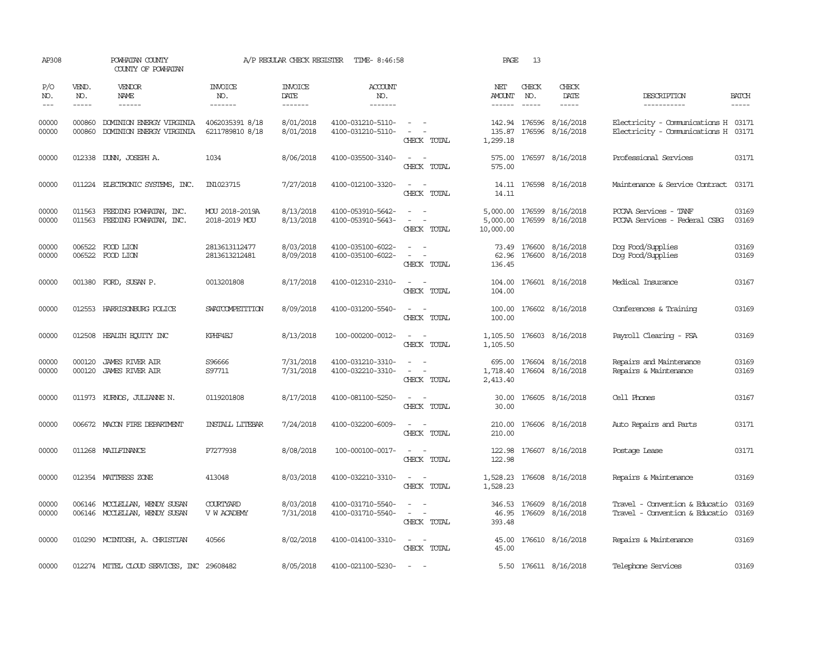| AP308               |                       | POWHATAN COUNTY<br>COUNTY OF POWHATAN                                                                                                                                                                                                                                                                                                                                                                                                                                            |                                    | A/P REGULAR CHECK REGISTER               | TIME- 8:46:58                          |                                                                                                                             | PAGE                 | 13                            |                                                        |                                                                            |                       |
|---------------------|-----------------------|----------------------------------------------------------------------------------------------------------------------------------------------------------------------------------------------------------------------------------------------------------------------------------------------------------------------------------------------------------------------------------------------------------------------------------------------------------------------------------|------------------------------------|------------------------------------------|----------------------------------------|-----------------------------------------------------------------------------------------------------------------------------|----------------------|-------------------------------|--------------------------------------------------------|----------------------------------------------------------------------------|-----------------------|
| P/O<br>NO.<br>$---$ | VEND.<br>NO.<br>----- | <b>VENDOR</b><br>NAME<br>$\begin{tabular}{ccccc} \multicolumn{2}{c }{\multicolumn{2}{c }{\multicolumn{2}{c }{\multicolumn{2}{c}}{\hspace{-2.2cm}}}} \multicolumn{2}{c }{\multicolumn{2}{c }{\hspace{-2.2cm}}\hline} \multicolumn{2}{c }{\hspace{-2.2cm}}\hline \multicolumn{2}{c }{\hspace{-2.2cm}}\hline \multicolumn{2}{c }{\hspace{-2.2cm}}\hline \multicolumn{2}{c }{\hspace{-2.2cm}}\hline \multicolumn{2}{c }{\hspace{-2.2cm}}\hline \multicolumn{2}{c }{\hspace{-2.2cm}}$ | <b>INVOICE</b><br>NO.<br>-------   | <b>INVOICE</b><br><b>DATE</b><br>------- | <b>ACCOUNT</b><br>NO.<br>-------       |                                                                                                                             | NET<br>AMOUNT        | CHECK<br>NO.<br>$\frac{1}{2}$ | CHECK<br>DATE<br>$- - - - -$                           | DESCRIPTION<br>-----------                                                 | <b>BATCH</b><br>----- |
| 00000<br>00000      | 000860<br>000860      | DOMINION ENERGY VIRGINIA<br>DOMINION ENERGY VIRGINIA                                                                                                                                                                                                                                                                                                                                                                                                                             | 4062035391 8/18<br>6211789810 8/18 | 8/01/2018<br>8/01/2018                   | 4100-031210-5110-<br>4100-031210-5110- | $\sim$ $ \sim$<br>$\omega_{\rm{max}}$ and $\omega_{\rm{max}}$<br>CHECK TOTAL                                                | 1,299.18             |                               | 142.94 176596 8/16/2018<br>135.87 176596 8/16/2018     | Electricity - Comunications H 03171<br>Electricity - Comunications H 03171 |                       |
| 00000               |                       | 012338 DUNN, JOSEPH A.                                                                                                                                                                                                                                                                                                                                                                                                                                                           | 1034                               | 8/06/2018                                | 4100-035500-3140-                      | $\equiv$<br>$\sim$<br>CHECK TOTAL                                                                                           | 575.00<br>575.00     |                               | 176597 8/16/2018                                       | Professional Services                                                      | 03171                 |
| 00000               |                       | 011224 ELECTRONIC SYSTEMS, INC.                                                                                                                                                                                                                                                                                                                                                                                                                                                  | IN1023715                          | 7/27/2018                                | 4100-012100-3320-                      | $\sim$<br>$\sim$<br>CHECK TOTAL                                                                                             | 14.11                |                               | 14.11 176598 8/16/2018                                 | Maintenance & Service Contract                                             | 03171                 |
| 00000<br>00000      | 011563                | FEEDING POWHATAN, INC.<br>011563 FEEDING POWHATAN, INC.                                                                                                                                                                                                                                                                                                                                                                                                                          | MOU 2018-2019A<br>2018-2019 MOU    | 8/13/2018<br>8/13/2018                   | 4100-053910-5642-<br>4100-053910-5643- | $\equiv$<br>$\overline{\phantom{a}}$<br>CHECK TOTAL                                                                         | 10,000.00            |                               | 5,000.00 176599 8/16/2018<br>5,000.00 176599 8/16/2018 | PCCAA Services - TANF<br>PCCAA Services - Federal CSBG                     | 03169<br>03169        |
| 00000<br>00000      |                       | 006522 FOOD LION<br>006522 FOOD LION                                                                                                                                                                                                                                                                                                                                                                                                                                             | 2813613112477<br>2813613212481     | 8/03/2018<br>8/09/2018                   | 4100-035100-6022-<br>4100-035100-6022- | $\sim$ $ \sim$<br>$\sim$ $ \sim$<br>CHECK TOTAL                                                                             | 136.45               |                               | 73.49 176600 8/16/2018<br>62.96 176600 8/16/2018       | Dog Food/Supplies<br>Dog Food/Supplies                                     | 03169<br>03169        |
| 00000               |                       | 001380 FORD, SUSAN P.                                                                                                                                                                                                                                                                                                                                                                                                                                                            | 0013201808                         | 8/17/2018                                | 4100-012310-2310-                      | $\sim$ $ \sim$<br>CHECK TOTAL                                                                                               | 104.00               |                               | 104.00 176601 8/16/2018                                | Medical Insurance                                                          | 03167                 |
| 00000               |                       | 012553 HARRISONBURG POLICE                                                                                                                                                                                                                                                                                                                                                                                                                                                       | SWATCOMPETITION                    | 8/09/2018                                | 4100-031200-5540-                      | $\sim$ $\sim$<br>CHECK TOTAL                                                                                                | 100.00<br>100.00     |                               | 176602 8/16/2018                                       | Conferences & Training                                                     | 03169                 |
| 00000               |                       | 012508 HEALTH EQUITY INC                                                                                                                                                                                                                                                                                                                                                                                                                                                         | KPHF4EJ                            | 8/13/2018                                | 100-000200-0012-                       | $\sim$<br>CHECK TOTAL                                                                                                       | 1,105.50<br>1,105.50 |                               | 176603 8/16/2018                                       | Payroll Clearing - FSA                                                     | 03169                 |
| 00000<br>00000      | 000120<br>000120      | <b>JAMES RIVER AIR</b><br><b>JAMES RIVER AIR</b>                                                                                                                                                                                                                                                                                                                                                                                                                                 | S96666<br>S97711                   | 7/31/2018<br>7/31/2018                   | 4100-031210-3310-<br>4100-032210-3310- | $\sim$ 100 $\sim$<br>$\sim$ 100 $\sim$<br>CHECK TOTAL                                                                       | 1,718.40<br>2,413.40 |                               | 695.00 176604 8/16/2018<br>176604 8/16/2018            | Repairs and Maintenance<br>Repairs & Maintenance                           | 03169<br>03169        |
| 00000               |                       | 011973 KURNOS, JULIANNE N.                                                                                                                                                                                                                                                                                                                                                                                                                                                       | 0119201808                         | 8/17/2018                                | 4100-081100-5250-                      | $\sim$ $\sim$<br>CHECK TOTAL                                                                                                | 30.00<br>30.00       |                               | 176605 8/16/2018                                       | Cell Phones                                                                | 03167                 |
| 00000               |                       | 006672 MACON FIRE DEPARTMENT                                                                                                                                                                                                                                                                                                                                                                                                                                                     | <b>INSTALL LITEBAR</b>             | 7/24/2018                                | 4100-032200-6009-                      | $\frac{1}{2} \left( \frac{1}{2} \right) \left( \frac{1}{2} \right) = \frac{1}{2} \left( \frac{1}{2} \right)$<br>CHECK TOTAL | 210.00               |                               | 210.00 176606 8/16/2018                                | Auto Repairs and Parts                                                     | 03171                 |
| 00000               |                       | 011268 MAILFINANCE                                                                                                                                                                                                                                                                                                                                                                                                                                                               | P7277938                           | 8/08/2018                                | 100-000100-0017-                       | $\sim$ $ \sim$<br>CHECK TOTAL                                                                                               | 122.98               |                               | 122.98 176607 8/16/2018                                | Postage Lease                                                              | 03171                 |
| 00000               |                       | 012354 MATTRESS ZONE                                                                                                                                                                                                                                                                                                                                                                                                                                                             | 413048                             | 8/03/2018                                | 4100-032210-3310-                      | $\sim$ 100 $\sim$<br>CHECK TOTAL                                                                                            | 1,528.23             |                               | 1,528.23 176608 8/16/2018                              | Repairs & Maintenance                                                      | 03169                 |
| 00000<br>00000      |                       | 006146 MCCLELLAN, WENDY SUSAN<br>006146 MCCLELLAN, WENDY SUSAN                                                                                                                                                                                                                                                                                                                                                                                                                   | COURTYARD<br>V W ACADEMY           | 8/03/2018<br>7/31/2018                   | 4100-031710-5540-<br>4100-031710-5540- | $\omega_{\rm{max}}$ and $\omega_{\rm{max}}$<br>CHECK TOTAL                                                                  | 393.48               |                               | 346.53 176609 8/16/2018<br>46.95 176609 8/16/2018      | Travel - Convention & Educatio<br>Travel - Convention & Educatio           | 03169<br>03169        |
| 00000               |                       | 010290 MCINTOSH, A. CHRISTIAN                                                                                                                                                                                                                                                                                                                                                                                                                                                    | 40566                              | 8/02/2018                                | 4100-014100-3310-                      | $\sim$ $-$<br>CHECK TOTAL                                                                                                   | 45.00                |                               | 45.00 176610 8/16/2018                                 | Repairs & Maintenance                                                      | 03169                 |
| 00000               |                       | 012274 MITEL CLOUD SERVICES, INC 29608482                                                                                                                                                                                                                                                                                                                                                                                                                                        |                                    | 8/05/2018                                | 4100-021100-5230-                      | $\sim$ $-$                                                                                                                  |                      |                               | 5.50 176611 8/16/2018                                  | Telephone Services                                                         | 03169                 |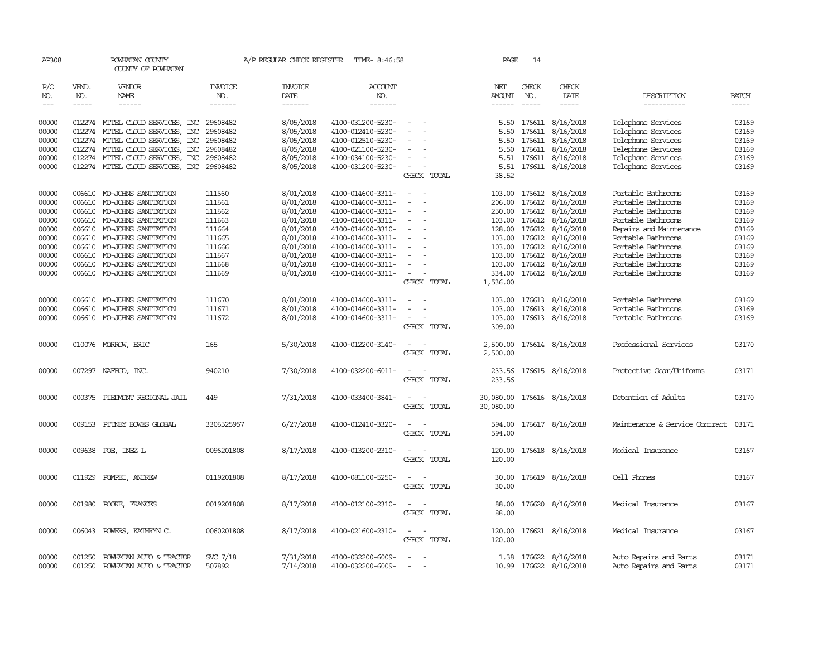| AP308                 |                               | POWHATAN COUNTY<br>COUNTY OF POWHATAN                                                                                                                                                                                                                                                                                                                                                                                                                                                        |                                  | A/P REGULAR CHECK REGISTER         | TIME- 8:46:58                          |                                                     | PAGE                                  | 14                            |                                      |                                                  |                        |
|-----------------------|-------------------------------|----------------------------------------------------------------------------------------------------------------------------------------------------------------------------------------------------------------------------------------------------------------------------------------------------------------------------------------------------------------------------------------------------------------------------------------------------------------------------------------------|----------------------------------|------------------------------------|----------------------------------------|-----------------------------------------------------|---------------------------------------|-------------------------------|--------------------------------------|--------------------------------------------------|------------------------|
| P/O<br>NO.<br>$- - -$ | VEND.<br>NO.<br>$\frac{1}{2}$ | VENDOR<br>NAME<br>$\frac{1}{2} \left( \frac{1}{2} \right) \left( \frac{1}{2} \right) \left( \frac{1}{2} \right) \left( \frac{1}{2} \right) \left( \frac{1}{2} \right) \left( \frac{1}{2} \right) \left( \frac{1}{2} \right) \left( \frac{1}{2} \right) \left( \frac{1}{2} \right) \left( \frac{1}{2} \right) \left( \frac{1}{2} \right) \left( \frac{1}{2} \right) \left( \frac{1}{2} \right) \left( \frac{1}{2} \right) \left( \frac{1}{2} \right) \left( \frac{1}{2} \right) \left( \frac$ | <b>INVOICE</b><br>NO.<br>------- | <b>INVOICE</b><br>DATE<br>-------- | ACCOUNT<br>NO.<br>-------              |                                                     | NET<br><b>AMOUNT</b><br>$- - - - - -$ | CHECK<br>NO.<br>$\frac{1}{2}$ | CHECK<br>DATE<br>$\frac{1}{2}$       | DESCRIPTION<br>-----------                       | BATCH<br>$\frac{1}{2}$ |
| 00000<br>00000        | 012274<br>012274              | MITEL CLOUD SERVICES, INC<br>MITEL CLOUD SERVICES, INC                                                                                                                                                                                                                                                                                                                                                                                                                                       | 29608482<br>29608482             | 8/05/2018<br>8/05/2018             | 4100-031200-5230-<br>4100-012410-5230- | $\sim$                                              | 5.50<br>5.50                          | 176611                        | 176611 8/16/2018<br>8/16/2018        | Telephone Services<br>Telephone Services         | 03169<br>03169         |
| 00000                 | 012274                        | MITEL CLOUD SERVICES, INC                                                                                                                                                                                                                                                                                                                                                                                                                                                                    | 29608482                         | 8/05/2018                          | 4100-012510-5230-                      |                                                     | 5.50                                  |                               | 176611 8/16/2018                     | Telephone Services                               | 03169                  |
| 00000                 | 012274                        | MITEL CLOUD SERVICES, INC                                                                                                                                                                                                                                                                                                                                                                                                                                                                    | 29608482                         | 8/05/2018                          | 4100-021100-5230-                      | $\sim$                                              | 5.50                                  | 176611                        | 8/16/2018                            | Telephone Services                               | 03169                  |
| 00000                 | 012274                        | MITEL CLOUD SERVICES, INC                                                                                                                                                                                                                                                                                                                                                                                                                                                                    | 29608482                         | 8/05/2018                          | 4100-034100-5230-                      |                                                     | 5.51                                  |                               | 176611 8/16/2018                     | Telephone Services                               | 03169                  |
| 00000                 |                               | 012274 MITEL CLOUD SERVICES, INC                                                                                                                                                                                                                                                                                                                                                                                                                                                             | 29608482                         | 8/05/2018                          | 4100-031200-5230-                      |                                                     | 5.51                                  |                               | 176611 8/16/2018                     | Telephone Services                               | 03169                  |
|                       |                               |                                                                                                                                                                                                                                                                                                                                                                                                                                                                                              |                                  |                                    |                                        | CHECK TOTAL                                         | 38.52                                 |                               |                                      |                                                  |                        |
| 00000                 | 006610                        | MO-JOHNS SANITATION                                                                                                                                                                                                                                                                                                                                                                                                                                                                          | 111660                           | 8/01/2018                          | 4100-014600-3311-                      | $\equiv$                                            | 103.00                                |                               | 176612 8/16/2018                     | Portable Bathrooms                               | 03169                  |
| 00000                 | 006610                        | MO-JOHNS SANITATION                                                                                                                                                                                                                                                                                                                                                                                                                                                                          | 111661                           | 8/01/2018                          | 4100-014600-3311-                      | $\sim$                                              | 206.00                                | 176612                        | 8/16/2018                            | Portable Bathrooms                               | 03169                  |
| 00000                 |                               | 006610 MO-JOHNS SANITATION                                                                                                                                                                                                                                                                                                                                                                                                                                                                   | 111662                           | 8/01/2018                          | 4100-014600-3311-                      | $\sim$                                              | 250.00                                |                               | 176612 8/16/2018                     | Portable Bathrooms                               | 03169                  |
| 00000                 | 006610                        | MO-JOHNS SANITATION                                                                                                                                                                                                                                                                                                                                                                                                                                                                          | 111663                           | 8/01/2018                          | 4100-014600-3311-                      | $\overline{\phantom{a}}$                            | 103.00                                | 176612                        | 8/16/2018                            | Portable Bathrooms                               | 03169                  |
| 00000                 | 006610                        | MO-JOHNS SANITATION                                                                                                                                                                                                                                                                                                                                                                                                                                                                          | 111664                           | 8/01/2018                          | 4100-014600-3310-                      |                                                     |                                       | 128.00 176612                 | 8/16/2018                            | Repairs and Maintenance                          | 03169                  |
| 00000                 |                               | 006610 MO-JOHNS SANITATION                                                                                                                                                                                                                                                                                                                                                                                                                                                                   | 111665                           | 8/01/2018                          | 4100-014600-3311-                      | $\overline{\phantom{a}}$                            |                                       |                               | 103.00 176612 8/16/2018              | Portable Bathrooms                               | 03169                  |
| 00000                 |                               | 006610 MO-JOHNS SANITATION                                                                                                                                                                                                                                                                                                                                                                                                                                                                   | 111666                           | 8/01/2018                          | 4100-014600-3311-                      | $\sim$                                              | 103.00                                | 176612                        | 8/16/2018                            | Portable Bathrooms                               | 03169                  |
| 00000                 |                               | 006610 MO-JOHNS SANITATION                                                                                                                                                                                                                                                                                                                                                                                                                                                                   | 111667                           | 8/01/2018                          | 4100-014600-3311-                      |                                                     | 103.00                                |                               | 176612 8/16/2018                     | Portable Bathrooms                               | 03169                  |
| 00000                 |                               | 006610 MO-JOHNS SANITATION                                                                                                                                                                                                                                                                                                                                                                                                                                                                   | 111668                           | 8/01/2018                          | 4100-014600-3311-                      | $\bar{\phantom{a}}$                                 | 103.00                                |                               | 176612 8/16/2018                     | Portable Bathrooms                               | 03169                  |
| 00000                 |                               | 006610 MO-JOHNS SANITATION                                                                                                                                                                                                                                                                                                                                                                                                                                                                   | 111669                           | 8/01/2018                          | 4100-014600-3311-                      | $\sim$<br>CHECK TOTAL                               | 334.00<br>1,536.00                    |                               | 176612 8/16/2018                     | Portable Bathrooms                               | 03169                  |
| 00000                 |                               | 006610 MO-JOHNS SANITATION                                                                                                                                                                                                                                                                                                                                                                                                                                                                   | 111670                           | 8/01/2018                          | 4100-014600-3311-                      | $\sim$                                              | 103.00                                |                               | 176613 8/16/2018                     | Portable Bathrooms                               | 03169                  |
| 00000                 | 006610                        | MO-JOHNS SANITATION                                                                                                                                                                                                                                                                                                                                                                                                                                                                          | 111671                           | 8/01/2018                          | 4100-014600-3311-                      |                                                     | 103.00                                | 176613                        | 8/16/2018                            | Portable Bathrooms                               | 03169                  |
| 00000                 |                               | 006610 MO-JOHNS SANITATION                                                                                                                                                                                                                                                                                                                                                                                                                                                                   | 111672                           | 8/01/2018                          | 4100-014600-3311-                      | $\sim$<br>CHECK TOTAL                               | 103.00<br>309.00                      |                               | 176613 8/16/2018                     | Portable Bathrooms                               | 03169                  |
| 00000                 |                               | 010076 MORROW, ERIC                                                                                                                                                                                                                                                                                                                                                                                                                                                                          | 165                              | 5/30/2018                          | 4100-012200-3140-                      | CHECK TOTAL                                         | 2,500.00<br>2,500.00                  |                               | 176614 8/16/2018                     | Professional Services                            | 03170                  |
| 00000                 | 007297                        | NAFECO, INC.                                                                                                                                                                                                                                                                                                                                                                                                                                                                                 | 940210                           | 7/30/2018                          | 4100-032200-6011-                      | $\sim$<br>CHECK TOTAL                               | 233.56<br>233.56                      |                               | 176615 8/16/2018                     | Protective Gear/Uniforms                         | 03171                  |
| 00000                 | 000375                        | PIEDVONT REGIONAL JAIL                                                                                                                                                                                                                                                                                                                                                                                                                                                                       | 449                              | 7/31/2018                          | 4100-033400-3841-                      | CHECK TOTAL                                         | 30,080.00<br>30,080.00                |                               | 176616 8/16/2018                     | Detention of Adults                              | 03170                  |
| 00000                 |                               | 009153 PITNEY BOWES GLOBAL                                                                                                                                                                                                                                                                                                                                                                                                                                                                   | 3306525957                       | 6/27/2018                          | 4100-012410-3320-                      | $\equiv$<br>CHECK TOTAL                             | 594.00<br>594.00                      |                               | 176617 8/16/2018                     | Maintenance & Service Contract                   | 03171                  |
| 00000                 |                               | 009638 POE, INEZ L                                                                                                                                                                                                                                                                                                                                                                                                                                                                           | 0096201808                       | 8/17/2018                          | 4100-013200-2310-                      | $\overline{\phantom{a}}$<br>CHECK TOTAL             | 120.00<br>120.00                      |                               | 176618 8/16/2018                     | Medical Insurance                                | 03167                  |
| 00000                 |                               | 011929 POMPEI, ANDREW                                                                                                                                                                                                                                                                                                                                                                                                                                                                        | 0119201808                       | 8/17/2018                          | 4100-081100-5250-                      | $ -$<br>CHECK TOTAL                                 | 30.00<br>30.00                        |                               | 176619 8/16/2018                     | Cell Phones                                      | 03167                  |
| 00000                 | 001980                        | POORE, FRANCES                                                                                                                                                                                                                                                                                                                                                                                                                                                                               | 0019201808                       | 8/17/2018                          | 4100-012100-2310-                      | $\sim$<br>$\overline{\phantom{a}}$<br>CHECK TOTAL   | 88.00<br>88.00                        |                               | 176620 8/16/2018                     | Medical Insurance                                | 03167                  |
| 00000                 |                               | 006043 POWERS, KATHRYN C.                                                                                                                                                                                                                                                                                                                                                                                                                                                                    | 0060201808                       | 8/17/2018                          | 4100-021600-2310-                      | $\equiv$<br>$\overline{\phantom{a}}$<br>CHECK TOTAL | 120.00<br>120.00                      |                               | 176621 8/16/2018                     | Medical Insurance                                | 03167                  |
| 00000<br>00000        | 001250<br>001250              | POWHATAN AUTO & TRACTOR<br>POWHATAN AUTO & TRACTOR                                                                                                                                                                                                                                                                                                                                                                                                                                           | SVC 7/18<br>507892               | 7/31/2018<br>7/14/2018             | 4100-032200-6009-<br>4100-032200-6009- | $\overline{\phantom{a}}$<br>$\sim$                  | 1.38<br>10.99                         |                               | 176622 8/16/2018<br>176622 8/16/2018 | Auto Repairs and Parts<br>Auto Repairs and Parts | 03171<br>03171         |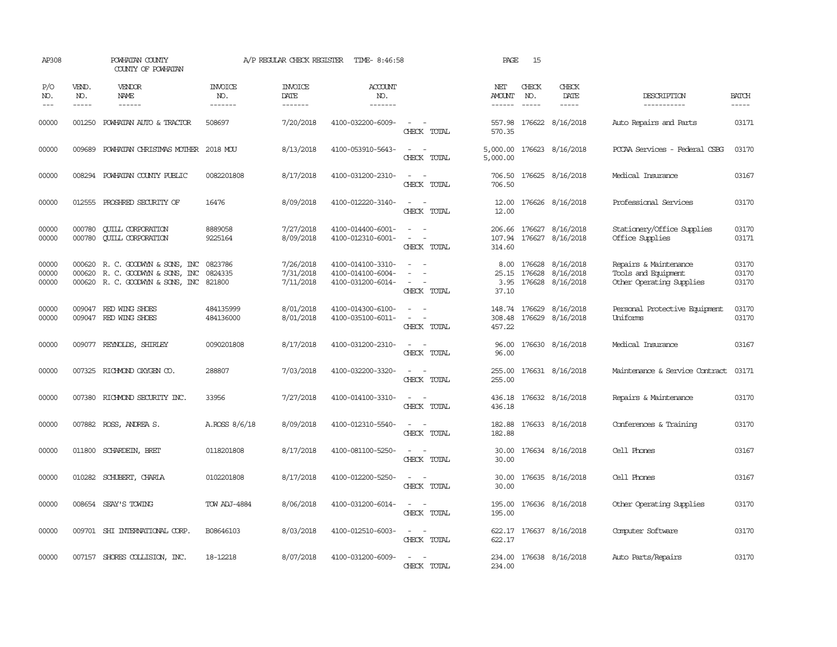| AP308                   |                               | POWHATAN COUNTY<br>COUNTY OF POWHATAN                                               |                                  | A/P REGULAR CHECK REGISTER          | TIME- 8:46:58                                               |                                                                                                                             | PAGE                           | 15                            |                                             |                                                                          |                             |
|-------------------------|-------------------------------|-------------------------------------------------------------------------------------|----------------------------------|-------------------------------------|-------------------------------------------------------------|-----------------------------------------------------------------------------------------------------------------------------|--------------------------------|-------------------------------|---------------------------------------------|--------------------------------------------------------------------------|-----------------------------|
| P/O<br>NO.<br>$- - -$   | VEND.<br>NO.<br>$\frac{1}{2}$ | <b>VENDOR</b><br>NAME<br>$- - - - - -$                                              | <b>INVOICE</b><br>NO.<br>------- | <b>INVOICE</b><br>DATE<br>--------  | <b>ACCOUNT</b><br>NO.<br>-------                            |                                                                                                                             | NET<br><b>AMOUNT</b><br>------ | CHECK<br>NO.<br>$\frac{1}{2}$ | CHECK<br>DATE<br>$- - - - -$                | DESCRIPTION<br>------------                                              | <b>BATCH</b><br>$- - - - -$ |
| 00000                   | 001250                        | POWHATAN AUTO & TRACTOR                                                             | 508697                           | 7/20/2018                           | 4100-032200-6009-                                           | $\sim$<br>CHECK TOTAL                                                                                                       | 557.98<br>570.35               |                               | 176622 8/16/2018                            | Auto Repairs and Parts                                                   | 03171                       |
| 00000                   | 009689                        | POWHATAN CHRISTMAS MOTHER 2018 MOU                                                  |                                  | 8/13/2018                           | 4100-053910-5643-                                           | CHECK TOTAL                                                                                                                 | 5,000.00                       |                               | 5,000.00 176623 8/16/2018                   | POCAA Services - Federal CSBG                                            | 03170                       |
| 00000                   |                               | 008294 POWHATAN COUNTY PUBLIC                                                       | 0082201808                       | 8/17/2018                           | 4100-031200-2310-                                           | $\sim$ $\sim$<br>CHECK TOTAL                                                                                                | 706.50<br>706.50               |                               | 176625 8/16/2018                            | Medical Insurance                                                        | 03167                       |
| 00000                   | 012555                        | PROSHRED SECURITY OF                                                                | 16476                            | 8/09/2018                           | 4100-012220-3140-                                           | $\sim$<br>$\sim$<br>CHECK TOTAL                                                                                             | 12.00<br>12.00                 |                               | 176626 8/16/2018                            | Professional Services                                                    | 03170                       |
| 00000<br>00000          | 000780<br>000780              | <b>QUILL CORPORATION</b><br><b>QUILL CORPORATION</b>                                | 8889058<br>9225164               | 7/27/2018<br>8/09/2018              | 4100-014400-6001-<br>4100-012310-6001-                      | $\overline{\phantom{a}}$<br>CHECK TOTAL                                                                                     | 107.94<br>314.60               |                               | 206.66 176627 8/16/2018<br>176627 8/16/2018 | Stationery/Office Supplies<br>Office Supplies                            | 03170<br>03171              |
| 00000<br>00000<br>00000 | 000620<br>000620<br>000620    | R. C. GOODWYN & SONS, INC<br>R. C. GOODWIN & SONS, INC<br>R. C. GOODWYN & SONS, INC | 0823786<br>0824335<br>821800     | 7/26/2018<br>7/31/2018<br>7/11/2018 | 4100-014100-3310-<br>4100-014100-6004-<br>4100-031200-6014- | $\sim$<br>$\overline{\phantom{a}}$<br>CHECK TOTAL                                                                           | 8.00<br>25.15<br>3.95<br>37.10 | 176628<br>176628              | 176628 8/16/2018<br>8/16/2018<br>8/16/2018  | Repairs & Maintenance<br>Tools and Equipment<br>Other Operating Supplies | 03170<br>03170<br>03170     |
| 00000<br>00000          | 009047<br>009047              | RED WING SHOES<br>RED WING SHOES                                                    | 484135999<br>484136000           | 8/01/2018<br>8/01/2018              | 4100-014300-6100-<br>4100-035100-6011-                      | $\equiv$<br>CHECK TOTAL                                                                                                     | 148.74<br>308.48<br>457.22     | 176629                        | 176629 8/16/2018<br>8/16/2018               | Personal Protective Equipment<br>Uniforms                                | 03170<br>03170              |
| 00000                   | 009077                        | REYNOLDS, SHIRLEY                                                                   | 0090201808                       | 8/17/2018                           | 4100-031200-2310-                                           | $\equiv$<br>CHECK TOTAL                                                                                                     | 96.00<br>96.00                 |                               | 176630 8/16/2018                            | Medical Insurance                                                        | 03167                       |
| 00000                   |                               | 007325 RICHMOND OXYGEN CO.                                                          | 288807                           | 7/03/2018                           | 4100-032200-3320-                                           | CHECK TOTAL                                                                                                                 | 255.00<br>255.00               |                               | 176631 8/16/2018                            | Maintenance & Service Contract                                           | 03171                       |
| 00000                   |                               | 007380 RICHMOND SECURITY INC.                                                       | 33956                            | 7/27/2018                           | 4100-014100-3310-                                           | $\frac{1}{2} \left( \frac{1}{2} \right) \left( \frac{1}{2} \right) = \frac{1}{2} \left( \frac{1}{2} \right)$<br>CHECK TOTAL | 436.18<br>436.18               |                               | 176632 8/16/2018                            | Repairs & Maintenance                                                    | 03170                       |
| 00000                   |                               | 007882 ROSS, ANDREA S.                                                              | A.ROSS 8/6/18                    | 8/09/2018                           | 4100-012310-5540-                                           | $\omega_{\rm{max}}$ , $\omega_{\rm{max}}$<br>CHECK TOTAL                                                                    | 182.88<br>182.88               |                               | 176633 8/16/2018                            | Conferences & Training                                                   | 03170                       |
| 00000                   |                               | 011800 SCHARDEIN, BRET                                                              | 0118201808                       | 8/17/2018                           | 4100-081100-5250-                                           | $\equiv$<br>CHECK TOTAL                                                                                                     | 30.00<br>30.00                 |                               | 176634 8/16/2018                            | Cell Phones                                                              | 03167                       |
| 00000                   |                               | 010282 SCHUBERT, CHARLA                                                             | 0102201808                       | 8/17/2018                           | 4100-012200-5250-                                           | $\sim$<br>CHECK TOTAL                                                                                                       | 30.00<br>30.00                 |                               | 176635 8/16/2018                            | Cell Phones                                                              | 03167                       |
| 00000                   |                               | 008654 SEAY'S TOWING                                                                | <b>TOW ADJ-4884</b>              | 8/06/2018                           | 4100-031200-6014-                                           | $\overline{\phantom{a}}$<br>CHECK TOTAL                                                                                     | 195.00<br>195.00               |                               | 176636 8/16/2018                            | Other Operating Supplies                                                 | 03170                       |
| 00000                   |                               | 009701 SHI INTERNATIONAL CORP.                                                      | B08646103                        | 8/03/2018                           | 4100-012510-6003-                                           | $\sim$ $\sim$<br>CHECK TOTAL                                                                                                | 622.17                         |                               | 622.17 176637 8/16/2018                     | Computer Software                                                        | 03170                       |
| 00000                   |                               | 007157 SHORES COLLISION, INC.                                                       | 18-12218                         | 8/07/2018                           | 4100-031200-6009-                                           | CHECK TOTAL                                                                                                                 | 234.00<br>234.00               |                               | 176638 8/16/2018                            | Auto Parts/Repairs                                                       | 03170                       |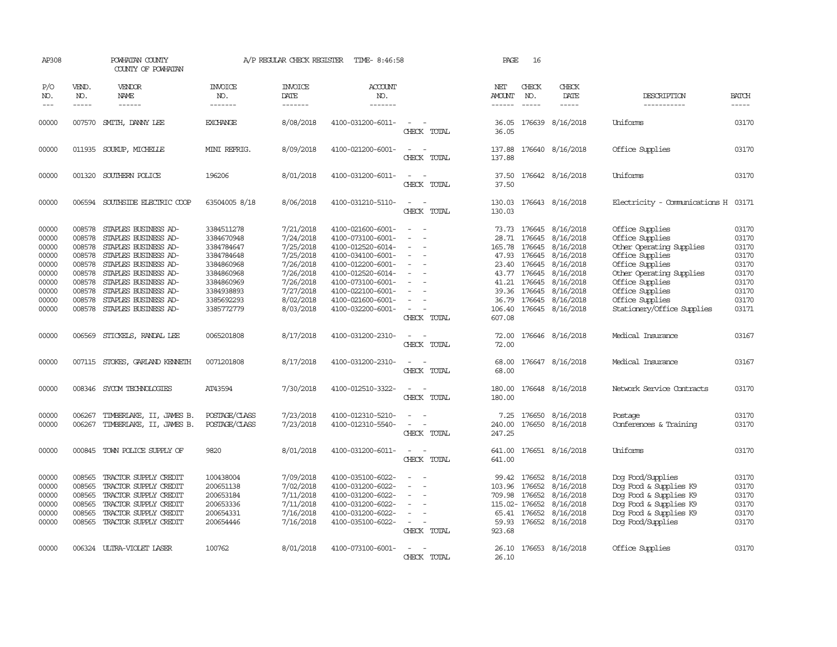| AP308                                                                                  |                                                                                                  | POWHATAN COUNTY<br>COUNTY OF POWHATAN                                                                                                                                                                                                        |                                                                                                                                          | A/P REGULAR CHECK REGISTER                                                                                                     | TIME- 8:46:58                                                                                                                                                                                                  |                                                                               | PAGE                                                                                               | 16                                                |                                                                                                                                                                   |                                                                                                                                                                                                                         |                                                                                        |
|----------------------------------------------------------------------------------------|--------------------------------------------------------------------------------------------------|----------------------------------------------------------------------------------------------------------------------------------------------------------------------------------------------------------------------------------------------|------------------------------------------------------------------------------------------------------------------------------------------|--------------------------------------------------------------------------------------------------------------------------------|----------------------------------------------------------------------------------------------------------------------------------------------------------------------------------------------------------------|-------------------------------------------------------------------------------|----------------------------------------------------------------------------------------------------|---------------------------------------------------|-------------------------------------------------------------------------------------------------------------------------------------------------------------------|-------------------------------------------------------------------------------------------------------------------------------------------------------------------------------------------------------------------------|----------------------------------------------------------------------------------------|
| P/O<br>NO.<br>$\qquad \qquad - -$                                                      | VEND.<br>NO.<br>-----                                                                            | VENDOR<br>NAME                                                                                                                                                                                                                               | <b>INVOICE</b><br>NO.<br>-------                                                                                                         | <b>INVOICE</b><br>DATE<br>--------                                                                                             | <b>ACCOUNT</b><br>NO.<br>-------                                                                                                                                                                               |                                                                               | NET<br>AMOUNT<br>------                                                                            | CHECK<br>NO.                                      | CHECK<br>DATE                                                                                                                                                     | DESCRIPTION<br>-----------                                                                                                                                                                                              | <b>BATCH</b><br>-----                                                                  |
| 00000                                                                                  | 007570                                                                                           | SMITH, DANNY LEE                                                                                                                                                                                                                             | <b>EXCHANGE</b>                                                                                                                          | 8/08/2018                                                                                                                      | 4100-031200-6011-                                                                                                                                                                                              | $\overline{\phantom{a}}$<br>CHECK TOTAL                                       | 36.05<br>36.05                                                                                     |                                                   | 176639 8/16/2018                                                                                                                                                  | Uniforms                                                                                                                                                                                                                | 03170                                                                                  |
| 00000                                                                                  |                                                                                                  | 011935 SOUKUP, MICHELLE                                                                                                                                                                                                                      | MINI REFRIG.                                                                                                                             | 8/09/2018                                                                                                                      | 4100-021200-6001-                                                                                                                                                                                              | $\sim$<br>CHECK TOTAL                                                         | 137.88<br>137.88                                                                                   |                                                   | 176640 8/16/2018                                                                                                                                                  | Office Supplies                                                                                                                                                                                                         | 03170                                                                                  |
| 00000                                                                                  |                                                                                                  | 001320 SOUTHERN POLICE                                                                                                                                                                                                                       | 196206                                                                                                                                   | 8/01/2018                                                                                                                      | 4100-031200-6011-                                                                                                                                                                                              | $\sim$<br>$\overline{\phantom{a}}$<br>CHECK TOTAL                             | 37.50<br>37.50                                                                                     |                                                   | 176642 8/16/2018                                                                                                                                                  | Uniforms                                                                                                                                                                                                                | 03170                                                                                  |
| 00000                                                                                  |                                                                                                  | 006594 SOUTHSIDE ELECTRIC COOP                                                                                                                                                                                                               | 63504005 8/18                                                                                                                            | 8/06/2018                                                                                                                      | 4100-031210-5110-                                                                                                                                                                                              | $\equiv$<br>CHECK TOTAL                                                       | 130.03<br>130.03                                                                                   |                                                   | 176643 8/16/2018                                                                                                                                                  | Electricity - Comunications H 03171                                                                                                                                                                                     |                                                                                        |
| 00000<br>00000<br>00000<br>00000<br>00000<br>00000<br>00000<br>00000<br>00000<br>00000 | 008578<br>008578<br>008578<br>008578<br>008578<br>008578<br>008578<br>008578<br>008578<br>008578 | STAPLES BUSINESS AD-<br>STAPLES BUSINESS AD-<br>STAPLES BUSINESS AD-<br>STAPLES BUSINESS AD-<br>STAPLES BUSINESS AD-<br>STAPLES BUSINESS AD-<br>STAPLES BUSINESS AD-<br>STAPLES BUSINESS AD-<br>STAPLES BUSINESS AD-<br>STAPLES BUSINESS AD- | 3384511278<br>3384670948<br>3384784647<br>3384784648<br>3384860968<br>3384860968<br>3384860969<br>3384938893<br>3385692293<br>3385772779 | 7/21/2018<br>7/24/2018<br>7/25/2018<br>7/25/2018<br>7/26/2018<br>7/26/2018<br>7/26/2018<br>7/27/2018<br>8/02/2018<br>8/03/2018 | 4100-021600-6001-<br>4100-073100-6001-<br>4100-012520-6014-<br>4100-034100-6001-<br>4100-012200-6001-<br>4100-012520-6014-<br>4100-073100-6001-<br>4100-022100-6001-<br>4100-021600-6001-<br>4100-032200-6001- | $\overline{\phantom{a}}$<br>$\overline{\phantom{a}}$<br>$\sim$<br>CHECK TOTAL | 73.73<br>28.71<br>165.78<br>47.93<br>23.40<br>43.77<br>41.21<br>39.36<br>36.79<br>106.40<br>607.08 | 176645<br>176645<br>176645<br>176645<br>176645    | 176645 8/16/2018<br>8/16/2018<br>176645 8/16/2018<br>8/16/2018<br>8/16/2018<br>8/16/2018<br>176645 8/16/2018<br>176645 8/16/2018<br>8/16/2018<br>176645 8/16/2018 | Office Supplies<br>Office Supplies<br>Other Operating Supplies<br>Office Supplies<br>Office Supplies<br>Other Operating Supplies<br>Office Supplies<br>Office Supplies<br>Office Supplies<br>Stationery/Office Supplies | 03170<br>03170<br>03170<br>03170<br>03170<br>03170<br>03170<br>03170<br>03170<br>03171 |
| 00000                                                                                  | 006569                                                                                           | STICKELS, RANDAL LEE                                                                                                                                                                                                                         | 0065201808                                                                                                                               | 8/17/2018                                                                                                                      | 4100-031200-2310-                                                                                                                                                                                              | $\sim$<br>$\overline{\phantom{a}}$<br>CHECK TOTAL                             | 72.00<br>72.00                                                                                     |                                                   | 176646 8/16/2018                                                                                                                                                  | Medical Insurance                                                                                                                                                                                                       | 03167                                                                                  |
| 00000                                                                                  |                                                                                                  | 007115 STOKES, GARLAND KENNETH                                                                                                                                                                                                               | 0071201808                                                                                                                               | 8/17/2018                                                                                                                      | 4100-031200-2310-                                                                                                                                                                                              | $\equiv$<br>CHECK TOTAL                                                       | 68.00<br>68.00                                                                                     |                                                   | 176647 8/16/2018                                                                                                                                                  | Medical Insurance                                                                                                                                                                                                       | 03167                                                                                  |
| 00000                                                                                  | 008346                                                                                           | SYCOM TECHNOLOGIES                                                                                                                                                                                                                           | AT43594                                                                                                                                  | 7/30/2018                                                                                                                      | 4100-012510-3322-                                                                                                                                                                                              | $\equiv$<br>CHECK TOTAL                                                       | 180.00<br>180.00                                                                                   |                                                   | 176648 8/16/2018                                                                                                                                                  | Network Service Contracts                                                                                                                                                                                               | 03170                                                                                  |
| 00000<br>00000                                                                         | 006267<br>006267                                                                                 | TIMBERLAKE, II, JAMES B.<br>TIMBERLAKE, II, JAMES B.                                                                                                                                                                                         | POSTAGE/CLASS<br>POSTAGE/CLASS                                                                                                           | 7/23/2018<br>7/23/2018                                                                                                         | 4100-012310-5210-<br>4100-012310-5540-                                                                                                                                                                         | $\equiv$<br>$\equiv$<br>CHECK TOTAL                                           | 7.25<br>240.00<br>247.25                                                                           |                                                   | 176650 8/16/2018<br>176650 8/16/2018                                                                                                                              | Postage<br>Conferences & Training                                                                                                                                                                                       | 03170<br>03170                                                                         |
| 00000                                                                                  | 000845                                                                                           | TOWN POLICE SUPPLY OF                                                                                                                                                                                                                        | 9820                                                                                                                                     | 8/01/2018                                                                                                                      | 4100-031200-6011-                                                                                                                                                                                              | $\equiv$<br>CHECK TOTAL                                                       | 641.00<br>641.00                                                                                   |                                                   | 176651 8/16/2018                                                                                                                                                  | Uniforms                                                                                                                                                                                                                | 03170                                                                                  |
| 00000<br>00000<br>00000<br>00000<br>00000<br>00000                                     | 008565<br>008565<br>008565<br>008565<br>008565<br>008565                                         | TRACTOR SUPPLY CREDIT<br>TRACTOR SUPPLY CREDIT<br>TRACTOR SUPPLY CREDIT<br>TRACTOR SUPPLY CREDIT<br>TRACTOR SUPPLY CREDIT<br>TRACTOR SUPPLY CREDIT                                                                                           | 100438004<br>200651138<br>200653184<br>200653336<br>200654331<br>200654446                                                               | 7/09/2018<br>7/02/2018<br>7/11/2018<br>7/11/2018<br>7/16/2018<br>7/16/2018                                                     | 4100-035100-6022-<br>4100-031200-6022-<br>4100-031200-6022-<br>4100-031200-6022-<br>4100-031200-6022-<br>4100-035100-6022-                                                                                     | $\equiv$<br>$\equiv$<br>CHECK TOTAL                                           | 99.42<br>103.96<br>115.02- 176652<br>59.93<br>923.68                                               | 176652<br>176652<br>709.98 176652<br>65.41 176652 | 8/16/2018<br>8/16/2018<br>8/16/2018<br>8/16/2018<br>8/16/2018<br>176652 8/16/2018                                                                                 | Dog Food/Supplies<br>Dog Food & Supplies K9<br>Dog Food & Supplies K9<br>Dog Food & Supplies K9<br>Dog Food & Supplies K9<br>Dog Food/Supplies                                                                          | 03170<br>03170<br>03170<br>03170<br>03170<br>03170                                     |
| 00000                                                                                  | 006324                                                                                           | ULIRA-VIOLET LASER                                                                                                                                                                                                                           | 100762                                                                                                                                   | 8/01/2018                                                                                                                      | 4100-073100-6001-                                                                                                                                                                                              | $\sim$ 100 $\mu$<br>CHECK TOTAL                                               | 26.10<br>26.10                                                                                     |                                                   | 176653 8/16/2018                                                                                                                                                  | Office Supplies                                                                                                                                                                                                         | 03170                                                                                  |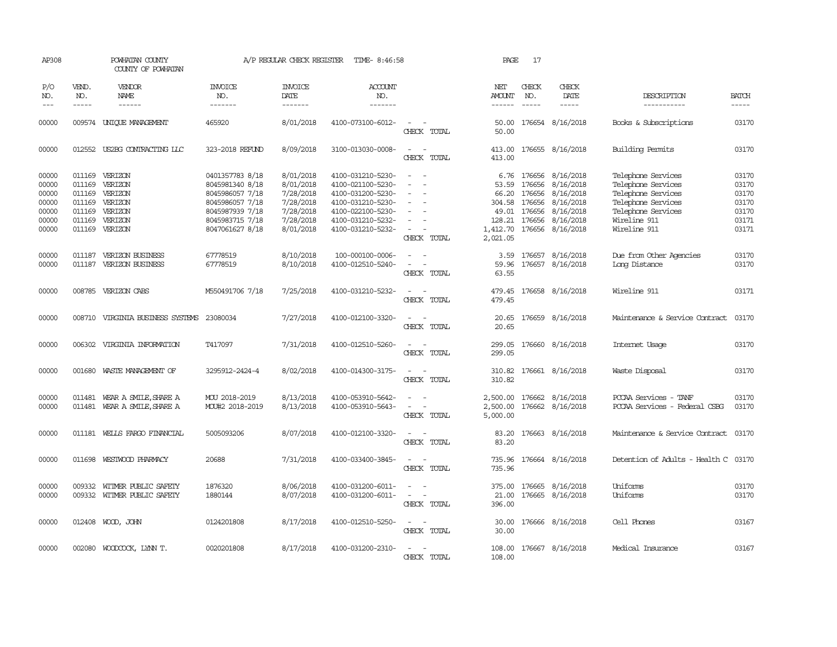| AP308                                              |                                                                                                                                                                                                                                                                                                                                                                                                                                                                                                     | POWHATAN COUNTY<br>COUNTY OF POWHATAN                                                                                                                                                                                                                                                                                                                                                                                                                                              |                                                                                                                | A/P REGULAR CHECK REGISTER                                                 | TIME- 8:46:58                                                                                                              |                                                                                                                                                                   | PAGE                              | 17                                   |                                                                                                                                                                                                                                                                                                                                                                                                                                                                         |                                                                                                                            |                                                    |
|----------------------------------------------------|-----------------------------------------------------------------------------------------------------------------------------------------------------------------------------------------------------------------------------------------------------------------------------------------------------------------------------------------------------------------------------------------------------------------------------------------------------------------------------------------------------|------------------------------------------------------------------------------------------------------------------------------------------------------------------------------------------------------------------------------------------------------------------------------------------------------------------------------------------------------------------------------------------------------------------------------------------------------------------------------------|----------------------------------------------------------------------------------------------------------------|----------------------------------------------------------------------------|----------------------------------------------------------------------------------------------------------------------------|-------------------------------------------------------------------------------------------------------------------------------------------------------------------|-----------------------------------|--------------------------------------|-------------------------------------------------------------------------------------------------------------------------------------------------------------------------------------------------------------------------------------------------------------------------------------------------------------------------------------------------------------------------------------------------------------------------------------------------------------------------|----------------------------------------------------------------------------------------------------------------------------|----------------------------------------------------|
| P/O<br>NO.<br>$---$                                | VEND.<br>NO.<br>$\begin{tabular}{ccccc} \multicolumn{2}{c}{} & \multicolumn{2}{c}{} & \multicolumn{2}{c}{} & \multicolumn{2}{c}{} & \multicolumn{2}{c}{} & \multicolumn{2}{c}{} & \multicolumn{2}{c}{} & \multicolumn{2}{c}{} & \multicolumn{2}{c}{} & \multicolumn{2}{c}{} & \multicolumn{2}{c}{} & \multicolumn{2}{c}{} & \multicolumn{2}{c}{} & \multicolumn{2}{c}{} & \multicolumn{2}{c}{} & \multicolumn{2}{c}{} & \multicolumn{2}{c}{} & \multicolumn{2}{c}{} & \multicolumn{2}{c}{} & \mult$ | VENDOR<br>NAME<br>$\begin{tabular}{ccccc} \multicolumn{2}{c }{\multicolumn{2}{c }{\multicolumn{2}{c }{\multicolumn{2}{c}}{\hspace{-2.2cm}}}} \multicolumn{2}{c }{\end{tabular}} \end{tabular} \begin{tabular}{c c } \multicolumn{2}{c }{\multicolumn{2}{c }{\hspace{-2.2cm}}\hspace{-2.2cm}}}} \multicolumn{2}{c }{\end{tabular}} \end{tabular} \begin{tabular}{c c }{\multicolumn{2}{c }{\hspace{-2.2cm}}\hspace{-2.2cm}}}\hspace{-2.2cm}\multicolumn{2}{c }{\hspace{-2.2cm}}\hs$ | <b>INVOICE</b><br>NO.<br>-------                                                                               | <b>INVOICE</b><br><b>DATE</b><br>-------                                   | <b>ACCOUNT</b><br>NO.                                                                                                      |                                                                                                                                                                   | NET<br><b>AMOUNT</b><br>------    | CHECK<br>NO.                         | CHECK<br>DATE<br>$\begin{tabular}{ccccc} \multicolumn{2}{c }{\multicolumn{2}{c }{\multicolumn{2}{c }{\multicolumn{2}{c}}{\hspace{-2.2cm}}}} \multicolumn{2}{c }{\multicolumn{2}{c }{\hspace{-2.2cm}}\hline} \multicolumn{2}{c }{\hspace{-2.2cm}} \multicolumn{2}{c }{\hspace{-2.2cm}}\hline} \multicolumn{2}{c }{\hspace{-2.2cm}} \multicolumn{2}{c }{\hspace{-2.2cm}}\hline} \multicolumn{2}{c }{\hspace{-2.2cm}} \multicolumn{2}{c }{\hspace{-2.2cm}}\hline} \multic$ | DESCRIPTION<br>-----------                                                                                                 | <b>BATCH</b><br>-----                              |
| 00000                                              |                                                                                                                                                                                                                                                                                                                                                                                                                                                                                                     | 009574 UNIQUE MANAGEMENT                                                                                                                                                                                                                                                                                                                                                                                                                                                           | 465920                                                                                                         | 8/01/2018                                                                  | 4100-073100-6012-                                                                                                          | CHECK TOTAL                                                                                                                                                       | 50.00<br>50.00                    |                                      | 176654 8/16/2018                                                                                                                                                                                                                                                                                                                                                                                                                                                        | Books & Subscriptions                                                                                                      | 03170                                              |
| 00000                                              |                                                                                                                                                                                                                                                                                                                                                                                                                                                                                                     | 012552 US2BG CONTRACTING LLC                                                                                                                                                                                                                                                                                                                                                                                                                                                       | 323-2018 REFUND                                                                                                | 8/09/2018                                                                  | 3100-013030-0008-                                                                                                          | CHECK TOTAL                                                                                                                                                       | 413.00<br>413.00                  |                                      | 176655 8/16/2018                                                                                                                                                                                                                                                                                                                                                                                                                                                        | <b>Building Permits</b>                                                                                                    | 03170                                              |
| 00000<br>00000<br>00000<br>00000<br>00000<br>00000 | 011169<br>011169                                                                                                                                                                                                                                                                                                                                                                                                                                                                                    | 011169 VERIZON<br>VERIZON<br>011169 VERIZON<br>011169 VERIZON<br>VERIZON<br>011169 VERIZON                                                                                                                                                                                                                                                                                                                                                                                         | 0401357783 8/18<br>8045981340 8/18<br>8045986057 7/18<br>8045986057 7/18<br>8045987939 7/18<br>8045983715 7/18 | 8/01/2018<br>8/01/2018<br>7/28/2018<br>7/28/2018<br>7/28/2018<br>7/28/2018 | 4100-031210-5230-<br>4100-021100-5230-<br>4100-031200-5230-<br>4100-031210-5230-<br>4100-022100-5230-<br>4100-031210-5232- | $\sim$                                                                                                                                                            | 53.59<br>66.20<br>304.58<br>49.01 | 176656<br>176656<br>176656<br>176656 | 6.76 176656 8/16/2018<br>8/16/2018<br>8/16/2018<br>8/16/2018<br>8/16/2018<br>128.21 176656 8/16/2018                                                                                                                                                                                                                                                                                                                                                                    | Telephone Services<br>Telephone Services<br>Telephone Services<br>Telephone Services<br>Telephone Services<br>Wireline 911 | 03170<br>03170<br>03170<br>03170<br>03170<br>03171 |
| 00000                                              |                                                                                                                                                                                                                                                                                                                                                                                                                                                                                                     | 011169 VERIZON                                                                                                                                                                                                                                                                                                                                                                                                                                                                     | 8047061627 8/18                                                                                                | 8/01/2018                                                                  | 4100-031210-5232-                                                                                                          | CHECK TOTAL                                                                                                                                                       | 1,412.70<br>2,021.05              |                                      | 176656 8/16/2018                                                                                                                                                                                                                                                                                                                                                                                                                                                        | Wireline 911                                                                                                               | 03171                                              |
| 00000<br>00000                                     |                                                                                                                                                                                                                                                                                                                                                                                                                                                                                                     | 011187 VERIZON BUSINESS<br>011187 VERIZON BUSINESS                                                                                                                                                                                                                                                                                                                                                                                                                                 | 67778519<br>67778519                                                                                           | 8/10/2018<br>8/10/2018                                                     | 100-000100-0006-<br>4100-012510-5240-                                                                                      | $\frac{1}{2} \left( \frac{1}{2} \right) \left( \frac{1}{2} \right) = \frac{1}{2} \left( \frac{1}{2} \right)$<br>$\sim$<br>$\overline{\phantom{a}}$<br>CHECK TOTAL | 3.59<br>63.55                     |                                      | 176657 8/16/2018<br>59.96 176657 8/16/2018                                                                                                                                                                                                                                                                                                                                                                                                                              | Due from Other Agencies<br>Long Distance                                                                                   | 03170<br>03170                                     |
| 00000                                              |                                                                                                                                                                                                                                                                                                                                                                                                                                                                                                     | 008785 VERIZON CABS                                                                                                                                                                                                                                                                                                                                                                                                                                                                | M550491706 7/18                                                                                                | 7/25/2018                                                                  | 4100-031210-5232-                                                                                                          | CHECK TOTAL                                                                                                                                                       | 479.45<br>479.45                  |                                      | 176658 8/16/2018                                                                                                                                                                                                                                                                                                                                                                                                                                                        | Wireline 911                                                                                                               | 03171                                              |
| 00000                                              |                                                                                                                                                                                                                                                                                                                                                                                                                                                                                                     | 008710 VIRGINIA BUSINESS SYSTEMS                                                                                                                                                                                                                                                                                                                                                                                                                                                   | 23080034                                                                                                       | 7/27/2018                                                                  | 4100-012100-3320-                                                                                                          | CHECK TOTAL                                                                                                                                                       | 20.65<br>20.65                    |                                      | 176659 8/16/2018                                                                                                                                                                                                                                                                                                                                                                                                                                                        | Maintenance & Service Contract                                                                                             | 03170                                              |
| 00000                                              |                                                                                                                                                                                                                                                                                                                                                                                                                                                                                                     | 006302 VIRGINIA INFORMATION                                                                                                                                                                                                                                                                                                                                                                                                                                                        | T417097                                                                                                        | 7/31/2018                                                                  | 4100-012510-5260-                                                                                                          | $\sim$<br>$\sim$<br>CHECK TOTAL                                                                                                                                   | 299.05<br>299.05                  |                                      | 176660 8/16/2018                                                                                                                                                                                                                                                                                                                                                                                                                                                        | Internet Usage                                                                                                             | 03170                                              |
| 00000                                              |                                                                                                                                                                                                                                                                                                                                                                                                                                                                                                     | 001680 WASTE MANAGEMENT OF                                                                                                                                                                                                                                                                                                                                                                                                                                                         | 3295912-2424-4                                                                                                 | 8/02/2018                                                                  | 4100-014300-3175-                                                                                                          | $\sim$ $\sim$<br>CHECK TOTAL                                                                                                                                      | 310.82<br>310.82                  |                                      | 176661 8/16/2018                                                                                                                                                                                                                                                                                                                                                                                                                                                        | Waste Disposal                                                                                                             | 03170                                              |
| 00000<br>00000                                     |                                                                                                                                                                                                                                                                                                                                                                                                                                                                                                     | 011481 WEAR A SMILE, SHARE A<br>011481 WEAR A SMILE, SHARE A                                                                                                                                                                                                                                                                                                                                                                                                                       | MOU 2018-2019<br>MOU#2 2018-2019                                                                               | 8/13/2018<br>8/13/2018                                                     | 4100-053910-5642-<br>4100-053910-5643-                                                                                     | CHECK TOTAL                                                                                                                                                       | 2,500.00<br>2,500.00<br>5,000.00  |                                      | 176662 8/16/2018<br>176662 8/16/2018                                                                                                                                                                                                                                                                                                                                                                                                                                    | PCCAA Services - TANF<br>PCCAA Services - Federal CSBG                                                                     | 03170<br>03170                                     |
| 00000                                              |                                                                                                                                                                                                                                                                                                                                                                                                                                                                                                     | 011181 WELLS FARGO FINANCIAL                                                                                                                                                                                                                                                                                                                                                                                                                                                       | 5005093206                                                                                                     | 8/07/2018                                                                  | 4100-012100-3320-                                                                                                          | CHECK TOTAL                                                                                                                                                       | 83.20<br>83.20                    |                                      | 176663 8/16/2018                                                                                                                                                                                                                                                                                                                                                                                                                                                        | Maintenance & Service Contract 03170                                                                                       |                                                    |
| 00000                                              | 011698                                                                                                                                                                                                                                                                                                                                                                                                                                                                                              | WESTWOOD PHARMACY                                                                                                                                                                                                                                                                                                                                                                                                                                                                  | 20688                                                                                                          | 7/31/2018                                                                  | 4100-033400-3845-                                                                                                          | CHECK TOTAL                                                                                                                                                       | 735.96<br>735.96                  |                                      | 176664 8/16/2018                                                                                                                                                                                                                                                                                                                                                                                                                                                        | Detention of Adults - Health C                                                                                             | 03170                                              |
| 00000<br>00000                                     | 009332                                                                                                                                                                                                                                                                                                                                                                                                                                                                                              | WITMER PUBLIC SAFETY<br>009332 WITMER PUBLIC SAFETY                                                                                                                                                                                                                                                                                                                                                                                                                                | 1876320<br>1880144                                                                                             | 8/06/2018<br>8/07/2018                                                     | 4100-031200-6011-<br>4100-031200-6011-                                                                                     | $\sim$ $  -$<br>CHECK TOTAL                                                                                                                                       | 375.00<br>21.00<br>396.00         |                                      | 176665 8/16/2018<br>176665 8/16/2018                                                                                                                                                                                                                                                                                                                                                                                                                                    | Uniforms<br>Uniforms                                                                                                       | 03170<br>03170                                     |
| 00000                                              |                                                                                                                                                                                                                                                                                                                                                                                                                                                                                                     | 012408 WOOD, JOHN                                                                                                                                                                                                                                                                                                                                                                                                                                                                  | 0124201808                                                                                                     | 8/17/2018                                                                  | 4100-012510-5250-                                                                                                          | $\frac{1}{2} \left( \frac{1}{2} \right) \left( \frac{1}{2} \right) = \frac{1}{2} \left( \frac{1}{2} \right)$<br>CHECK TOTAL                                       | 30.00<br>30.00                    |                                      | 176666 8/16/2018                                                                                                                                                                                                                                                                                                                                                                                                                                                        | Cell Phones                                                                                                                | 03167                                              |
| 00000                                              |                                                                                                                                                                                                                                                                                                                                                                                                                                                                                                     | 002080 WOODCOCK, LYNN T.                                                                                                                                                                                                                                                                                                                                                                                                                                                           | 0020201808                                                                                                     | 8/17/2018                                                                  | 4100-031200-2310-                                                                                                          | CHECK TOTAL                                                                                                                                                       | 108.00                            |                                      | 108.00 176667 8/16/2018                                                                                                                                                                                                                                                                                                                                                                                                                                                 | Medical Insurance                                                                                                          | 03167                                              |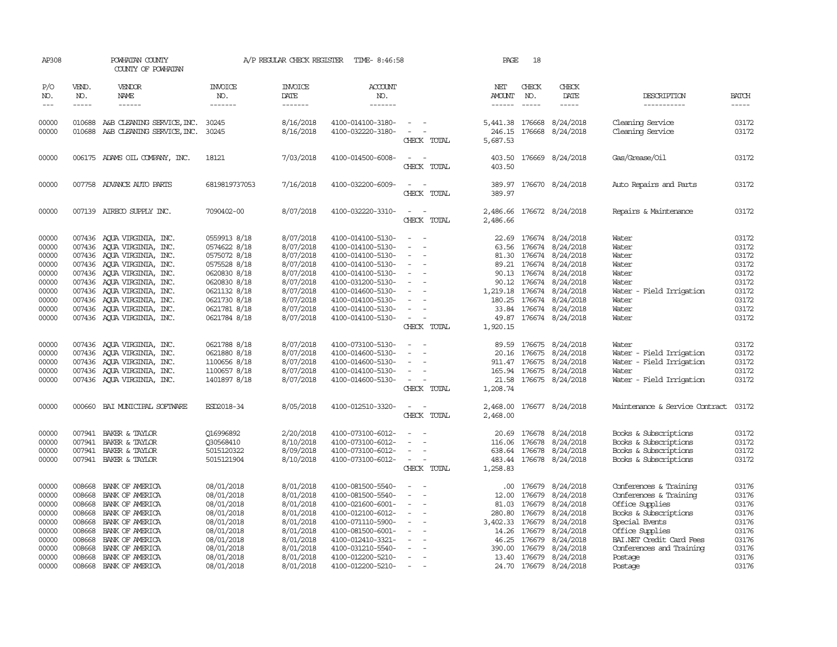| AP308                                                                                                                                        |                                                                                        | POWHATAN COUNTY<br>COUNTY OF POWHATAN                                                                                                                                                                                                                                                                                                                                                                                                                                                           |                                                                                                                                                                                                                                                            | A/P REGULAR CHECK REGISTER                                                                                                                                                                                   | TIME- 8:46:58                                                                                                                                                                                                                                                                                                                                |                                                                                                                                                                                                                                                                                    | PAGE                                                           | 18                                                                                  |                                                                                                                                                                                                                                                                                                                                                                                                                                       |                                                                                                                                                                                                                                                      |                                                                                                                                              |
|----------------------------------------------------------------------------------------------------------------------------------------------|----------------------------------------------------------------------------------------|-------------------------------------------------------------------------------------------------------------------------------------------------------------------------------------------------------------------------------------------------------------------------------------------------------------------------------------------------------------------------------------------------------------------------------------------------------------------------------------------------|------------------------------------------------------------------------------------------------------------------------------------------------------------------------------------------------------------------------------------------------------------|--------------------------------------------------------------------------------------------------------------------------------------------------------------------------------------------------------------|----------------------------------------------------------------------------------------------------------------------------------------------------------------------------------------------------------------------------------------------------------------------------------------------------------------------------------------------|------------------------------------------------------------------------------------------------------------------------------------------------------------------------------------------------------------------------------------------------------------------------------------|----------------------------------------------------------------|-------------------------------------------------------------------------------------|---------------------------------------------------------------------------------------------------------------------------------------------------------------------------------------------------------------------------------------------------------------------------------------------------------------------------------------------------------------------------------------------------------------------------------------|------------------------------------------------------------------------------------------------------------------------------------------------------------------------------------------------------------------------------------------------------|----------------------------------------------------------------------------------------------------------------------------------------------|
| P/O<br>NO.<br>$\qquad \qquad -$                                                                                                              | VEND.<br>NO.<br>-----                                                                  | VENDOR<br>NAME                                                                                                                                                                                                                                                                                                                                                                                                                                                                                  | INVOICE<br>NO.<br>-------                                                                                                                                                                                                                                  | <b>INVOICE</b><br>DATE<br>-------                                                                                                                                                                            | <b>ACCOUNT</b><br>NO.<br>-------                                                                                                                                                                                                                                                                                                             |                                                                                                                                                                                                                                                                                    | NET<br>AMOUNT                                                  | CHECK<br>NO.<br>$\frac{1}{2}$                                                       | CHECK<br>DATE                                                                                                                                                                                                                                                                                                                                                                                                                         | DESCRIPTION<br>-----------                                                                                                                                                                                                                           | <b>BATCH</b><br>-----                                                                                                                        |
| 00000<br>00000                                                                                                                               |                                                                                        | 010688 A&B CLEANING SERVICE, INC.<br>010688 A&B CLEANING SERVICE, INC.                                                                                                                                                                                                                                                                                                                                                                                                                          | 30245<br>30245                                                                                                                                                                                                                                             | 8/16/2018<br>8/16/2018                                                                                                                                                                                       | 4100-014100-3180-<br>4100-032220-3180-                                                                                                                                                                                                                                                                                                       | $\sim$ 100 $\sim$<br>$\sim$ 100 $\sim$<br>CHECK TOTAL                                                                                                                                                                                                                              | 5,441.38<br>5,687.53                                           | 176668<br>246.15 176668                                                             | 8/24/2018<br>8/24/2018                                                                                                                                                                                                                                                                                                                                                                                                                | Cleaning Service<br>Cleaning Service                                                                                                                                                                                                                 | 03172<br>03172                                                                                                                               |
| 00000                                                                                                                                        |                                                                                        | 006175 ADAMS OIL COMPANY, INC.                                                                                                                                                                                                                                                                                                                                                                                                                                                                  | 18121                                                                                                                                                                                                                                                      | 7/03/2018                                                                                                                                                                                                    | 4100-014500-6008-                                                                                                                                                                                                                                                                                                                            | $\equiv$<br>CHECK TOTAL                                                                                                                                                                                                                                                            | 403.50<br>403.50                                               |                                                                                     | 176669 8/24/2018                                                                                                                                                                                                                                                                                                                                                                                                                      | Gas/Grease/Oil                                                                                                                                                                                                                                       | 03172                                                                                                                                        |
| 00000                                                                                                                                        |                                                                                        | 007758 ADVANCE AUTO PARTS                                                                                                                                                                                                                                                                                                                                                                                                                                                                       | 6819819737053                                                                                                                                                                                                                                              | 7/16/2018                                                                                                                                                                                                    | 4100-032200-6009-                                                                                                                                                                                                                                                                                                                            | $\overline{a}$<br>CHECK TOTAL                                                                                                                                                                                                                                                      | 389.97<br>389.97                                               |                                                                                     | 176670 8/24/2018                                                                                                                                                                                                                                                                                                                                                                                                                      | Auto Repairs and Parts                                                                                                                                                                                                                               | 03172                                                                                                                                        |
| 00000                                                                                                                                        |                                                                                        | 007139 AIRECO SUPPLY INC.                                                                                                                                                                                                                                                                                                                                                                                                                                                                       | 7090402-00                                                                                                                                                                                                                                                 | 8/07/2018                                                                                                                                                                                                    | 4100-032220-3310-                                                                                                                                                                                                                                                                                                                            | $\sim$<br>CHECK TOTAL                                                                                                                                                                                                                                                              | 2,486.66<br>2,486.66                                           |                                                                                     | 176672 8/24/2018                                                                                                                                                                                                                                                                                                                                                                                                                      | Repairs & Maintenance                                                                                                                                                                                                                                | 03172                                                                                                                                        |
| 00000<br>00000<br>00000<br>00000<br>00000<br>00000<br>00000<br>00000<br>00000<br>00000<br>00000<br>00000<br>00000<br>00000<br>00000<br>00000 |                                                                                        | 007436 AQUA VIRGINIA, INC.<br>007436 AQUA VIRGINIA, INC.<br>007436 AOUA VIRGINIA, INC.<br>007436 AQUA VIRGINIA, INC.<br>007436 AQUA VIRGINIA, INC.<br>007436 AQUA VIRGINIA, INC.<br>007436 AQUA VIRGINIA, INC.<br>007436 AOUA VIRGINIA, INC.<br>007436 AQUA VIRGINIA, INC.<br>007436 AQUA VIRGINIA, INC.<br>007436 AQUA VIRGINIA, INC.<br>007436 AQUA VIRGINIA, INC.<br>007436 AOUA VIRGINIA, INC.<br>007436 AOUA VIRGINIA, INC.<br>007436 AQUA VIRGINIA, INC.<br>000660 BAI MUNICIPAL SOFTWARE | 0559913 8/18<br>0574622 8/18<br>0575072 8/18<br>0575528 8/18<br>0620830 8/18<br>0620830 8/18<br>0621132 8/18<br>0621730 8/18<br>0621781 8/18<br>0621784 8/18<br>0621788 8/18<br>0621880 8/18<br>1100656 8/18<br>1100657 8/18<br>1401897 8/18<br>ESD2018-34 | 8/07/2018<br>8/07/2018<br>8/07/2018<br>8/07/2018<br>8/07/2018<br>8/07/2018<br>8/07/2018<br>8/07/2018<br>8/07/2018<br>8/07/2018<br>8/07/2018<br>8/07/2018<br>8/07/2018<br>8/07/2018<br>8/07/2018<br>8/05/2018 | 4100-014100-5130-<br>4100-014100-5130-<br>4100-014100-5130-<br>4100-014100-5130-<br>4100-014100-5130-<br>4100-031200-5130-<br>4100-014600-5130-<br>4100-014100-5130-<br>4100-014100-5130-<br>4100-014100-5130-<br>4100-073100-5130-<br>4100-014600-5130-<br>4100-014600-5130-<br>4100-014100-5130-<br>4100-014600-5130-<br>4100-012510-3320- | $\sim$<br>$\sim$<br>$\sim$<br>$\overline{\phantom{a}}$<br>$\sim$<br>$\sim$<br>$\sim$<br>$\sim$<br>$\overline{\phantom{a}}$<br>$\sim$ $ -$<br>CHECK TOTAL<br>$\sim$<br>$\equiv$<br>$\sim$<br>$\overline{\phantom{a}}$<br>$\sim$ $-$<br>CHECK TOTAL<br>$\sim$ $ \sim$<br>CHECK TOTAL | 1,920.15<br>1,208.74<br>2,468.00                               |                                                                                     | 22.69 176674 8/24/2018<br>63.56 176674 8/24/2018<br>81.30 176674 8/24/2018<br>89.21 176674 8/24/2018<br>90.13 176674 8/24/2018<br>90.12 176674 8/24/2018<br>1,219.18 176674 8/24/2018<br>180.25 176674 8/24/2018<br>33.84 176674 8/24/2018<br>49.87 176674 8/24/2018<br>89.59 176675 8/24/2018<br>20.16 176675 8/24/2018<br>911.47 176675 8/24/2018<br>165.94 176675 8/24/2018<br>21.58 176675 8/24/2018<br>2,468.00 176677 8/24/2018 | Water<br>Water<br>Water<br>Water<br>Water<br>Water<br>Water<br>- Field Irrigation<br>Water<br>Water<br>Water<br>Water<br>Water - Field Irrigation<br>Water - Field Irrigation<br>Water<br>Water - Field Irrigation<br>Maintenance & Service Contract | 03172<br>03172<br>03172<br>03172<br>03172<br>03172<br>03172<br>03172<br>03172<br>03172<br>03172<br>03172<br>03172<br>03172<br>03172<br>03172 |
| 00000<br>00000<br>00000<br>00000                                                                                                             | 007941<br>007941<br>007941                                                             | BAKER & TAYLOR<br>BAKER & TAYLOR<br>BAKER & TAYLOR<br>007941 BAKER & TAYLOR                                                                                                                                                                                                                                                                                                                                                                                                                     | 016996892<br>Q30568410<br>5015120322<br>5015121904                                                                                                                                                                                                         | 2/20/2018<br>8/10/2018<br>8/09/2018<br>8/10/2018                                                                                                                                                             | 4100-073100-6012-<br>4100-073100-6012-<br>4100-073100-6012-<br>4100-073100-6012-                                                                                                                                                                                                                                                             | $\sim$<br>$\sim$<br>CHECK TOTAL                                                                                                                                                                                                                                                    | 116.06<br>1,258.83                                             | 176678                                                                              | 20.69 176678 8/24/2018<br>8/24/2018<br>638.64 176678 8/24/2018<br>483.44 176678 8/24/2018                                                                                                                                                                                                                                                                                                                                             | Books & Subscriptions<br>Books & Subscriptions<br>Books & Subscriptions<br>Books & Subscriptions                                                                                                                                                     | 03172<br>03172<br>03172<br>03172                                                                                                             |
| 00000<br>00000<br>00000<br>00000<br>00000<br>00000<br>00000<br>00000<br>00000                                                                | 008668<br>008668<br>008668<br>008668<br>008668<br>008668<br>008668<br>008668<br>008668 | BANK OF AMERICA<br>BANK OF AMERICA<br>BANK OF AMERICA<br>BANK OF AMERICA<br>BANK OF AMERICA<br>BANK OF AMERICA<br>BANK OF AMERICA<br>BANK OF AMERICA<br>BANK OF AMERICA                                                                                                                                                                                                                                                                                                                         | 08/01/2018<br>08/01/2018<br>08/01/2018<br>08/01/2018<br>08/01/2018<br>08/01/2018<br>08/01/2018<br>08/01/2018<br>08/01/2018                                                                                                                                 | 8/01/2018<br>8/01/2018<br>8/01/2018<br>8/01/2018<br>8/01/2018<br>8/01/2018<br>8/01/2018<br>8/01/2018<br>8/01/2018                                                                                            | 4100-081500-5540-<br>4100-081500-5540-<br>4100-021600-6001-<br>4100-012100-6012-<br>4100-071110-5900-<br>4100-081500-6001-<br>4100-012410-3321-<br>4100-031210-5540-<br>4100-012200-5210-                                                                                                                                                    | $\overline{\phantom{a}}$<br>$\equiv$<br>$\overline{\phantom{a}}$<br>$\sim$<br>$\sim$<br>$\overline{\phantom{a}}$<br>$\sim$                                                                                                                                                         | .00.<br>12.00<br>81.03<br>3,402.33<br>14.26<br>46.25<br>390.00 | 176679<br>176679<br>176679<br>280.80 176679<br>176679<br>176679<br>176679<br>176679 | 8/24/2018<br>8/24/2018<br>8/24/2018<br>8/24/2018<br>8/24/2018<br>8/24/2018<br>8/24/2018<br>8/24/2018<br>13.40 176679 8/24/2018                                                                                                                                                                                                                                                                                                        | Conferences & Training<br>Conferences & Training<br>Office Supplies<br>Books & Subscriptions<br>Special Events<br>Office Supplies<br>BAI.NET Credit Card Fees<br>Conferences and Training<br>Postage                                                 | 03176<br>03176<br>03176<br>03176<br>03176<br>03176<br>03176<br>03176<br>03176                                                                |
| 00000                                                                                                                                        |                                                                                        | 008668 BANK OF AMERICA                                                                                                                                                                                                                                                                                                                                                                                                                                                                          | 08/01/2018                                                                                                                                                                                                                                                 | 8/01/2018                                                                                                                                                                                                    | 4100-012200-5210-                                                                                                                                                                                                                                                                                                                            | $\sim$                                                                                                                                                                                                                                                                             |                                                                |                                                                                     | 24.70 176679 8/24/2018                                                                                                                                                                                                                                                                                                                                                                                                                | Postage                                                                                                                                                                                                                                              | 03176                                                                                                                                        |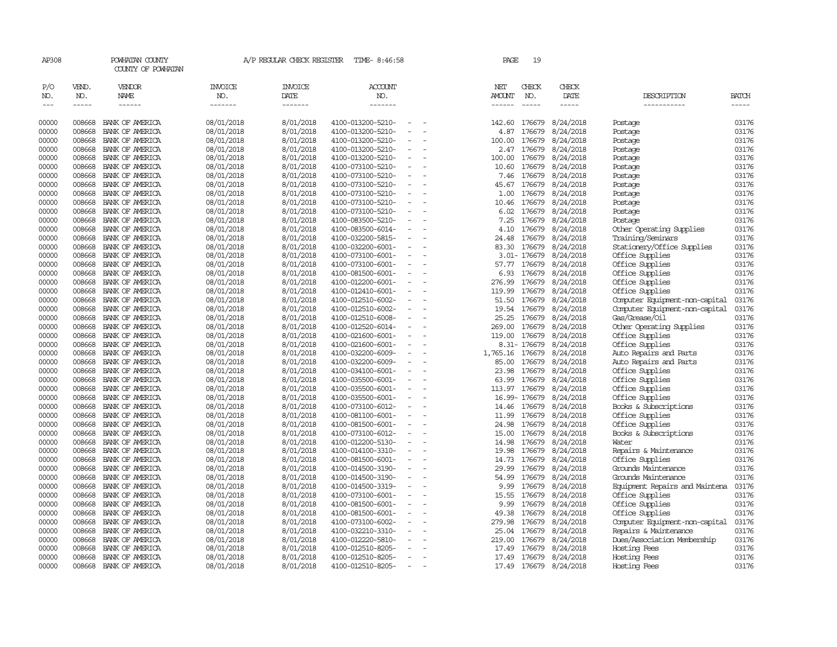| AP308                       |                          | POWHATAN COUNTY<br>COUNTY OF POWHATAN |                                  | A/P REGULAR CHECK REGISTER        | TIME- 8:46:58                                      |  | PAGE                                  | 19                            |                        |                                                  |                             |
|-----------------------------|--------------------------|---------------------------------------|----------------------------------|-----------------------------------|----------------------------------------------------|--|---------------------------------------|-------------------------------|------------------------|--------------------------------------------------|-----------------------------|
| P/O<br>NO.<br>$\frac{1}{2}$ | VEND.<br>NO.<br>$\cdots$ | VENDOR<br>NAME<br>$- - - - - -$       | <b>INVOICE</b><br>NO.<br>------- | <b>INVOICE</b><br>DATE<br>------- | <b>ACCOUNT</b><br>NO.<br>-------                   |  | NET<br><b>AMOUNT</b><br>$- - - - - -$ | CHECK<br>NO.<br>$\frac{1}{2}$ | CHECK<br>DATE<br>----- | DESCRIPTION<br>-----------                       | <b>BATCH</b><br>$- - - - -$ |
| 00000                       | 008668                   | BANK OF AMERICA                       | 08/01/2018                       | 8/01/2018                         | 4100-013200-5210-                                  |  | 142.60                                | 176679                        | 8/24/2018              | Postage                                          | 03176                       |
| 00000                       | 008668                   | BANK OF AMERICA                       | 08/01/2018                       | 8/01/2018                         | 4100-013200-5210-                                  |  | 4.87                                  | 176679                        | 8/24/2018              | Postage                                          | 03176                       |
| 00000                       | 008668                   | BANK OF AMERICA                       | 08/01/2018                       | 8/01/2018                         | 4100-013200-5210-<br>$\equiv$                      |  | 100.00                                | 176679                        | 8/24/2018              | Postage                                          | 03176                       |
| 00000                       | 008668                   | BANK OF AMERICA                       | 08/01/2018                       | 8/01/2018                         | 4100-013200-5210-<br>$\equiv$                      |  | 2.47                                  | 176679                        | 8/24/2018              | Postage                                          | 03176                       |
| 00000                       | 008668                   | BANK OF AMERICA                       | 08/01/2018                       | 8/01/2018                         | 4100-013200-5210-                                  |  | 100.00                                | 176679                        | 8/24/2018              | Postage                                          | 03176                       |
| 00000                       | 008668                   | BANK OF AMERICA                       | 08/01/2018                       | 8/01/2018                         | 4100-073100-5210-                                  |  | 10.60                                 | 176679                        | 8/24/2018              | Postage                                          | 03176                       |
| 00000                       | 008668                   | BANK OF AMERICA                       | 08/01/2018                       | 8/01/2018                         | 4100-073100-5210-<br>$\overline{\phantom{a}}$      |  | 7.46                                  | 176679                        | 8/24/2018              | Postage                                          | 03176                       |
| 00000                       | 008668                   | BANK OF AMERICA                       | 08/01/2018                       | 8/01/2018                         | 4100-073100-5210-                                  |  | 45.67                                 | 176679                        | 8/24/2018              | Postage                                          | 03176                       |
| 00000                       | 008668                   | BANK OF AMERICA                       | 08/01/2018                       | 8/01/2018                         | 4100-073100-5210-                                  |  | 1.00                                  | 176679                        | 8/24/2018              | Postage                                          | 03176                       |
| 00000                       | 008668                   | BANK OF AMERICA                       | 08/01/2018                       | 8/01/2018                         | 4100-073100-5210-<br>$\equiv$                      |  |                                       | 10.46 176679                  | 8/24/2018              | Postage                                          | 03176                       |
| 00000                       | 008668                   | BANK OF AMERICA                       | 08/01/2018                       | 8/01/2018                         | 4100-073100-5210-                                  |  | 6.02                                  | 176679                        | 8/24/2018              | Postage                                          | 03176                       |
| 00000                       | 008668                   | BANK OF AMERICA                       | 08/01/2018                       | 8/01/2018                         | 4100-083500-5210-                                  |  | 7.25                                  | 176679                        | 8/24/2018              | Postage                                          | 03176                       |
| 00000                       | 008668                   | BANK OF AMERICA                       | 08/01/2018                       | 8/01/2018                         | 4100-083500-6014-                                  |  | 4.10                                  | 176679                        | 8/24/2018              | Other Operating Supplies                         | 03176                       |
| 00000                       | 008668                   | BANK OF AMERICA                       | 08/01/2018                       | 8/01/2018                         | 4100-032200-5815-<br>$\overline{\phantom{a}}$      |  | 24.48                                 | 176679                        | 8/24/2018              | Training/Seminars                                | 03176                       |
| 00000                       | 008668                   | BANK OF AMERICA                       | 08/01/2018                       | 8/01/2018                         | 4100-032200-6001-                                  |  | 83.30                                 | 176679                        | 8/24/2018              | Stationery/Office Supplies                       | 03176                       |
| 00000                       | 008668                   | BANK OF AMERICA                       | 08/01/2018                       | 8/01/2018                         | 4100-073100-6001-                                  |  |                                       | 3.01-176679                   | 8/24/2018              | Office Supplies                                  | 03176                       |
| 00000                       | 008668                   | BANK OF AMERICA                       | 08/01/2018                       | 8/01/2018                         | 4100-073100-6001-<br>$\overline{\phantom{a}}$      |  |                                       | 57.77 176679                  | 8/24/2018              | Office Supplies                                  | 03176                       |
| 00000                       | 008668                   | BANK OF AMERICA                       | 08/01/2018                       | 8/01/2018                         | 4100-081500-6001-                                  |  | 6.93                                  | 176679                        | 8/24/2018              | Office Supplies                                  | 03176                       |
| 00000                       | 008668                   | BANK OF AMERICA                       | 08/01/2018                       | 8/01/2018                         | 4100-012200-6001-                                  |  | 276.99                                | 176679                        | 8/24/2018              | Office Supplies                                  | 03176                       |
| 00000                       | 008668                   | BANK OF AMERICA                       | 08/01/2018                       | 8/01/2018                         | 4100-012410-6001-                                  |  | 119.99                                | 176679                        | 8/24/2018              | Office Supplies                                  | 03176                       |
| 00000                       | 008668                   | BANK OF AMERICA                       | 08/01/2018                       | 8/01/2018                         | 4100-012510-6002-<br>$\equiv$                      |  | 51.50                                 | 176679                        | 8/24/2018              | Computer Equipment-non-capital                   | 03176                       |
| 00000                       | 008668                   | BANK OF AMERICA                       | 08/01/2018                       | 8/01/2018                         | 4100-012510-6002-                                  |  | 19.54                                 | 176679                        | 8/24/2018              | Computer Equipment-non-capital                   | 03176                       |
| 00000                       | 008668                   | BANK OF AMERICA                       | 08/01/2018                       | 8/01/2018                         | 4100-012510-6008-                                  |  | 25.25                                 | 176679                        | 8/24/2018              | Gas/Grease/Oil                                   | 03176                       |
| 00000                       | 008668                   | BANK OF AMERICA                       | 08/01/2018                       | 8/01/2018                         | 4100-012520-6014-<br>$\overline{\phantom{a}}$      |  | 269.00                                | 176679                        | 8/24/2018              | Other Operating Supplies                         | 03176                       |
| 00000                       | 008668                   | BANK OF AMERICA                       | 08/01/2018                       | 8/01/2018                         | 4100-021600-6001-<br>$\overline{\phantom{a}}$      |  | 119.00                                | 176679                        | 8/24/2018              | Office Supplies                                  | 03176                       |
| 00000                       | 008668                   | BANK OF AMERICA                       | 08/01/2018                       | 8/01/2018<br>8/01/2018            | 4100-021600-6001-                                  |  |                                       | 8.31-176679                   | 8/24/2018<br>8/24/2018 | Office Supplies                                  | 03176<br>03176              |
| 00000<br>00000              | 008668<br>008668         | BANK OF AMERICA<br>BANK OF AMERICA    | 08/01/2018<br>08/01/2018         | 8/01/2018                         | 4100-032200-6009-<br>4100-032200-6009-<br>$\equiv$ |  | 1,765.16 176679<br>85.00              | 176679                        | 8/24/2018              | Auto Repairs and Parts<br>Auto Repairs and Parts | 03176                       |
| 00000                       | 008668                   | BANK OF AMERICA                       | 08/01/2018                       | 8/01/2018                         | 4100-034100-6001-                                  |  | 23.98                                 | 176679                        | 8/24/2018              | Office Supplies                                  | 03176                       |
| 00000                       | 008668                   | BANK OF AMERICA                       | 08/01/2018                       | 8/01/2018                         | 4100-035500-6001-                                  |  | 63.99                                 | 176679                        | 8/24/2018              | Office Supplies                                  | 03176                       |
| 00000                       | 008668                   | BANK OF AMERICA                       | 08/01/2018                       | 8/01/2018                         | 4100-035500-6001-<br>$\overline{\phantom{a}}$      |  | 113.97 176679                         |                               | 8/24/2018              | Office Supplies                                  | 03176                       |
| 00000                       | 008668                   | BANK OF AMERICA                       | 08/01/2018                       | 8/01/2018                         | 4100-035500-6001-                                  |  |                                       | 16.99-176679                  | 8/24/2018              | Office Supplies                                  | 03176                       |
| 00000                       | 008668                   | BANK OF AMERICA                       | 08/01/2018                       | 8/01/2018                         | 4100-073100-6012-                                  |  |                                       | 14.46 176679                  | 8/24/2018              | Books & Subscriptions                            | 03176                       |
| 00000                       | 008668                   | BANK OF AMERICA                       | 08/01/2018                       | 8/01/2018                         | 4100-081100-6001-                                  |  | 11.99                                 | 176679                        | 8/24/2018              | Office Supplies                                  | 03176                       |
| 00000                       | 008668                   | BANK OF AMERICA                       | 08/01/2018                       | 8/01/2018                         | 4100-081500-6001-                                  |  | 24.98                                 | 176679                        | 8/24/2018              | Office Supplies                                  | 03176                       |
| 00000                       | 008668                   | BANK OF AMERICA                       | 08/01/2018                       | 8/01/2018                         | 4100-073100-6012-                                  |  | 15.00                                 | 176679                        | 8/24/2018              | Books & Subscriptions                            | 03176                       |
| 00000                       | 008668                   | BANK OF AMERICA                       | 08/01/2018                       | 8/01/2018                         | 4100-012200-5130-                                  |  | 14.98                                 | 176679                        | 8/24/2018              | Water                                            | 03176                       |
| 00000                       | 008668                   | BANK OF AMERICA                       | 08/01/2018                       | 8/01/2018                         | 4100-014100-3310-<br>$\sim$                        |  | 19.98                                 | 176679                        | 8/24/2018              | Repairs & Maintenance                            | 03176                       |
| 00000                       | 008668                   | BANK OF AMERICA                       | 08/01/2018                       | 8/01/2018                         | 4100-081500-6001-                                  |  | 14.73                                 | 176679                        | 8/24/2018              | Office Supplies                                  | 03176                       |
| 00000                       | 008668                   | BANK OF AMERICA                       | 08/01/2018                       | 8/01/2018                         | 4100-014500-3190-<br>$\equiv$                      |  |                                       | 29.99 176679                  | 8/24/2018              | Grounds Maintenance                              | 03176                       |
| 00000                       | 008668                   | BANK OF AMERICA                       | 08/01/2018                       | 8/01/2018                         | 4100-014500-3190-                                  |  | 54.99                                 | 176679                        | 8/24/2018              | Grounds Maintenance                              | 03176                       |
| 00000                       | 008668                   | BANK OF AMERICA                       | 08/01/2018                       | 8/01/2018                         | 4100-014500-3319-<br>$\overline{\phantom{a}}$      |  | 9.99                                  | 176679                        | 8/24/2018              | Equipment Repairs and Maintena                   | 03176                       |
| 00000                       | 008668                   | BANK OF AMERICA                       | 08/01/2018                       | 8/01/2018                         | 4100-073100-6001-                                  |  | 15.55                                 | 176679                        | 8/24/2018              | Office Supplies                                  | 03176                       |
| 00000                       | 008668                   | BANK OF AMERICA                       | 08/01/2018                       | 8/01/2018                         | 4100-081500-6001-                                  |  | 9.99                                  | 176679                        | 8/24/2018              | Office Supplies                                  | 03176                       |
| 00000                       | 008668                   | BANK OF AMERICA                       | 08/01/2018                       | 8/01/2018                         | 4100-081500-6001-<br>$\overline{\phantom{a}}$      |  | 49.38                                 | 176679                        | 8/24/2018              | Office Supplies                                  | 03176                       |
| 00000                       | 008668                   | BANK OF AMERICA                       | 08/01/2018                       | 8/01/2018                         | 4100-073100-6002-                                  |  | 279.98                                | 176679                        | 8/24/2018              | Computer Equipment-non-capital                   | 03176                       |
| 00000                       | 008668                   | BANK OF AMERICA                       | 08/01/2018                       | 8/01/2018                         | 4100-032210-3310-                                  |  | 25.04                                 | 176679                        | 8/24/2018              | Repairs & Maintenance                            | 03176                       |
| 00000                       | 008668                   | BANK OF AMERICA                       | 08/01/2018                       | 8/01/2018                         | 4100-012220-5810-                                  |  | 219.00                                | 176679                        | 8/24/2018              | Dues/Association Membership                      | 03176                       |
| 00000                       | 008668                   | BANK OF AMERICA                       | 08/01/2018                       | 8/01/2018                         | 4100-012510-8205-                                  |  | 17.49                                 | 176679                        | 8/24/2018              | Hosting Fees                                     | 03176                       |
| 00000                       | 008668                   | BANK OF AMERICA                       | 08/01/2018                       | 8/01/2018                         | 4100-012510-8205-                                  |  | 17.49                                 | 176679                        | 8/24/2018              | Hosting Fees                                     | 03176                       |
| 00000                       | 008668                   | BANK OF AMERICA                       | 08/01/2018                       | 8/01/2018                         | 4100-012510-8205-<br>$\sim$                        |  |                                       |                               | 17.49 176679 8/24/2018 | Hosting Fees                                     | 03176                       |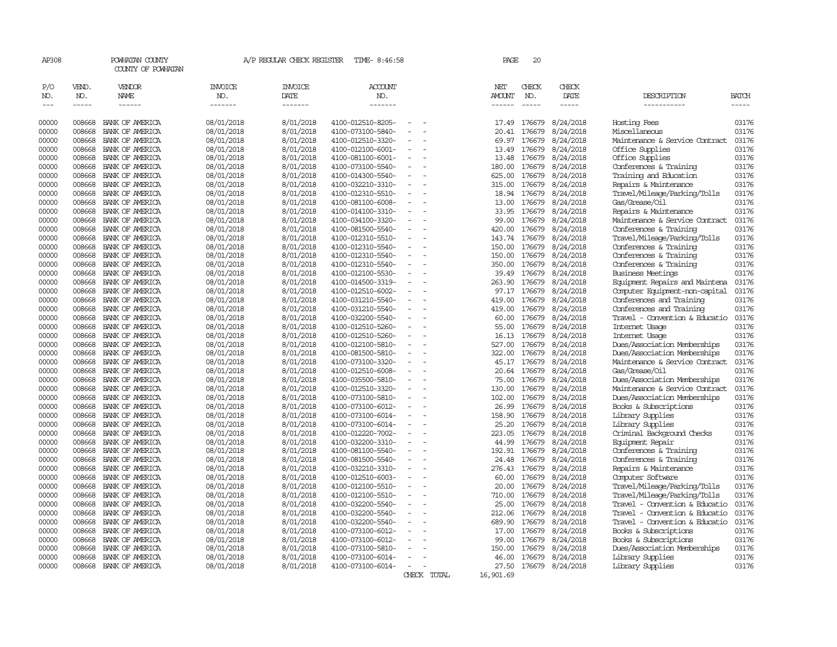| AP308          |                  | POWHATAN COUNTY<br>COUNTY OF POWHATAN |                          | A/P REGULAR CHECK REGISTER | TIME- 8:46:58                          |             | PAGE            | 20               |                        |                                                                  |                |
|----------------|------------------|---------------------------------------|--------------------------|----------------------------|----------------------------------------|-------------|-----------------|------------------|------------------------|------------------------------------------------------------------|----------------|
| P/O<br>NO.     | VEND.<br>NO.     | VENDOR<br><b>NAME</b>                 | <b>INVOICE</b><br>NO.    | <b>INVOICE</b><br>DATE     | <b>ACCOUNT</b><br>NO.                  |             | NET<br>AMOUNT   | CHECK<br>NO.     | CHECK<br>DATE          | DESCRIPTION                                                      | <b>BATCH</b>   |
| $---$          | $- - - - -$      | $- - - - - -$                         | -------                  | --------                   | -------                                |             | $- - - - - -$   | $- - - - -$      | -----                  | -----------                                                      | -----          |
| 00000          | 008668           | BANK OF AMERICA                       | 08/01/2018               | 8/01/2018                  | 4100-012510-8205-                      |             | 17.49           | 176679           | 8/24/2018              | Hosting Fees                                                     | 03176          |
| 00000          | 008668           | BANK OF AMERICA                       |                          | 8/01/2018                  | 4100-073100-5840-                      |             | 20.41           |                  |                        | Miscellaneous                                                    | 03176          |
| 00000          | 008668           | BANK OF AMERICA                       | 08/01/2018               | 8/01/2018                  | 4100-012510-3320-                      |             | 69.97           | 176679<br>176679 | 8/24/2018              |                                                                  | 03176          |
| 00000          | 008668           | BANK OF AMERICA                       | 08/01/2018               | 8/01/2018                  | 4100-012100-6001-                      | $\equiv$    | 13.49           | 176679           | 8/24/2018<br>8/24/2018 | Maintenance & Service Contract<br>Office Supplies                | 03176          |
| 00000          | 008668           | BANK OF AMERICA                       | 08/01/2018<br>08/01/2018 | 8/01/2018                  | 4100-081100-6001-                      |             | 13.48           | 176679           | 8/24/2018              | Office Supplies                                                  | 03176          |
| 00000          | 008668           | BANK OF AMERICA                       | 08/01/2018               | 8/01/2018                  | 4100-073100-5540-                      |             | 180.00          | 176679           | 8/24/2018              | Conferences & Training                                           | 03176          |
| 00000          | 008668           | BANK OF AMERICA                       | 08/01/2018               | 8/01/2018                  | 4100-014300-5540-                      |             | 625.00          | 176679           | 8/24/2018              | Training and Education                                           | 03176          |
| 00000          | 008668           | BANK OF AMERICA                       | 08/01/2018               | 8/01/2018                  | 4100-032210-3310-                      | $\sim$      | 315.00          | 176679           | 8/24/2018              | Repairs & Maintenance                                            | 03176          |
| 00000          | 008668           | BANK OF AMERICA                       | 08/01/2018               | 8/01/2018                  | 4100-012310-5510-                      |             | 18.94           | 176679           | 8/24/2018              | Travel/Mileage/Parking/Tolls                                     | 03176          |
| 00000          | 008668           | BANK OF AMERICA                       | 08/01/2018               | 8/01/2018                  | 4100-081100-6008-                      |             | 13.00           | 176679           | 8/24/2018              | Gas/Grease/0il                                                   | 03176          |
| 00000          | 008668           | BANK OF AMERICA                       | 08/01/2018               | 8/01/2018                  | 4100-014100-3310-                      |             | 33.95           | 176679           | 8/24/2018              | Repairs & Maintenance                                            | 03176          |
| 00000          | 008668           | BANK OF AMERICA                       | 08/01/2018               | 8/01/2018                  | 4100-034100-3320-                      |             | 99.00           | 176679           | 8/24/2018              | Maintenance & Service Contract                                   | 03176          |
| 00000          | 008668           | BANK OF AMERICA                       |                          | 8/01/2018                  |                                        |             | 420.00          | 176679           | 8/24/2018              |                                                                  | 03176          |
| 00000          | 008668           | BANK OF AMERICA                       | 08/01/2018<br>08/01/2018 | 8/01/2018                  | 4100-081500-5540-<br>4100-012310-5510- |             | 143.74          | 176679           | 8/24/2018              | Conferences & Training<br>Travel/Mileage/Parking/Tolls           | 03176          |
| 00000          | 008668           | BANK OF AMERICA                       | 08/01/2018               | 8/01/2018                  | 4100-012310-5540-                      |             | 150.00          | 176679           | 8/24/2018              | Conferences & Training                                           | 03176          |
| 00000          | 008668           | BANK OF AMERICA                       |                          | 8/01/2018                  |                                        |             | 150.00          | 176679           |                        | Conferences & Training                                           | 03176          |
| 00000          | 008668           | BANK OF AMERICA                       | 08/01/2018<br>08/01/2018 | 8/01/2018                  | 4100-012310-5540-<br>4100-012310-5540- |             | 350.00          | 176679           | 8/24/2018<br>8/24/2018 | Conferences & Training                                           | 03176          |
|                |                  |                                       |                          |                            |                                        |             |                 |                  |                        |                                                                  |                |
| 00000<br>00000 | 008668<br>008668 | BANK OF AMERICA<br>BANK OF AMERICA    | 08/01/2018               | 8/01/2018                  | 4100-012100-5530-<br>4100-014500-3319- | $\equiv$    | 39.49<br>263.90 | 176679<br>176679 | 8/24/2018              | <b>Business Meetings</b>                                         | 03176<br>03176 |
| 00000          | 008668           | BANK OF AMERICA                       | 08/01/2018<br>08/01/2018 | 8/01/2018<br>8/01/2018     | 4100-012510-6002-                      |             | 97.17           | 176679           | 8/24/2018<br>8/24/2018 | Equipment Repairs and Maintena<br>Computer Equipment-non-capital | 03176          |
| 00000          | 008668           | BANK OF AMERICA                       |                          | 8/01/2018                  | 4100-031210-5540-                      |             | 419.00          | 176679           | 8/24/2018              | Conferences and Training                                         | 03176          |
| 00000          | 008668           | BANK OF AMERICA                       | 08/01/2018<br>08/01/2018 | 8/01/2018                  | 4100-031210-5540-                      |             | 419.00          | 176679           | 8/24/2018              | Conferences and Training                                         | 03176          |
| 00000          | 008668           | BANK OF AMERICA                       |                          | 8/01/2018                  | 4100-032200-5540-                      | $\equiv$    | 60.00           | 176679           | 8/24/2018              | Travel - Convention & Educatio                                   | 03176          |
| 00000          | 008668           | BANK OF AMERICA                       | 08/01/2018<br>08/01/2018 | 8/01/2018                  | 4100-012510-5260-                      |             | 55.00           | 176679           | 8/24/2018              | Internet Usage                                                   | 03176          |
| 00000          | 008668           | BANK OF AMERICA                       | 08/01/2018               | 8/01/2018                  | 4100-012510-5260-                      |             | 16.13           | 176679           | 8/24/2018              | Internet Usage                                                   | 03176          |
| 00000          | 008668           | BANK OF AMERICA                       | 08/01/2018               | 8/01/2018                  | 4100-012100-5810-                      |             | 527.00          | 176679           | 8/24/2018              | Dues/Association Memberships                                     | 03176          |
| 00000          | 008668           | BANK OF AMERICA                       | 08/01/2018               | 8/01/2018                  | 4100-081500-5810-                      | $\sim$      | 322.00          | 176679           | 8/24/2018              | Dues/Association Memberships                                     | 03176          |
| 00000          | 008668           | BANK OF AMERICA                       | 08/01/2018               | 8/01/2018                  | 4100-073100-3320-                      |             | 45.17           | 176679           | 8/24/2018              | Maintenance & Service Contract                                   | 03176          |
| 00000          | 008668           | BANK OF AMERICA                       | 08/01/2018               | 8/01/2018                  | 4100-012510-6008-                      |             | 20.64           | 176679           | 8/24/2018              | Gas/Grease/0il                                                   | 03176          |
| 00000          | 008668           | BANK OF AMERICA                       | 08/01/2018               | 8/01/2018                  | 4100-035500-5810-                      |             | 75.00           | 176679           | 8/24/2018              | Dues/Association Memberships                                     | 03176          |
| 00000          | 008668           | BANK OF AMERICA                       | 08/01/2018               | 8/01/2018                  | 4100-012510-3320-                      |             | 130.00          | 176679           | 8/24/2018              | Maintenance & Service Contract                                   | 03176          |
| 00000          | 008668           | BANK OF AMERICA                       | 08/01/2018               | 8/01/2018                  | 4100-073100-5810-                      |             | 102.00          | 176679           | 8/24/2018              | Dues/Association Memberships                                     | 03176          |
| 00000          | 008668           | BANK OF AMERICA                       | 08/01/2018               | 8/01/2018                  | 4100-073100-6012-                      |             | 26.99           | 176679           | 8/24/2018              | Books & Subscriptions                                            | 03176          |
| 00000          | 008668           | BANK OF AMERICA                       | 08/01/2018               | 8/01/2018                  | 4100-073100-6014-                      | $\equiv$    | 158.90          | 176679           | 8/24/2018              | Library Supplies                                                 | 03176          |
| 00000          | 008668           | BANK OF AMERICA                       | 08/01/2018               | 8/01/2018                  | 4100-073100-6014-                      |             | 25.20           | 176679           | 8/24/2018              | Library Supplies                                                 | 03176          |
| 00000          | 008668           | BANK OF AMERICA                       | 08/01/2018               | 8/01/2018                  | 4100-012220-7002-                      |             | 223.05          | 176679           | 8/24/2018              | Criminal Background Checks                                       | 03176          |
| 00000          | 008668           | BANK OF AMERICA                       | 08/01/2018               | 8/01/2018                  | 4100-032200-3310-                      |             | 44.99           | 176679           | 8/24/2018              | Equipment Repair                                                 | 03176          |
| 00000          | 008668           | BANK OF AMERICA                       | 08/01/2018               | 8/01/2018                  | 4100-081100-5540-                      |             | 192.91          | 176679           | 8/24/2018              | Conferences & Training                                           | 03176          |
| 00000          | 008668           | BANK OF AMERICA                       | 08/01/2018               | 8/01/2018                  | 4100-081500-5540-                      |             | 24.48           | 176679           | 8/24/2018              | Conferences & Training                                           | 03176          |
| 00000          | 008668           | BANK OF AMERICA                       | 08/01/2018               | 8/01/2018                  | 4100-032210-3310-                      |             | 276.43          | 176679           | 8/24/2018              | Repairs & Maintenance                                            | 03176          |
| 00000          | 008668           | BANK OF AMERICA                       | 08/01/2018               | 8/01/2018                  | 4100-012510-6003-                      |             | 60.00           | 176679           | 8/24/2018              | Computer Software                                                | 03176          |
| 00000          | 008668           | BANK OF AMERICA                       | 08/01/2018               | 8/01/2018                  | 4100-012100-5510-                      |             | 20.00           | 176679           | 8/24/2018              | Travel/Mileage/Parking/Tolls                                     | 03176          |
| 00000          | 008668           | BANK OF AMERICA                       |                          | 8/01/2018                  | 4100-012100-5510-                      |             | 710.00          | 176679           | 8/24/2018              | Travel/Mileage/Parking/Tolls                                     | 03176          |
| 00000          | 008668           | BANK OF AMERICA                       | 08/01/2018               | 8/01/2018                  | 4100-032200-5540-                      |             |                 | 176679           |                        | Travel - Convention & Educatio                                   | 03176          |
| 00000          | 008668           | BANK OF AMERICA                       | 08/01/2018<br>08/01/2018 | 8/01/2018                  | 4100-032200-5540-                      |             | 25.00<br>212.06 | 176679           | 8/24/2018<br>8/24/2018 | Travel - Convention & Educatio                                   | 03176          |
| 00000          | 008668           |                                       |                          | 8/01/2018                  | 4100-032200-5540-                      |             |                 |                  | 8/24/2018              | Travel - Convention & Educatio                                   | 03176          |
| 00000          | 008668           | BANK OF AMERICA                       | 08/01/2018               | 8/01/2018                  |                                        |             | 689.90          | 176679           | 8/24/2018              | Books & Subscriptions                                            | 03176          |
|                |                  | BANK OF AMERICA                       | 08/01/2018               |                            | 4100-073100-6012-                      |             | 17.00           | 176679           |                        |                                                                  | 03176          |
| 00000<br>00000 | 008668           | BANK OF AMERICA                       | 08/01/2018               | 8/01/2018                  | 4100-073100-6012-                      | $\equiv$    | 99.00           | 176679           | 8/24/2018              | Books & Subscriptions                                            | 03176          |
| 00000          | 008668<br>008668 | BANK OF AMERICA<br>BANK OF AMERICA    | 08/01/2018<br>08/01/2018 | 8/01/2018<br>8/01/2018     | 4100-073100-5810-<br>4100-073100-6014- |             | 150.00<br>46.00 | 176679<br>176679 | 8/24/2018<br>8/24/2018 | Dues/Association Memberships<br>Library Supplies                 | 03176          |
| 00000          | 008668           | BANK OF AMERICA                       |                          | 8/01/2018                  | 4100-073100-6014-                      | $\equiv$    | 27.50           |                  | 176679 8/24/2018       |                                                                  | 03176          |
|                |                  |                                       | 08/01/2018               |                            |                                        | CHECK TOTAL | 16,901.69       |                  |                        | Library Supplies                                                 |                |
|                |                  |                                       |                          |                            |                                        |             |                 |                  |                        |                                                                  |                |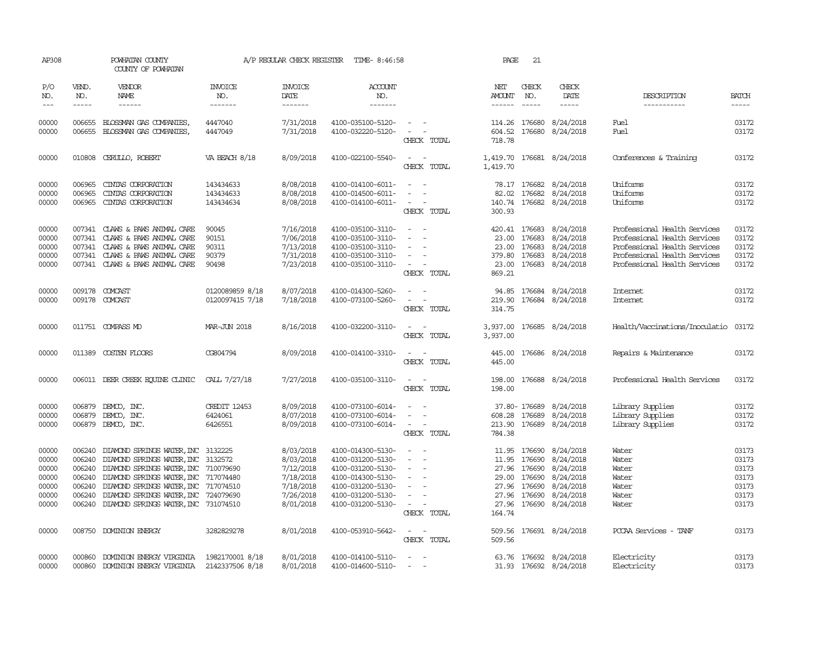| AP308                                                       |                                                          | POWHATAN COUNTY<br>COUNTY OF POWHATAN                                                                                                                                                                                                                                         |                                           | A/P REGULAR CHECK REGISTER                                                              | TIME- 8:46:58                                                                                                                                   |                                                                                                 | PAGE                                       | 21                                                                                                                                                                                                                                                                                                                                                                                                                                                                                         |                                                                                                      |                                                                                                                                                              |                                                             |
|-------------------------------------------------------------|----------------------------------------------------------|-------------------------------------------------------------------------------------------------------------------------------------------------------------------------------------------------------------------------------------------------------------------------------|-------------------------------------------|-----------------------------------------------------------------------------------------|-------------------------------------------------------------------------------------------------------------------------------------------------|-------------------------------------------------------------------------------------------------|--------------------------------------------|--------------------------------------------------------------------------------------------------------------------------------------------------------------------------------------------------------------------------------------------------------------------------------------------------------------------------------------------------------------------------------------------------------------------------------------------------------------------------------------------|------------------------------------------------------------------------------------------------------|--------------------------------------------------------------------------------------------------------------------------------------------------------------|-------------------------------------------------------------|
| P/O<br>NO.<br>$---$                                         | VEND.<br>NO.                                             | <b>VENDOR</b><br>NAME<br>$- - - - - -$                                                                                                                                                                                                                                        | <b>INVOICE</b><br>NO.<br>-------          | <b>INVOICE</b><br><b>DATE</b><br>$- - - - - - -$                                        | ACCOUNT<br>NO.<br>$- - - - - - -$                                                                                                               |                                                                                                 | NET<br>AMOUNT<br>------                    | CHECK<br>NO.<br>$\frac{1}{2} \left( \frac{1}{2} \right) \left( \frac{1}{2} \right) \left( \frac{1}{2} \right) \left( \frac{1}{2} \right) \left( \frac{1}{2} \right) \left( \frac{1}{2} \right) \left( \frac{1}{2} \right) \left( \frac{1}{2} \right) \left( \frac{1}{2} \right) \left( \frac{1}{2} \right) \left( \frac{1}{2} \right) \left( \frac{1}{2} \right) \left( \frac{1}{2} \right) \left( \frac{1}{2} \right) \left( \frac{1}{2} \right) \left( \frac{1}{2} \right) \left( \frac$ | CHECK<br>DATE<br>$- - - - -$                                                                         | DESCRIPTION<br>-----------                                                                                                                                   | <b>BATCH</b><br>-----                                       |
| 00000<br>00000                                              | 006655<br>006655                                         | BLOSSMAN GAS COMPANIES<br>BLOSSMAN GAS COMPANIES,                                                                                                                                                                                                                             | 4447040<br>4447049                        | 7/31/2018<br>7/31/2018                                                                  | 4100-035100-5120-<br>4100-032220-5120-                                                                                                          | $\overline{\phantom{a}}$<br>$\overline{\phantom{a}}$<br>CHECK TOTAL                             | 604.52<br>718.78                           | 176680                                                                                                                                                                                                                                                                                                                                                                                                                                                                                     | 114.26 176680 8/24/2018<br>8/24/2018                                                                 | Fuel<br>Fuel                                                                                                                                                 | 03172<br>03172                                              |
| 00000                                                       |                                                          | 010808 CERULLO, ROBERT                                                                                                                                                                                                                                                        | VA BEACH 8/18                             | 8/09/2018                                                                               | 4100-022100-5540-                                                                                                                               | CHECK TOTAL                                                                                     | 1,419.70<br>1,419.70                       |                                                                                                                                                                                                                                                                                                                                                                                                                                                                                            | 176681 8/24/2018                                                                                     | Conferences & Training                                                                                                                                       | 03172                                                       |
| 00000<br>00000<br>00000                                     | 006965<br>006965<br>006965                               | CINIAS CORPORATION<br>CINIAS CORPORATION<br>CINIAS CORPORATION                                                                                                                                                                                                                | 143434633<br>143434633<br>143434634       | 8/08/2018<br>8/08/2018<br>8/08/2018                                                     | 4100-014100-6011-<br>4100-014500-6011-<br>4100-014100-6011-                                                                                     | $\sim$ 10 $\pm$<br>$\sim$ 100 $\mu$<br>$\overline{\phantom{a}}$<br>CHECK TOTAL                  | 82.02<br>300.93                            |                                                                                                                                                                                                                                                                                                                                                                                                                                                                                            | 78.17 176682 8/24/2018<br>176682 8/24/2018<br>140.74 176682 8/24/2018                                | Uniforms<br>Uniforms<br>Uniforms                                                                                                                             | 03172<br>03172<br>03172                                     |
| 00000<br>00000<br>00000<br>00000<br>00000                   | 007341<br>007341<br>007341                               | CLAWS & PAWS ANIMAL CARE<br>CLAWS & PAWS ANIMAL CARE<br>CLAWS & PAWS ANIMAL CARE<br>007341 CLAWS & PAWS ANIMAL CARE<br>007341 CLAWS & PAWS ANIMAL CARE                                                                                                                        | 90045<br>90151<br>90311<br>90379<br>90498 | 7/16/2018<br>7/06/2018<br>7/13/2018<br>7/31/2018<br>7/23/2018                           | 4100-035100-3110-<br>4100-035100-3110-<br>4100-035100-3110-<br>4100-035100-3110-<br>4100-035100-3110-                                           | $\equiv$<br>$\sim$<br>CHECK TOTAL                                                               | 23.00<br>23.00<br>379.80<br>869.21         | 176683<br>176683                                                                                                                                                                                                                                                                                                                                                                                                                                                                           | 420.41 176683 8/24/2018<br>8/24/2018<br>8/24/2018<br>176683 8/24/2018<br>23.00 176683 8/24/2018      | Professional Health Services<br>Professional Health Services<br>Professional Health Services<br>Professional Health Services<br>Professional Health Services | 03172<br>03172<br>03172<br>03172<br>03172                   |
| 00000<br>00000                                              |                                                          | 009178 COMCAST<br>009178 COMCAST                                                                                                                                                                                                                                              | 0120089859 8/18<br>0120097415 7/18        | 8/07/2018<br>7/18/2018                                                                  | 4100-014300-5260-<br>4100-073100-5260-                                                                                                          | $\sim$<br>$\sim$ $\sim$<br>CHECK TOTAL                                                          | 94.85<br>219.90<br>314.75                  |                                                                                                                                                                                                                                                                                                                                                                                                                                                                                            | 176684 8/24/2018<br>176684 8/24/2018                                                                 | Internet<br>Internet                                                                                                                                         | 03172<br>03172                                              |
| 00000                                                       |                                                          | 011751 COMPASS MD                                                                                                                                                                                                                                                             | <b>MAR-JUN 2018</b>                       | 8/16/2018                                                                               | 4100-032200-3110-                                                                                                                               | $\sim$<br>CHECK TOTAL                                                                           | 3,937.00<br>3,937.00                       |                                                                                                                                                                                                                                                                                                                                                                                                                                                                                            | 176685 8/24/2018                                                                                     | Health/Vaccinations/Inoculatio 03172                                                                                                                         |                                                             |
| 00000                                                       |                                                          | 011389 COSTEN FLOORS                                                                                                                                                                                                                                                          | CG804794                                  | 8/09/2018                                                                               | 4100-014100-3310-                                                                                                                               | $\sim$<br>CHECK TOTAL                                                                           | 445.00<br>445.00                           |                                                                                                                                                                                                                                                                                                                                                                                                                                                                                            | 176686 8/24/2018                                                                                     | Repairs & Maintenance                                                                                                                                        | 03172                                                       |
| 00000                                                       |                                                          | 006011 DEER CREEK EQUINE CLINIC                                                                                                                                                                                                                                               | CALL 7/27/18                              | 7/27/2018                                                                               | 4100-035100-3110-                                                                                                                               | $\sim$ $ \sim$<br>CHECK TOTAL                                                                   | 198.00<br>198.00                           |                                                                                                                                                                                                                                                                                                                                                                                                                                                                                            | 176688 8/24/2018                                                                                     | Professional Health Services                                                                                                                                 | 03172                                                       |
| 00000<br>00000<br>00000                                     | 006879                                                   | 006879 DEMCO, INC.<br>DEMCO, INC.<br>006879 DEMCO, INC.                                                                                                                                                                                                                       | CREDIT 12453<br>6424061<br>6426551        | 8/09/2018<br>8/07/2018<br>8/09/2018                                                     | 4100-073100-6014-<br>4100-073100-6014-<br>4100-073100-6014-                                                                                     | $\sim$<br>$\sim$<br>CHECK TOTAL                                                                 | 608.28<br>784.38                           | 37.80-176689<br>176689                                                                                                                                                                                                                                                                                                                                                                                                                                                                     | 8/24/2018<br>8/24/2018<br>213.90 176689 8/24/2018                                                    | Library Supplies<br>Library Supplies<br>Library Supplies                                                                                                     | 03172<br>03172<br>03172                                     |
| 00000<br>00000<br>00000<br>00000<br>00000<br>00000<br>00000 | 006240<br>006240<br>006240<br>006240<br>006240<br>006240 | DIAMOND SPRINGS WATER, INC 3132225<br>DIAMOND SPRINGS WATER, INC 3132572<br>DIAMOND SPRINGS WATER, INC 710079690<br>DIAMOND SPRINGS WATER, INC 717074480<br>DIAMOND SPRINGS WATER, INC<br>DIAMOND SPRINGS WATER, INC 724079690<br>006240 DIAMOND SPRINGS WATER, INC 731074510 | 717074510                                 | 8/03/2018<br>8/03/2018<br>7/12/2018<br>7/18/2018<br>7/18/2018<br>7/26/2018<br>8/01/2018 | 4100-014300-5130-<br>4100-031200-5130-<br>4100-031200-5130-<br>4100-014300-5130-<br>4100-031200-5130-<br>4100-031200-5130-<br>4100-031200-5130- | $\overline{\phantom{a}}$<br>$\overline{\phantom{a}}$<br>$\overline{\phantom{a}}$<br>CHECK TOTAL | 11.95<br>11.95<br>29.00<br>27.96<br>164.74 | 176690<br>176690<br>27.96 176690<br>176690<br>176690<br>27.96 176690                                                                                                                                                                                                                                                                                                                                                                                                                       | 8/24/2018<br>8/24/2018<br>8/24/2018<br>8/24/2018<br>8/24/2018<br>8/24/2018<br>27.96 176690 8/24/2018 | Water<br>Water<br>Water<br>Water<br>Water<br>Water<br>Water                                                                                                  | 03173<br>03173<br>03173<br>03173<br>03173<br>03173<br>03173 |
| 00000                                                       |                                                          | 008750 DOMINION ENERGY                                                                                                                                                                                                                                                        | 3282829278                                | 8/01/2018                                                                               | 4100-053910-5642-                                                                                                                               | $ -$<br>CHECK TOTAL                                                                             | 509.56                                     |                                                                                                                                                                                                                                                                                                                                                                                                                                                                                            | 509.56 176691 8/24/2018                                                                              | PCCAA Services - TANF                                                                                                                                        | 03173                                                       |
| 00000<br>00000                                              | 000860                                                   | DOMINION ENERGY VIRGINIA<br>000860 DOMINION ENERGY VIRGINIA                                                                                                                                                                                                                   | 1982170001 8/18<br>2142337506 8/18        | 8/01/2018<br>8/01/2018                                                                  | 4100-014100-5110-<br>4100-014600-5110-                                                                                                          | $\sim$                                                                                          |                                            |                                                                                                                                                                                                                                                                                                                                                                                                                                                                                            | 63.76 176692 8/24/2018<br>31.93 176692 8/24/2018                                                     | Electricity<br>Electricity                                                                                                                                   | 03173<br>03173                                              |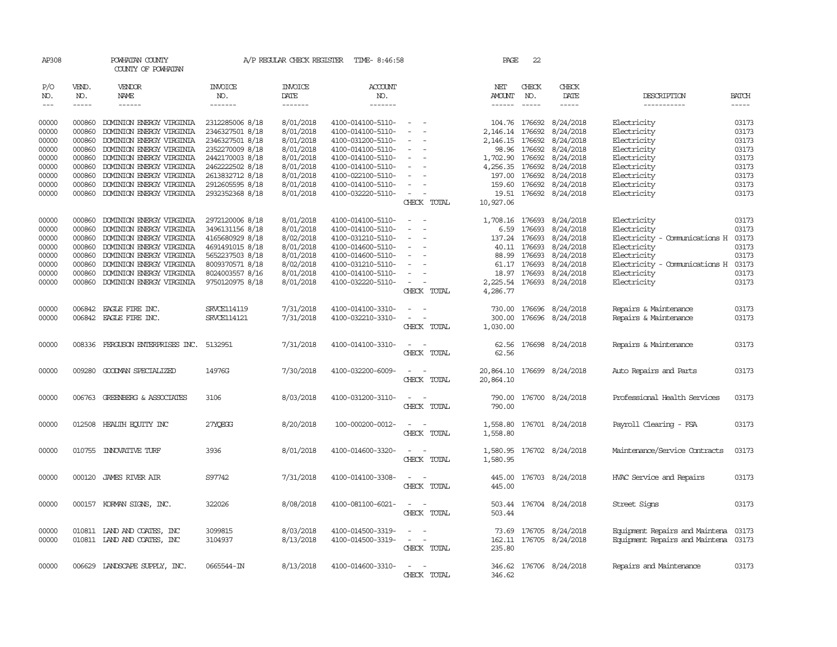| AP308               |                          | POWHATAN COUNTY<br>COUNTY OF POWHATAN                |                                    | A/P REGULAR CHECK REGISTER        | TIME- 8:46:58                          |                                                   | PAGE                                  | 22                           |                                             |                                      |                |
|---------------------|--------------------------|------------------------------------------------------|------------------------------------|-----------------------------------|----------------------------------------|---------------------------------------------------|---------------------------------------|------------------------------|---------------------------------------------|--------------------------------------|----------------|
| P/O<br>NO.<br>$---$ | VEND.<br>NO.<br>$\cdots$ | VENDOR<br>NAME<br>$- - - - - -$                      | <b>INVOICE</b><br>NO.<br>-------   | <b>INVOICE</b><br>DATE<br>------- | ACCOUNT<br>NO.<br>-------              |                                                   | NET<br><b>AMOUNT</b><br>$- - - - - -$ | CHECK<br>NO.<br>$- - - - -$  | CHECK<br>DATE<br>$- - - - -$                | DESCRIPTION<br>-----------           | <b>BATCH</b>   |
| 00000<br>00000      | 000860<br>000860         | DOMINION ENERGY VIRGINIA<br>DOMINION ENERGY VIRGINIA | 2312285006 8/18<br>2346327501 8/18 | 8/01/2018<br>8/01/2018            | 4100-014100-5110-<br>4100-014100-5110- | $\sim$<br>$\overline{\phantom{a}}$                | 2, 146. 14 176692                     | 104.76 176692                | 8/24/2018<br>8/24/2018                      | Electricity<br>Electricity           | 03173<br>03173 |
| 00000<br>00000      | 000860<br>000860         | DOMINION ENERGY VIRGINIA<br>DOMINION ENERGY VIRGINIA | 2346327501 8/18<br>2352270009 8/18 | 8/01/2018<br>8/01/2018            | 4100-031200-5110-<br>4100-014100-5110- | $\sim$<br>$\sim$                                  | 2,146.15 176692                       | 98.96 176692                 | 8/24/2018<br>8/24/2018                      | Electricity<br>Electricity           | 03173<br>03173 |
| 00000               | 000860                   | DOMINION ENERGY VIRGINIA                             | 2442170003 8/18                    | 8/01/2018                         | 4100-014100-5110-                      | $\overline{\phantom{a}}$                          | 1,702.90 176692                       |                              | 8/24/2018                                   | Electricity                          | 03173          |
| 00000               | 000860                   | DOMINION ENERGY VIRGINIA                             | 2462222502 8/18                    | 8/01/2018                         | 4100-014100-5110-                      | $\overline{\phantom{a}}$                          | 4,256.35 176692                       |                              | 8/24/2018                                   | Electricity                          | 03173          |
| 00000               | 000860                   | DOMINION ENERGY VIRGINIA                             | 2613832712 8/18                    | 8/01/2018                         | 4100-022100-5110-                      | $\sim$                                            |                                       | 197.00 176692                | 8/24/2018                                   | Electricity                          | 03173          |
| 00000<br>00000      | 000860<br>000860         | DOMINION ENERGY VIRGINIA<br>DOMINION ENERGY VIRGINIA | 2912605595 8/18<br>2932352368 8/18 | 8/01/2018<br>8/01/2018            | 4100-014100-5110-<br>4100-032220-5110- | $\hspace{0.1mm}-\hspace{0.1mm}$                   | 19.51                                 |                              | 159.60 176692 8/24/2018<br>176692 8/24/2018 | Electricity<br>Electricity           | 03173<br>03173 |
|                     |                          |                                                      |                                    |                                   |                                        | CHECK TOTAL                                       | 10,927.06                             |                              |                                             |                                      |                |
| 00000               | 000860                   | DOMINION ENERGY VIRGINIA                             | 2972120006 8/18                    | 8/01/2018                         | 4100-014100-5110-                      | $\sim$<br>$\sim$                                  | 1,708.16 176693                       |                              | 8/24/2018                                   | Electricity                          | 03173          |
| 00000               | 000860                   | DOMINION ENERGY VIRGINIA                             | 3496131156 8/18                    | 8/01/2018                         | 4100-014100-5110-                      | $\overline{\phantom{a}}$                          |                                       | 6.59 176693                  | 8/24/2018                                   | Electricity                          | 03173          |
| 00000               | 000860                   | DOMINION ENERGY VIRGINIA                             | 4165680929 8/18                    | 8/02/2018                         | 4100-031210-5110-                      | $\overline{\phantom{a}}$                          |                                       | 137.24 176693                | 8/24/2018                                   | Electricity - Comunications H 03173  |                |
| 00000<br>00000      | 000860<br>000860         | DOMINION ENERGY VIRGINIA<br>DOMINION ENERGY VIRGINIA | 4691491015 8/18<br>5652237503 8/18 | 8/01/2018<br>8/01/2018            | 4100-014600-5110-<br>4100-014600-5110- | $\sim$<br>$\overline{\phantom{a}}$                |                                       | 40.11 176693<br>88.99 176693 | 8/24/2018<br>8/24/2018                      | Electricity<br>Electricity           | 03173<br>03173 |
| 00000               | 000860                   | DOMINION ENERGY VIRGINIA                             | 8009370571 8/18                    | 8/02/2018                         | 4100-031210-5110-                      |                                                   |                                       | 61.17 176693                 | 8/24/2018                                   | Electricity - Comunications H        | 03173          |
| 00000               | 000860                   | DOMINION ENERGY VIRGINIA                             | 8024003557 8/16                    | 8/01/2018                         | 4100-014100-5110-                      | $\sim$                                            |                                       | 18.97 176693                 | 8/24/2018                                   | Electricity                          | 03173          |
| 00000               | 000860                   | DOMINION ENERGY VIRGINIA                             | 9750120975 8/18                    | 8/01/2018                         | 4100-032220-5110-                      | $\overline{\phantom{a}}$                          | 2,225.54 176693                       |                              | 8/24/2018                                   | Electricity                          | 03173          |
|                     |                          |                                                      |                                    |                                   |                                        | CHECK TOTAL                                       | 4,286.77                              |                              |                                             |                                      |                |
| 00000               |                          | 006842 EAGLE FIRE INC.                               | SRVCE114119                        | 7/31/2018                         | 4100-014100-3310-                      | $\overline{\phantom{a}}$                          |                                       |                              | 730.00 176696 8/24/2018                     | Repairs & Maintenance                | 03173          |
| 00000               |                          | 006842 EAGLE FIRE INC.                               | SRVCE114121                        | 7/31/2018                         | 4100-032210-3310-                      | $\sim$<br>$\sim$<br>CHECK TOTAL                   | 300.00<br>1,030.00                    |                              | 176696 8/24/2018                            | Repairs & Maintenance                | 03173          |
| 00000               |                          | 008336 FERGUSON ENTERPRISES INC. 5132951             |                                    | 7/31/2018                         | 4100-014100-3310-                      | $ -$<br>CHECK TOTAL                               | 62.56                                 |                              | 62.56 176698 8/24/2018                      | Repairs & Maintenance                | 03173          |
| 00000               |                          | 009280 GOODMAN SPECIALIZED                           | 14976G                             | 7/30/2018                         | 4100-032200-6009-                      | $\sim$<br>$\sim$<br>CHECK TOTAL                   | 20,864.10                             |                              | 20,864.10 176699 8/24/2018                  | Auto Repairs and Parts               | 03173          |
| 00000               |                          | 006763 GREENBERG & ASSOCIATES                        | 3106                               | 8/03/2018                         | 4100-031200-3110-                      | $\sim$<br>$\sim$<br>CHECK TOTAL                   | 790.00                                |                              | 790.00 176700 8/24/2018                     | Professional Health Services         | 03173          |
| 00000               |                          | 012508 HEALTH EQUITY INC                             | 27YQEGG                            | 8/20/2018                         | 100-000200-0012-                       | $\sim$<br>CHECK TOTAL                             | 1,558.80                              |                              | 1,558.80 176701 8/24/2018                   | Payroll Clearing - FSA               | 03173          |
| 00000               |                          | 010755 INNOVATIVE TURF                               | 3936                               | 8/01/2018                         | 4100-014600-3320-                      | $\sim$<br>CHECK TOTAL                             | 1,580.95<br>1,580.95                  |                              | 176702 8/24/2018                            | Maintenance/Service Contracts        | 03173          |
| 00000               |                          | 000120 JAMES RIVER AIR                               | S97742                             | 7/31/2018                         | 4100-014100-3308-                      | $\overline{\phantom{a}}$<br>$\sim$<br>CHECK TOTAL | 445.00<br>445.00                      |                              | 176703 8/24/2018                            | HVAC Service and Repairs             | 03173          |
| 00000               |                          | 000157 KORMAN SIGNS, INC.                            | 322026                             | 8/08/2018                         | 4100-081100-6021-                      | CHECK TOTAL                                       | 503.44                                |                              | 503.44 176704 8/24/2018                     | Street Signs                         | 03173          |
| 00000               |                          | 010811 LAND AND COATES, INC                          | 3099815                            | 8/03/2018                         | 4100-014500-3319-                      |                                                   |                                       |                              | 73.69 176705 8/24/2018                      | Equipment Repairs and Maintena 03173 |                |
| 00000               |                          | 010811 LAND AND COATES, INC                          | 3104937                            | 8/13/2018                         | 4100-014500-3319-                      | $\sim$ $ -$<br>CHECK TOTAL                        | 235.80                                |                              | 162.11 176705 8/24/2018                     | Equipment Repairs and Maintena 03173 |                |
| 00000               |                          | 006629 LANDSCAPE SUPPLY, INC.                        | 0665544-IN                         | 8/13/2018                         | 4100-014600-3310-                      | $\overline{a}$<br>$\sim$<br>CHRCK TOTAL           | 346.62                                |                              | 346.62 176706 8/24/2018                     | Repairs and Maintenance              | 03173          |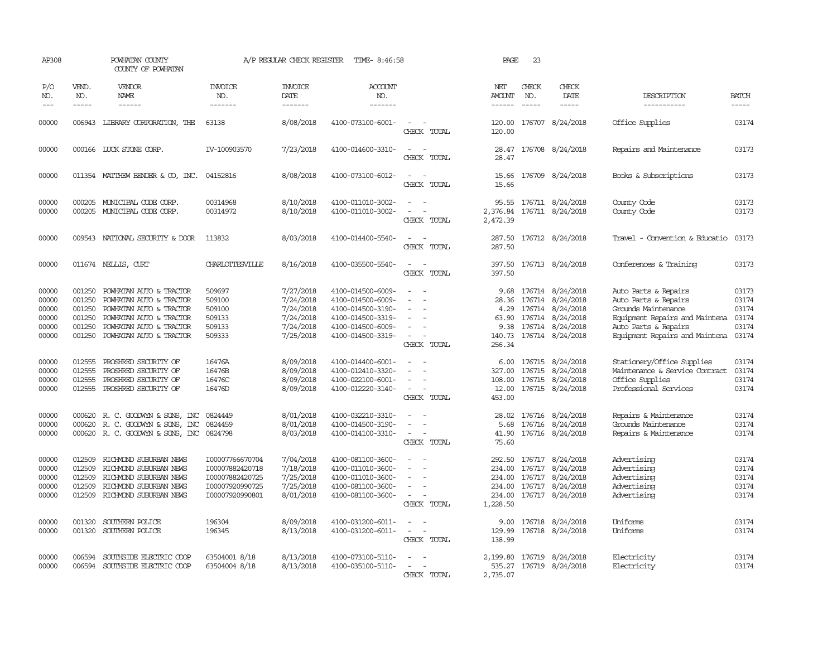| AP308                                              |                                      | POWHATAN COUNTY<br>COUNTY OF POWHATAN                                                                                                                                               |                                                                                             | A/P REGULAR CHECK REGISTER                                                 | TIME- 8:46:58                                                                                                              |                                                                                                                                                       | PAGE                          | 23                            |                                                                                                                                           |                                                                                                                                                                 |                                                    |
|----------------------------------------------------|--------------------------------------|-------------------------------------------------------------------------------------------------------------------------------------------------------------------------------------|---------------------------------------------------------------------------------------------|----------------------------------------------------------------------------|----------------------------------------------------------------------------------------------------------------------------|-------------------------------------------------------------------------------------------------------------------------------------------------------|-------------------------------|-------------------------------|-------------------------------------------------------------------------------------------------------------------------------------------|-----------------------------------------------------------------------------------------------------------------------------------------------------------------|----------------------------------------------------|
| P/O<br>NO.<br>$\qquad \qquad - -$                  | VEND.<br>NO.<br>$- - - - -$          | VENDOR<br><b>NAME</b><br>$- - - - - -$                                                                                                                                              | <b>INVOICE</b><br>NO.<br>-------                                                            | <b>INVOICE</b><br>DATE<br>-------                                          | <b>ACCOUNT</b><br>NO.<br>-------                                                                                           |                                                                                                                                                       | NET<br>AMOUNT                 | CHECK<br>NO.<br>$\frac{1}{2}$ | CHECK<br>DATE<br>-----                                                                                                                    | DESCRIPTION<br>-----------                                                                                                                                      | <b>BATCH</b><br>$- - - - -$                        |
| 00000                                              |                                      | 006943 LIBRARY CORPORATION, THE                                                                                                                                                     | 63138                                                                                       | 8/08/2018                                                                  | 4100-073100-6001-                                                                                                          | $\sim$<br>$\sim$<br>CHECK TOTAL                                                                                                                       | 120.00                        |                               | 120.00 176707 8/24/2018                                                                                                                   | Office Supplies                                                                                                                                                 | 03174                                              |
| 00000                                              |                                      | 000166 LUCK STONE CORP.                                                                                                                                                             | IV-100903570                                                                                | 7/23/2018                                                                  | 4100-014600-3310-                                                                                                          | $\overline{\phantom{a}}$<br>$\sim$<br>CHECK TOTAL                                                                                                     | 28.47                         |                               | 28.47 176708 8/24/2018                                                                                                                    | Repairs and Maintenance                                                                                                                                         | 03173                                              |
| 00000                                              |                                      | 011354 MATTHEW BENDER & CO, INC.                                                                                                                                                    | 04152816                                                                                    | 8/08/2018                                                                  | 4100-073100-6012-                                                                                                          | $\sim$<br>$\overline{\phantom{a}}$<br>CHECK TOTAL                                                                                                     | 15.66<br>15.66                |                               | 176709 8/24/2018                                                                                                                          | Books & Subscriptions                                                                                                                                           | 03173                                              |
| 00000<br>00000                                     | 000205                               | MUNICIPAL CODE CORP.<br>000205 MUNICIPAL CODE CORP.                                                                                                                                 | 00314968<br>00314972                                                                        | 8/10/2018<br>8/10/2018                                                     | 4100-011010-3002-<br>4100-011010-3002-                                                                                     | $\sim$<br>$\overline{\phantom{a}}$<br>CHECK TOTAL                                                                                                     | 95.55<br>2,376.84<br>2,472.39 |                               | 176711 8/24/2018<br>176711 8/24/2018                                                                                                      | County Code<br>County Code                                                                                                                                      | 03173<br>03173                                     |
| 00000                                              |                                      | 009543 NATIONAL SECURITY & DOOR                                                                                                                                                     | 113832                                                                                      | 8/03/2018                                                                  | 4100-014400-5540-                                                                                                          | CHECK TOTAL                                                                                                                                           | 287.50<br>287.50              |                               | 176712 8/24/2018                                                                                                                          | Travel - Convention & Educatio                                                                                                                                  | 03173                                              |
| 00000                                              |                                      | 011674 NELLIS, CURT                                                                                                                                                                 | CHARLOTTESVILLE                                                                             | 8/16/2018                                                                  | 4100-035500-5540-                                                                                                          | CHECK TOTAL                                                                                                                                           | 397.50<br>397.50              |                               | 176713 8/24/2018                                                                                                                          | Conferences & Training                                                                                                                                          | 03173                                              |
| 00000<br>00000<br>00000<br>00000<br>00000<br>00000 | 001250<br>001250<br>001250           | 001250 POWHATAN AUTO & TRACTOR<br>POWHATAN AUTO & TRACTOR<br>POWHATAN AUTO & TRACTOR<br>POWHATAN AUTO & TRACTOR<br>001250 POWHATAN AUTO & TRACTOR<br>001250 POWHATAN AUTO & TRACTOR | 509697<br>509100<br>509100<br>509133<br>509133<br>509333                                    | 7/27/2018<br>7/24/2018<br>7/24/2018<br>7/24/2018<br>7/24/2018<br>7/25/2018 | 4100-014500-6009-<br>4100-014500-6009-<br>4100-014500-3190-<br>4100-014500-3319-<br>4100-014500-6009-<br>4100-014500-3319- | $\equiv$<br>$\overline{\phantom{a}}$<br>$\sim$<br>$\overline{\phantom{a}}$<br>$\sim$<br>$\equiv$<br>$\sim$<br>$\overline{\phantom{a}}$<br>CHECK TOTAL | 28.36<br>140.73<br>256.34     |                               | 9.68 176714 8/24/2018<br>176714 8/24/2018<br>4.29 176714 8/24/2018<br>63.90 176714 8/24/2018<br>9.38 176714 8/24/2018<br>176714 8/24/2018 | Auto Parts & Repairs<br>Auto Parts & Repairs<br>Grounds Maintenance<br>Equipment Repairs and Maintena<br>Auto Parts & Repairs<br>Equipment Repairs and Maintena | 03173<br>03174<br>03174<br>03174<br>03174<br>03174 |
| 00000<br>00000<br>00000<br>00000                   | 012555                               | 012555 PROSHRED SECURITY OF<br>PROSHRED SECURITY OF<br>012555 PROSHRED SECURITY OF<br>012555 PROSHRED SECURITY OF                                                                   | 16476A<br>16476B<br>16476C<br>16476D                                                        | 8/09/2018<br>8/09/2018<br>8/09/2018<br>8/09/2018                           | 4100-014400-6001-<br>4100-012410-3320-<br>4100-022100-6001-<br>4100-012220-3140-                                           | $\sim$<br>$\sim$<br>$\equiv$<br>$\sim$<br>$\overline{\phantom{a}}$<br>CHECK TOTAL                                                                     | 327.00<br>453.00              |                               | 6.00 176715 8/24/2018<br>176715 8/24/2018<br>108.00 176715 8/24/2018<br>12.00 176715 8/24/2018                                            | Stationery/Office Supplies<br>Maintenance & Service Contract<br>Office Supplies<br>Professional Services                                                        | 03174<br>03174<br>03174<br>03174                   |
| 00000<br>00000<br>00000                            |                                      | 000620 R. C. GOODWYN & SONS, INC<br>000620 R. C. GOODWIN & SONS, INC<br>000620 R. C. GOODWYN & SONS, INC                                                                            | 0824449<br>0824459<br>0824798                                                               | 8/01/2018<br>8/01/2018<br>8/03/2018                                        | 4100-032210-3310-<br>4100-014500-3190-<br>4100-014100-3310-                                                                | $\equiv$<br>$\sim$<br>$\sim$<br>$\sim$<br>$\sim$<br>$\sim$<br>CHECK TOTAL                                                                             | 41.90<br>75.60                |                               | 28.02 176716 8/24/2018<br>5.68 176716 8/24/2018<br>176716 8/24/2018                                                                       | Repairs & Maintenance<br>Grounds Maintenance<br>Repairs & Maintenance                                                                                           | 03174<br>03174<br>03174                            |
| 00000<br>00000<br>00000<br>00000<br>00000          | 012509<br>012509<br>012509<br>012509 | RICHMOND SUBURBAN NEWS<br>RICHMOND SUBURBAN NEWS<br>RICHMOND SUBURBAN NEWS<br>RICHMOND SUBURBAN NEWS<br>012509 RICHMOND SUBURBAN NEWS                                               | I00007766670704<br>I00007882420718<br>I00007882420725<br>I00007920990725<br>I00007920990801 | 7/04/2018<br>7/18/2018<br>7/25/2018<br>7/25/2018<br>8/01/2018              | 4100-081100-3600-<br>4100-011010-3600-<br>4100-011010-3600-<br>4100-081100-3600-<br>4100-081100-3600-                      | $\sim$<br>$\sim$<br>$\overline{\phantom{a}}$<br>$\overline{\phantom{a}}$<br>$\sim$<br>$\overline{\phantom{a}}$<br>CHECK TOTAL                         | 234.00<br>234.00<br>1,228.50  | 176717                        | 292.50 176717 8/24/2018<br>8/24/2018<br>234.00 176717 8/24/2018<br>234.00 176717 8/24/2018<br>176717 8/24/2018                            | Advertising<br>Advertising<br>Advertising<br>Advertising<br>Advertising                                                                                         | 03174<br>03174<br>03174<br>03174<br>03174          |
| 00000<br>00000                                     | 001320<br>001320                     | SOUTHERN POLICE<br>SOUTHERN POLICE                                                                                                                                                  | 196304<br>196345                                                                            | 8/09/2018<br>8/13/2018                                                     | 4100-031200-6011-<br>4100-031200-6011-                                                                                     | $\sim$<br>$\sim$<br>$\sim$<br>$\sim$<br>CHECK TOTAL                                                                                                   | 9.00<br>129.99<br>138.99      | 176718                        | 176718 8/24/2018<br>8/24/2018                                                                                                             | Uniforms<br>Uniforms                                                                                                                                            | 03174<br>03174                                     |
| 00000<br>00000                                     | 006594                               | SOUTHSIDE ELECTRIC COOP<br>006594 SOUTHSIDE ELECTRIC COOP                                                                                                                           | 63504001 8/18<br>63504004 8/18                                                              | 8/13/2018<br>8/13/2018                                                     | 4100-073100-5110-<br>4100-035100-5110-                                                                                     | $\sim$<br>$\sim$<br>$\overline{\phantom{a}}$<br>$\sim$<br>CHECK TOTAL                                                                                 | 535.27<br>2,735.07            |                               | 2,199.80 176719 8/24/2018<br>176719 8/24/2018                                                                                             | Electricity<br>Electricity                                                                                                                                      | 03174<br>03174                                     |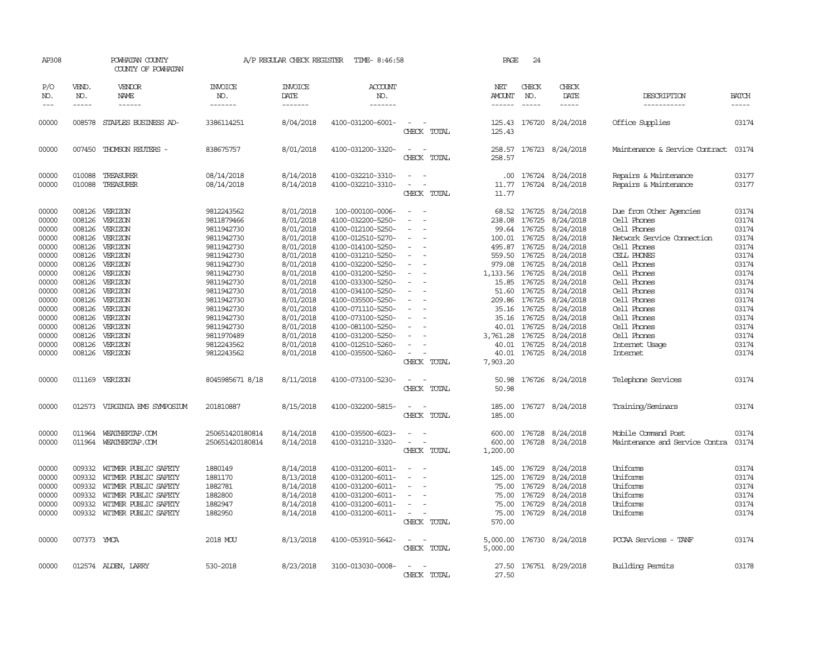| AP308                                                                                                                                                 |                                                                                                                                          | POWHATAN COUNTY<br>COUNTY OF POWHATAN                                                                                                                                                                        |                                                                                                                                                                                                                                            | A/P REGULAR CHECK REGISTER                                                                                                                                                                                                | TIME- 8:46:58                                                                                                                                                                                                                                                                                                                                                    |                                                                                                                                                                                                                                                     | PAGE                                                                                                                                                                    | 24                                                                                                                            |                                                                                                                                                                                                                                                |                                                                                                                                                                                                                                                                                               |                                                                                                                                                       |
|-------------------------------------------------------------------------------------------------------------------------------------------------------|------------------------------------------------------------------------------------------------------------------------------------------|--------------------------------------------------------------------------------------------------------------------------------------------------------------------------------------------------------------|--------------------------------------------------------------------------------------------------------------------------------------------------------------------------------------------------------------------------------------------|---------------------------------------------------------------------------------------------------------------------------------------------------------------------------------------------------------------------------|------------------------------------------------------------------------------------------------------------------------------------------------------------------------------------------------------------------------------------------------------------------------------------------------------------------------------------------------------------------|-----------------------------------------------------------------------------------------------------------------------------------------------------------------------------------------------------------------------------------------------------|-------------------------------------------------------------------------------------------------------------------------------------------------------------------------|-------------------------------------------------------------------------------------------------------------------------------|------------------------------------------------------------------------------------------------------------------------------------------------------------------------------------------------------------------------------------------------|-----------------------------------------------------------------------------------------------------------------------------------------------------------------------------------------------------------------------------------------------------------------------------------------------|-------------------------------------------------------------------------------------------------------------------------------------------------------|
| P/O<br>NO.                                                                                                                                            | VEND.<br>NO.                                                                                                                             | VENDOR<br>NAME                                                                                                                                                                                               | <b>INVOICE</b><br>NO.                                                                                                                                                                                                                      | <b>INVOICE</b><br>DATE                                                                                                                                                                                                    | <b>ACCOUNT</b><br>NO.                                                                                                                                                                                                                                                                                                                                            |                                                                                                                                                                                                                                                     | NET<br>AMOUNT                                                                                                                                                           | CHECK<br>NO.                                                                                                                  | CHECK<br>DATE                                                                                                                                                                                                                                  | DESCRIPTION                                                                                                                                                                                                                                                                                   | <b>BATCH</b>                                                                                                                                          |
| $---$                                                                                                                                                 | $\frac{1}{2}$                                                                                                                            | ------                                                                                                                                                                                                       | -------                                                                                                                                                                                                                                    | -------                                                                                                                                                                                                                   | -------                                                                                                                                                                                                                                                                                                                                                          |                                                                                                                                                                                                                                                     | $- - - - - -$                                                                                                                                                           | $\frac{1}{2}$                                                                                                                 | $\frac{1}{2}$                                                                                                                                                                                                                                  | -----------                                                                                                                                                                                                                                                                                   | $- - - - -$                                                                                                                                           |
| 00000                                                                                                                                                 | 008578                                                                                                                                   | STAPLES BUSINESS AD-                                                                                                                                                                                         | 3386114251                                                                                                                                                                                                                                 | 8/04/2018                                                                                                                                                                                                                 | 4100-031200-6001-                                                                                                                                                                                                                                                                                                                                                | $\overline{\phantom{a}}$<br>CHECK TOTAL                                                                                                                                                                                                             | 125.43                                                                                                                                                                  |                                                                                                                               | 125.43 176720 8/24/2018                                                                                                                                                                                                                        | Office Supplies                                                                                                                                                                                                                                                                               | 03174                                                                                                                                                 |
| 00000                                                                                                                                                 |                                                                                                                                          | 007450 THOMSON REUTERS -                                                                                                                                                                                     | 838675757                                                                                                                                                                                                                                  | 8/01/2018                                                                                                                                                                                                                 | 4100-031200-3320-                                                                                                                                                                                                                                                                                                                                                | $\overline{\phantom{a}}$<br>CHECK TOTAL                                                                                                                                                                                                             | 258.57                                                                                                                                                                  |                                                                                                                               | 258.57 176723 8/24/2018                                                                                                                                                                                                                        | Maintenance & Service Contract                                                                                                                                                                                                                                                                | 03174                                                                                                                                                 |
| 00000<br>00000                                                                                                                                        | 010088                                                                                                                                   | TREASURER<br>010088 TREASURER                                                                                                                                                                                | 08/14/2018<br>08/14/2018                                                                                                                                                                                                                   | 8/14/2018<br>8/14/2018                                                                                                                                                                                                    | 4100-032210-3310-<br>4100-032210-3310-                                                                                                                                                                                                                                                                                                                           | $\equiv$<br>$\omega$<br>CHECK TOTAL                                                                                                                                                                                                                 | 11.77<br>11.77                                                                                                                                                          |                                                                                                                               | .00 176724 8/24/2018<br>176724 8/24/2018                                                                                                                                                                                                       | Repairs & Maintenance<br>Repairs & Maintenance                                                                                                                                                                                                                                                | 03177<br>03177                                                                                                                                        |
| 00000<br>00000<br>00000<br>00000<br>00000<br>00000<br>00000<br>00000<br>00000<br>00000<br>00000<br>00000<br>00000<br>00000<br>00000<br>00000<br>00000 | 008126<br>008126<br>008126<br>008126<br>008126<br>008126<br>008126<br>008126<br>008126<br>008126<br>008126<br>008126<br>008126<br>008126 | VERIZON<br>VERIZON<br>VERIZON<br>VERIZON<br>VERIZON<br>008126 VERIZON<br>VERIZON<br>VERIZON<br>008126 VERIZON<br>008126 VERIZON<br>VERIZON<br>VERIZON<br>VERIZON<br>VERIZON<br>VERIZON<br>VERIZON<br>VERIZON | 9812243562<br>9811879466<br>9811942730<br>9811942730<br>9811942730<br>9811942730<br>9811942730<br>9811942730<br>9811942730<br>9811942730<br>9811942730<br>9811942730<br>9811942730<br>9811942730<br>9811970489<br>9812243562<br>9812243562 | 8/01/2018<br>8/01/2018<br>8/01/2018<br>8/01/2018<br>8/01/2018<br>8/01/2018<br>8/01/2018<br>8/01/2018<br>8/01/2018<br>8/01/2018<br>8/01/2018<br>8/01/2018<br>8/01/2018<br>8/01/2018<br>8/01/2018<br>8/01/2018<br>8/01/2018 | 100-000100-0006-<br>4100-032200-5250-<br>4100-012100-5250-<br>4100-012510-5270-<br>4100-014100-5250-<br>4100-031210-5250-<br>4100-032200-5250-<br>4100-031200-5250-<br>4100-033300-5250-<br>4100-034100-5250-<br>4100-035500-5250-<br>4100-071110-5250-<br>4100-073100-5250-<br>4100-081100-5250-<br>4100-031200-5250-<br>4100-012510-5260-<br>4100-035500-5260- | $\equiv$<br>$\equiv$<br>$\overline{\phantom{a}}$<br>$\sim$<br>$\equiv$<br>$\sim$<br>$\sim$<br>$\equiv$<br>$\sim$<br>$\overline{\phantom{a}}$<br>$\sim$<br>$\sim$<br>$\overline{\phantom{a}}$<br>$\equiv$<br>$\overline{\phantom{a}}$<br>CHECK TOTAL | 68.52<br>238.08<br>99.64<br>100.01 176725<br>495.87 176725<br>979.08<br>1, 133.56 176725<br>51.60<br>209.86<br>35.16<br>40.01<br>3,761.28<br>40.01<br>40.01<br>7,903.20 | 176725<br>176725<br>176725<br>559.50 176725<br>176725<br>15.85 176725<br>176725<br>35.16 176725<br>176725<br>176725<br>176725 | 8/24/2018<br>8/24/2018<br>8/24/2018<br>8/24/2018<br>8/24/2018<br>8/24/2018<br>8/24/2018<br>8/24/2018<br>8/24/2018<br>8/24/2018<br>176725 8/24/2018<br>8/24/2018<br>8/24/2018<br>8/24/2018<br>8/24/2018<br>176725 8/24/2018<br>176725 8/24/2018 | Due from Other Agencies<br>Cell Phones<br>Cell Phones<br>Network Service Connection<br>Cell Phones<br>CELL PHONES<br>Cell Phones<br>Cell Phones<br>Cell Phones<br>Cell Phones<br>Cell Phones<br>Cell Phones<br>Cell Phones<br>Cell Phones<br>Cell Phones<br>Internet Usage<br><b>Internet</b> | 03174<br>03174<br>03174<br>03174<br>03174<br>03174<br>03174<br>03174<br>03174<br>03174<br>03174<br>03174<br>03174<br>03174<br>03174<br>03174<br>03174 |
| 00000                                                                                                                                                 |                                                                                                                                          | 011169 VERIZON                                                                                                                                                                                               | 8045985671 8/18                                                                                                                                                                                                                            | 8/11/2018                                                                                                                                                                                                                 | 4100-073100-5230-                                                                                                                                                                                                                                                                                                                                                | CHECK TOTAL                                                                                                                                                                                                                                         | 50.98<br>50.98                                                                                                                                                          |                                                                                                                               | 176726 8/24/2018                                                                                                                                                                                                                               | Telephone Services                                                                                                                                                                                                                                                                            | 03174                                                                                                                                                 |
| 00000                                                                                                                                                 |                                                                                                                                          | 012573 VIRGINIA EMS SYMPOSIUM                                                                                                                                                                                | 201810887                                                                                                                                                                                                                                  | 8/15/2018                                                                                                                                                                                                                 | 4100-032200-5815-                                                                                                                                                                                                                                                                                                                                                | $\equiv$<br>CHECK TOTAL                                                                                                                                                                                                                             | 185.00<br>185.00                                                                                                                                                        |                                                                                                                               | 176727 8/24/2018                                                                                                                                                                                                                               | Training/Seminars                                                                                                                                                                                                                                                                             | 03174                                                                                                                                                 |
| 00000<br>00000                                                                                                                                        | 011964                                                                                                                                   | WEATHERTAP.COM<br>011964 WEATHERTAP.COM                                                                                                                                                                      | 250651420180814<br>250651420180814                                                                                                                                                                                                         | 8/14/2018<br>8/14/2018                                                                                                                                                                                                    | 4100-035500-6023-<br>4100-031210-3320-                                                                                                                                                                                                                                                                                                                           | $\sim$<br>CHECK TOTAL                                                                                                                                                                                                                               | 600.00<br>1,200.00                                                                                                                                                      |                                                                                                                               | 600.00 176728 8/24/2018<br>176728 8/24/2018                                                                                                                                                                                                    | Mobile Command Post<br>Maintenance and Service Contra                                                                                                                                                                                                                                         | 03174<br>03174                                                                                                                                        |
| 00000<br>00000<br>00000<br>00000<br>00000<br>00000                                                                                                    | 009332<br>009332<br>009332<br>009332<br>009332                                                                                           | WITMER PUBLIC SAFETY<br>WITMER PUBLIC SAFETY<br>WITMER PUBLIC SAFETY<br>WITMER PUBLIC SAFETY<br>WITMER PUBLIC SAFETY<br>009332 WITMER PUBLIC SAFETY                                                          | 1880149<br>1881170<br>1882781<br>1882800<br>1882947<br>1882950                                                                                                                                                                             | 8/14/2018<br>8/13/2018<br>8/14/2018<br>8/14/2018<br>8/14/2018<br>8/14/2018                                                                                                                                                | 4100-031200-6011-<br>4100-031200-6011-<br>4100-031200-6011-<br>4100-031200-6011-<br>4100-031200-6011-<br>4100-031200-6011-                                                                                                                                                                                                                                       | $\overline{\phantom{a}}$<br>$\overline{\phantom{a}}$<br>$\equiv$<br>CHECK TOTAL                                                                                                                                                                     | 125.00<br>75.00<br>570.00                                                                                                                                               | 176729<br>75.00 176729<br>75.00 176729                                                                                        | 145.00 176729 8/24/2018<br>8/24/2018<br>8/24/2018<br>75.00 176729 8/24/2018<br>8/24/2018<br>176729 8/24/2018                                                                                                                                   | Uniforms<br>Uniforms<br>Uniforms<br>Uniforms<br>Uniforms<br>Uniforms                                                                                                                                                                                                                          | 03174<br>03174<br>03174<br>03174<br>03174<br>03174                                                                                                    |
| 00000                                                                                                                                                 | 007373 YMCA                                                                                                                              |                                                                                                                                                                                                              | 2018 MOU                                                                                                                                                                                                                                   | 8/13/2018                                                                                                                                                                                                                 | 4100-053910-5642-                                                                                                                                                                                                                                                                                                                                                | CHECK TOTAL                                                                                                                                                                                                                                         | 5,000.00                                                                                                                                                                |                                                                                                                               | 5,000.00 176730 8/24/2018                                                                                                                                                                                                                      | PCCAA Services - TANF                                                                                                                                                                                                                                                                         | 03174                                                                                                                                                 |
| 00000                                                                                                                                                 |                                                                                                                                          | 012574 ALDEN, LARRY                                                                                                                                                                                          | 530-2018                                                                                                                                                                                                                                   | 8/23/2018                                                                                                                                                                                                                 | 3100-013030-0008-                                                                                                                                                                                                                                                                                                                                                | CHECK TOTAL                                                                                                                                                                                                                                         | 27.50                                                                                                                                                                   |                                                                                                                               | 27.50 176751 8/29/2018                                                                                                                                                                                                                         | Building Permits                                                                                                                                                                                                                                                                              | 03178                                                                                                                                                 |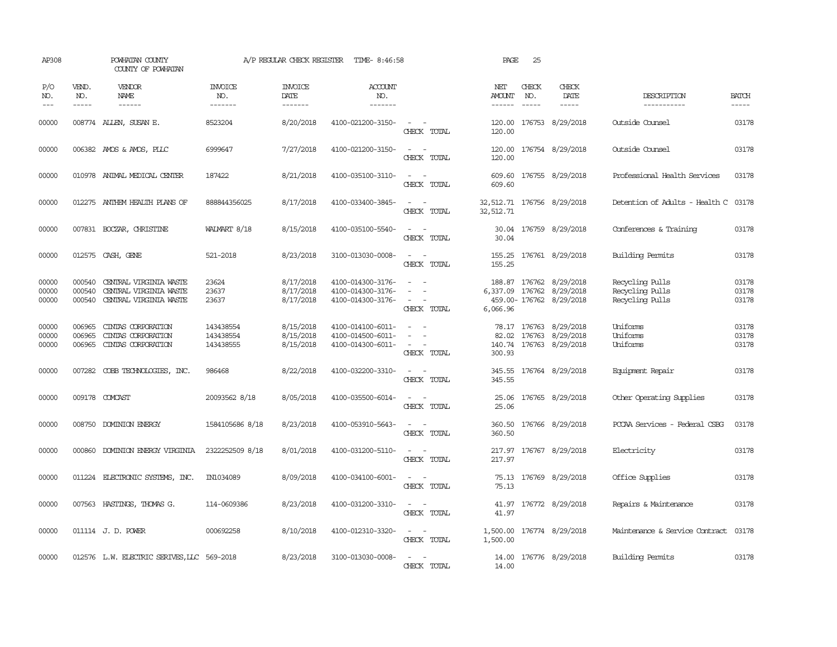| AP308                   |                             | POWHATAN COUNTY<br>COUNTY OF POWHATAN                                             |                                     | A/P REGULAR CHECK REGISTER          | TIME-8:46:58                                                |                                                                           | PAGE                                    | 25                            |                                                                      |                                                       |                         |
|-------------------------|-----------------------------|-----------------------------------------------------------------------------------|-------------------------------------|-------------------------------------|-------------------------------------------------------------|---------------------------------------------------------------------------|-----------------------------------------|-------------------------------|----------------------------------------------------------------------|-------------------------------------------------------|-------------------------|
| P/O<br>NO.<br>$---$     | VEND.<br>NO.<br>$- - - - -$ | VENDOR<br><b>NAME</b><br>$- - - - - -$                                            | <b>INVOICE</b><br>NO.<br>-------    | <b>INVOICE</b><br>DATE<br>-------   | <b>ACCOUNT</b><br>NO.<br>-------                            |                                                                           | NET<br><b>AMOUNT</b><br>$- - - - - -$   | CHECK<br>NO.<br>$\frac{1}{2}$ | CHECK<br>DATE<br>$- - - - -$                                         | DESCRIPTION<br>-----------                            | <b>BATCH</b><br>-----   |
| 00000                   |                             | 008774 ALLEN, SUSAN E.                                                            | 8523204                             | 8/20/2018                           | 4100-021200-3150-                                           | $\sim$<br>$\sim$<br>CHECK TOTAL                                           | 120.00<br>120.00                        |                               | 176753 8/29/2018                                                     | Outside Counsel                                       | 03178                   |
| 00000                   |                             | 006382 AMOS & AMOS, PLLC                                                          | 6999647                             | 7/27/2018                           | 4100-021200-3150-                                           | $\sim$<br>$\sim$<br>CHECK TOTAL                                           | 120.00<br>120.00                        |                               | 176754 8/29/2018                                                     | Outside Counsel                                       | 03178                   |
| 00000                   |                             | 010978 ANIMAL MEDICAL CENTER                                                      | 187422                              | 8/21/2018                           | 4100-035100-3110-                                           | $\sim$<br>$\sim$<br>CHECK TOTAL                                           | 609.60<br>609.60                        |                               | 176755 8/29/2018                                                     | Professional Health Services                          | 03178                   |
| 00000                   |                             | 012275 ANTHEM HEALTH PLANS OF                                                     | 888844356025                        | 8/17/2018                           | 4100-033400-3845-                                           | $\sim$ $ \sim$<br>CHECK TOTAL                                             | 32,512.71 176756 8/29/2018<br>32,512.71 |                               |                                                                      | Detention of Adults - Health C 03178                  |                         |
| 00000                   |                             | 007831 BOCZAR, CHRISTINE                                                          | WALMART 8/18                        | 8/15/2018                           | 4100-035100-5540-                                           | $\sim$<br>$\sim$<br>CHECK TOTAL                                           | 30.04                                   |                               | 30.04 176759 8/29/2018                                               | Conferences & Training                                | 03178                   |
| 00000                   |                             | 012575 CASH, GENE                                                                 | 521-2018                            | 8/23/2018                           | 3100-013030-0008-                                           | $\sim$<br>CHECK TOTAL                                                     | 155.25                                  |                               | 155.25 176761 8/29/2018                                              | Building Permits                                      | 03178                   |
| 00000<br>00000<br>00000 | 000540<br>000540            | CENTRAL VIRGINIA WASTE<br>CENTRAL VIRGINIA WASTE<br>000540 CENTRAL VIRGINIA WASTE | 23624<br>23637<br>23637             | 8/17/2018<br>8/17/2018<br>8/17/2018 | 4100-014300-3176-<br>4100-014300-3176-<br>4100-014300-3176- | $\overline{\phantom{a}}$<br>CHECK TOTAL                                   | 188.87<br>6,066.96                      | 176762                        | 8/29/2018<br>6,337.09 176762 8/29/2018<br>459.00-176762 8/29/2018    | Recycling Pulls<br>Recycling Pulls<br>Recycling Pulls | 03178<br>03178<br>03178 |
| 00000<br>00000<br>00000 | 006965<br>006965<br>006965  | CINIAS CORPORATION<br>CINIAS CORPORATION<br>CINIAS CORPORATION                    | 143438554<br>143438554<br>143438555 | 8/15/2018<br>8/15/2018<br>8/15/2018 | 4100-014100-6011-<br>4100-014500-6011-<br>4100-014300-6011- | $\sim$<br>$\equiv$<br>$\overline{\phantom{a}}$<br>$\equiv$<br>CHECK TOTAL | 140.74<br>300.93                        |                               | 78.17 176763 8/29/2018<br>82.02 176763 8/29/2018<br>176763 8/29/2018 | Uniforms<br>Uniforms<br>Uniforms                      | 03178<br>03178<br>03178 |
| 00000                   |                             | 007282 COBB TECHNOLOGIES, INC.                                                    | 986468                              | 8/22/2018                           | 4100-032200-3310-                                           | CHECK TOTAL                                                               | 345.55<br>345.55                        |                               | 176764 8/29/2018                                                     | Equipment Repair                                      | 03178                   |
| 00000                   |                             | 009178 COMCAST                                                                    | 20093562 8/18                       | 8/05/2018                           | 4100-035500-6014-                                           | $\sim$<br>CHECK TOTAL                                                     | 25.06<br>25.06                          |                               | 176765 8/29/2018                                                     | Other Operating Supplies                              | 03178                   |
| 00000                   |                             | 008750 DOMINION ENERGY                                                            | 1584105686 8/18                     | 8/23/2018                           | 4100-053910-5643-                                           | $\overline{\phantom{a}}$<br>CHECK TOTAL                                   | 360.50<br>360.50                        |                               | 176766 8/29/2018                                                     | PCCAA Services - Federal CSBG                         | 03178                   |
| 00000                   |                             | 000860 DOMINION ENERGY VIRGINIA                                                   | 2322252509 8/18                     | 8/01/2018                           | 4100-031200-5110-                                           | $ -$<br>CHECK TOTAL                                                       | 217.97                                  |                               | 217.97 176767 8/29/2018                                              | Electricity                                           | 03178                   |
| 00000                   |                             | 011224 ELECTRONIC SYSTEMS, INC.                                                   | IN1034089                           | 8/09/2018                           | 4100-034100-6001-                                           | $\sim$<br>$\sim$<br>CHECK TOTAL                                           | 75.13                                   |                               | 75.13 176769 8/29/2018                                               | Office Supplies                                       | 03178                   |
| 00000                   |                             | 007563 HASTINGS, THOMAS G.                                                        | 114-0609386                         | 8/23/2018                           | 4100-031200-3310-                                           | CHECK TOTAL                                                               | 41.97                                   |                               | 41.97 176772 8/29/2018                                               | Repairs & Maintenance                                 | 03178                   |
| 00000                   |                             | 011114 J.D. POWER                                                                 | 000692258                           | 8/10/2018                           | 4100-012310-3320-                                           | $\equiv$<br>$\sim$<br>CHECK TOTAL                                         | 1,500.00<br>1,500.00                    |                               | 176774 8/29/2018                                                     | Maintenance & Service Contract                        | 03178                   |
| 00000                   |                             | 012576 L.W. ELECTRIC SERIVES, LLC 569-2018                                        |                                     | 8/23/2018                           | 3100-013030-0008-                                           | CHECK TOTAL                                                               | 14.00<br>14.00                          |                               | 176776 8/29/2018                                                     | <b>Building Permits</b>                               | 03178                   |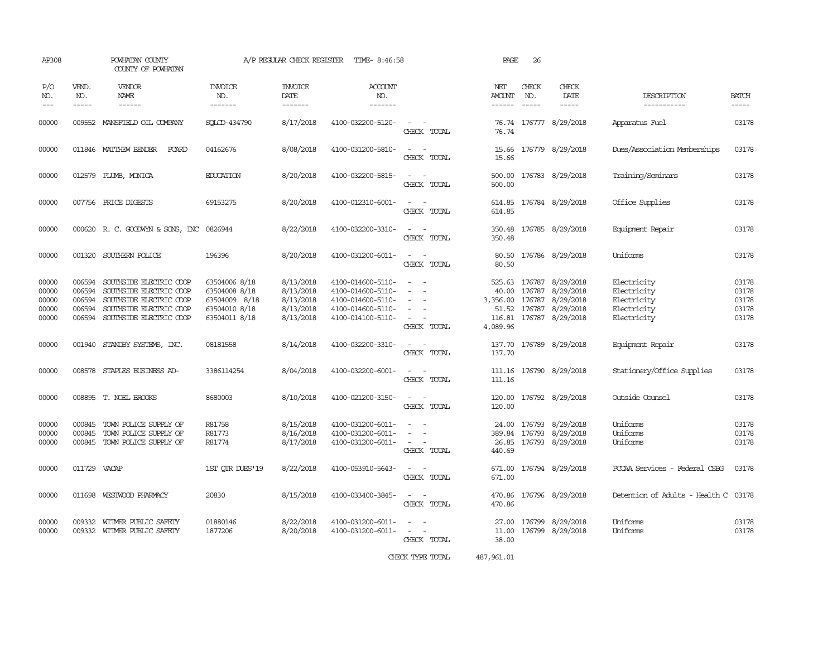| AP308                                     |                                                | POWHATAN COUNTY<br>COUNTY OF POWHATAN                                                                                               |                                                                                   | A/P REGULAR CHECK REGISTER                                    | TIME- 8:46:58                                                                                         |                                                                                                                             | PAGE                    | 26           |                                                                                                                        |                                                                         |                                           |
|-------------------------------------------|------------------------------------------------|-------------------------------------------------------------------------------------------------------------------------------------|-----------------------------------------------------------------------------------|---------------------------------------------------------------|-------------------------------------------------------------------------------------------------------|-----------------------------------------------------------------------------------------------------------------------------|-------------------------|--------------|------------------------------------------------------------------------------------------------------------------------|-------------------------------------------------------------------------|-------------------------------------------|
| P/O<br>NO.<br>$---$                       | VEND.<br>NO.                                   | VENDOR<br>NAME<br>------                                                                                                            | INVOICE<br>NO.<br>-------                                                         | <b>INVOICE</b><br>DATE<br>-------                             | <b>ACCOUNT</b><br>NO.<br>-------                                                                      |                                                                                                                             | NET<br>AMOUNT<br>------ | CHECK<br>NO. | CHECK<br>DATE                                                                                                          | DESCRIPTION<br>-----------                                              | BATCH<br>-----                            |
| 00000                                     |                                                | 009552 MANSFIELD OIL COMPANY                                                                                                        | SOLCD-434790                                                                      | 8/17/2018                                                     | 4100-032200-5120-                                                                                     | $\sim$ $ \sim$<br>CHECK TOTAL                                                                                               | 76.74                   |              | 76.74 176777 8/29/2018                                                                                                 | Apparatus Fuel                                                          | 03178                                     |
| 00000                                     |                                                | 011846 MATTHEW BENDER<br><b>PCARD</b>                                                                                               | 04162676                                                                          | 8/08/2018                                                     | 4100-031200-5810-                                                                                     | $ -$<br>CHECK TOTAL                                                                                                         | 15.66                   |              | 15.66 176779 8/29/2018                                                                                                 | Dues/Association Memberships                                            | 03178                                     |
| 00000                                     |                                                | 012579 PLUMB, MONICA                                                                                                                | <b>EDUCATION</b>                                                                  | 8/20/2018                                                     | 4100-032200-5815-                                                                                     | $\sim 100$ km s $^{-1}$<br>CHECK TOTAL                                                                                      | 500.00                  |              | 500.00 176783 8/29/2018                                                                                                | Training/Seminars                                                       | 03178                                     |
| 00000                                     |                                                | 007756 PRICE DIGESTS                                                                                                                | 69153275                                                                          | 8/20/2018                                                     | 4100-012310-6001-                                                                                     | $\omega_{\rm{max}}$ and $\omega_{\rm{max}}$<br>CHECK TOTAL                                                                  | 614.85                  |              | 614.85 176784 8/29/2018                                                                                                | Office Supplies                                                         | 03178                                     |
| 00000                                     |                                                | 000620 R. C. GOODWYN & SONS, INC 0826944                                                                                            |                                                                                   | 8/22/2018                                                     | 4100-032200-3310-                                                                                     | $\omega_{\rm{max}}$ and $\omega_{\rm{max}}$<br>CHECK TOTAL                                                                  | 350.48<br>350.48        |              | 176785 8/29/2018                                                                                                       | Equipment Repair                                                        | 03178                                     |
| 00000                                     |                                                | 001320 SOUTHERN POLICE                                                                                                              | 196396                                                                            | 8/20/2018                                                     | 4100-031200-6011-                                                                                     | $\frac{1}{2} \left( \frac{1}{2} \right) \left( \frac{1}{2} \right) = \frac{1}{2} \left( \frac{1}{2} \right)$<br>CHECK TOTAL | 80.50                   |              | 80.50 176786 8/29/2018                                                                                                 | Uniforms                                                                | 03178                                     |
| 00000<br>00000<br>00000<br>00000<br>00000 | 006594<br>006594<br>006594<br>006594<br>006594 | SOUTHSIDE ELECTRIC COOP<br>SOUTHSIDE ELECTRIC COOP<br>SOUTHSIDE ELECTRIC COOP<br>SOUTHSIDE ELECTRIC COOP<br>SOUTHSIDE ELECTRIC COOP | 63504006 8/18<br>63504008 8/18<br>63504009 8/18<br>63504010 8/18<br>63504011 8/18 | 8/13/2018<br>8/13/2018<br>8/13/2018<br>8/13/2018<br>8/13/2018 | 4100-014600-5110-<br>4100-014600-5110-<br>4100-014600-5110-<br>4100-014600-5110-<br>4100-014100-5110- | $\sim$<br>$\sim$<br>$\sim$<br>$\equiv$<br>$\sim$<br>$\sim$<br>CHECK TOTAL                                                   | 40.00<br>4,089.96       | 176787       | 525.63 176787 8/29/2018<br>8/29/2018<br>3,356.00 176787 8/29/2018<br>51.52 176787 8/29/2018<br>116.81 176787 8/29/2018 | Electricity<br>Electricity<br>Electricity<br>Electricity<br>Electricity | 03178<br>03178<br>03178<br>03178<br>03178 |
| 00000                                     |                                                | 001940 STANDBY SYSTEMS, INC.                                                                                                        | 08181558                                                                          | 8/14/2018                                                     | 4100-032200-3310-                                                                                     | $\sim$<br>CHECK TOTAL                                                                                                       | 137.70                  |              | 137.70 176789 8/29/2018                                                                                                | Equipment Repair                                                        | 03178                                     |
| 00000                                     |                                                | 008578 STAPLES BUSINESS AD-                                                                                                         | 3386114254                                                                        | 8/04/2018                                                     | 4100-032200-6001-                                                                                     | $\sim$ 10 $\,$<br>CHECK TOTAL                                                                                               | 111.16                  |              | 111.16 176790 8/29/2018                                                                                                | Stationery/Office Supplies                                              | 03178                                     |
| 00000                                     |                                                | 008895 T. NOEL BROOKS                                                                                                               | 8680003                                                                           | 8/10/2018                                                     | 4100-021200-3150-                                                                                     | $\sim$ $\sim$<br>CHECK TOTAL                                                                                                | 120.00                  |              | 120.00 176792 8/29/2018                                                                                                | Outside Counsel                                                         | 03178                                     |
| 00000<br>00000<br>00000                   | 000845<br>000845                               | TOWN POLICE SUPPLY OF<br>TOWN POLICE SUPPLY OF<br>000845 TOWN POLICE SUPPLY OF                                                      | R81758<br>R81773<br>R81774                                                        | 8/15/2018<br>8/16/2018<br>8/17/2018                           | 4100-031200-6011-<br>4100-031200-6011-<br>4100-031200-6011-                                           | $\sim$<br>$\sim$ $-$<br>CHECK TOTAL                                                                                         | 440.69                  |              | 24.00 176793 8/29/2018<br>389.84 176793 8/29/2018<br>26.85 176793 8/29/2018                                            | Uniforms<br>Uniforms<br>Uniforms                                        | 03178<br>03178<br>03178                   |
| 00000                                     | 011729 VACAP                                   |                                                                                                                                     | 1ST OTR DUES'19                                                                   | 8/22/2018                                                     | 4100-053910-5643-                                                                                     | $\sim$ 100 $\sim$<br>CHECK TOTAL                                                                                            | 671.00<br>671.00        |              | 176794 8/29/2018                                                                                                       | PCCAA Services - Federal CSBG                                           | 03178                                     |
| 00000                                     |                                                | 011698 WESTWOOD PHARMACY                                                                                                            | 20830                                                                             | 8/15/2018                                                     | 4100-033400-3845-                                                                                     | $\sim$ $ \sim$<br>CHECK TOTAL                                                                                               | 470.86                  |              | 470.86 176796 8/29/2018                                                                                                | Detention of Adults - Health C                                          | 03178                                     |
| 00000<br>00000                            | 009332                                         | WITMER PUBLIC SAFETY<br>009332 WITMER PUBLIC SAFETY                                                                                 | 01880146<br>1877206                                                               | 8/22/2018<br>8/20/2018                                        | 4100-031200-6011-<br>4100-031200-6011-                                                                | $\sim$<br>CHECK TOTAL                                                                                                       | 27.00<br>38.00          |              | 176799 8/29/2018<br>11.00 176799 8/29/2018                                                                             | Uniforms<br>Uniforms                                                    | 03178<br>03178                            |

CHECK TYPE TOTAL 487,961.01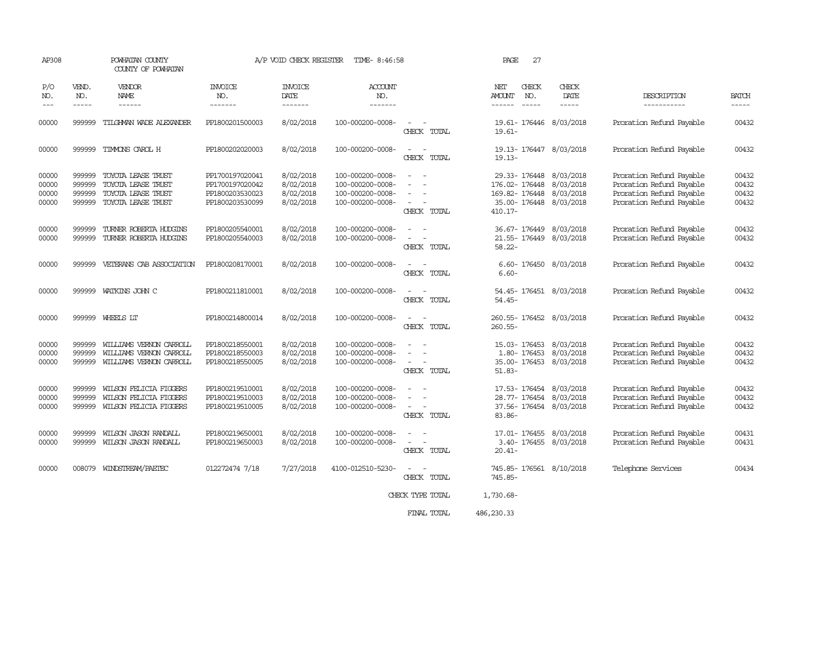| AP308                                                                                                                                                                                                                                                                                                                                                                                                      |                                      | POWHATAN COUNTY<br>COUNTY OF POWHATAN                                                |                                                                          | A/P VOID CHECK REGISTER                          | TIME- 8:46:58                                                                |                                                   | 27<br>PAGE                                                                            |                                     |                                                                                                              |                                  |
|------------------------------------------------------------------------------------------------------------------------------------------------------------------------------------------------------------------------------------------------------------------------------------------------------------------------------------------------------------------------------------------------------------|--------------------------------------|--------------------------------------------------------------------------------------|--------------------------------------------------------------------------|--------------------------------------------------|------------------------------------------------------------------------------|---------------------------------------------------|---------------------------------------------------------------------------------------|-------------------------------------|--------------------------------------------------------------------------------------------------------------|----------------------------------|
| P/O<br>NO.<br>$\frac{1}{2} \frac{1}{2} \frac{1}{2} \frac{1}{2} \frac{1}{2} \frac{1}{2} \frac{1}{2} \frac{1}{2} \frac{1}{2} \frac{1}{2} \frac{1}{2} \frac{1}{2} \frac{1}{2} \frac{1}{2} \frac{1}{2} \frac{1}{2} \frac{1}{2} \frac{1}{2} \frac{1}{2} \frac{1}{2} \frac{1}{2} \frac{1}{2} \frac{1}{2} \frac{1}{2} \frac{1}{2} \frac{1}{2} \frac{1}{2} \frac{1}{2} \frac{1}{2} \frac{1}{2} \frac{1}{2} \frac{$ | VEND.<br>NO.<br>$- - - - -$          | <b>VENDOR</b><br>NAME<br>------                                                      | <b>INVOICE</b><br>NO.<br>-------                                         | <b>INVOICE</b><br>DATE<br>-------                | <b>ACCOUNT</b><br>NO.<br>-------                                             |                                                   | CHECK<br>NET<br>AMOUNT<br>NO.<br>$\frac{1}{2}$<br>$- - - - - -$                       | CHECK<br>DATE<br>-----              | DESCRIPTION<br>-----------                                                                                   | <b>BATCH</b>                     |
| 00000                                                                                                                                                                                                                                                                                                                                                                                                      | 999999                               | TILGHMAN WADE ALEXANDER                                                              | PP1800201500003                                                          | 8/02/2018                                        | 100-000200-0008-                                                             | CHECK TOTAL                                       | 19.61-176446 8/03/2018<br>$19.61 -$                                                   |                                     | Proration Refund Payable                                                                                     | 00432                            |
| 00000                                                                                                                                                                                                                                                                                                                                                                                                      | 999999                               | TIMMONS CAROL H                                                                      | PP1800202020003                                                          | 8/02/2018                                        | 100-000200-0008-                                                             | CHECK TOTAL                                       | 19.13-176447 8/03/2018<br>$19.13 -$                                                   |                                     | Proration Refund Payable                                                                                     | 00432                            |
| 00000<br>00000<br>00000<br>00000                                                                                                                                                                                                                                                                                                                                                                           | 999999<br>999999<br>999999<br>999999 | TOYOTA LEASE TRUST<br>TOYOTA LEASE TRUST<br>TOYOTA LEASE TRUST<br>TOYOTA LEASE TRUST | PP1700197020041<br>PP1700197020042<br>PP1800203530023<br>PP1800203530099 | 8/02/2018<br>8/02/2018<br>8/02/2018<br>8/02/2018 | 100-000200-0008-<br>100-000200-0008-<br>100-000200-0008-<br>100-000200-0008- | $\overline{\phantom{a}}$<br>CHECK TOTAL           | 29.33-176448<br>176.02- 176448<br>169.82- 176448<br>35.00-176448 8/03/2018<br>410.17- | 8/03/2018<br>8/03/2018<br>8/03/2018 | Proration Refund Payable<br>Proration Refund Payable<br>Proration Refund Payable<br>Proration Refund Payable | 00432<br>00432<br>00432<br>00432 |
| 00000<br>00000                                                                                                                                                                                                                                                                                                                                                                                             | 999999<br>999999                     | TURNER ROBERTA HUDGINS<br>TURNER ROBERTA HUDGINS                                     | PP1800205540001<br>PP1800205540003                                       | 8/02/2018<br>8/02/2018                           | 100-000200-0008-<br>100-000200-0008-                                         | $\sim$<br>CHECK TOTAL                             | 36.67-176449 8/03/2018<br>21.55-176449 8/03/2018<br>$58.22 -$                         |                                     | Proration Refund Payable<br>Proration Refund Payable                                                         | 00432<br>00432                   |
| 00000                                                                                                                                                                                                                                                                                                                                                                                                      | 999999                               | VETERANS CAB ASSOCIATION                                                             | PP1800208170001                                                          | 8/02/2018                                        | 100-000200-0008-                                                             | CHECK TOTAL                                       | 6.60-176450 8/03/2018<br>$6.60 -$                                                     |                                     | Proration Refund Payable                                                                                     | 00432                            |
| 00000                                                                                                                                                                                                                                                                                                                                                                                                      | 999999                               | WATKINS JOHN C                                                                       | PP1800211810001                                                          | 8/02/2018                                        | 100-000200-0008-                                                             | CHECK TOTAL                                       | 54.45-176451 8/03/2018<br>$54.45-$                                                    |                                     | Proration Refund Payable                                                                                     | 00432                            |
| 00000                                                                                                                                                                                                                                                                                                                                                                                                      | 999999                               | WHEELS LT                                                                            | PP1800214800014                                                          | 8/02/2018                                        | 100-000200-0008-                                                             | $\sim$<br>$\overline{\phantom{a}}$<br>CHECK TOTAL | 260.55-176452 8/03/2018<br>$260.55 -$                                                 |                                     | Proration Refund Payable                                                                                     | 00432                            |
| 00000<br>00000<br>00000                                                                                                                                                                                                                                                                                                                                                                                    | 999999<br>999999<br>999999           | WILLIAMS VERNON CARROLL<br>WILLIAMS VERNON CARROLL<br>WILLIAMS VERNON CARROLL        | PP1800218550001<br>PP1800218550003<br>PP1800218550005                    | 8/02/2018<br>8/02/2018<br>8/02/2018              | 100-000200-0008-<br>100-000200-0008-<br>100-000200-0008-                     | CHECK TOTAL                                       | 15.03-176453<br>1.80- 176453<br>35.00-176453<br>$51.83 -$                             | 8/03/2018<br>8/03/2018<br>8/03/2018 | Proration Refund Payable<br>Proration Refund Payable<br>Proration Refund Payable                             | 00432<br>00432<br>00432          |
| 00000<br>00000<br>00000                                                                                                                                                                                                                                                                                                                                                                                    | 999999<br>999999<br>999999           | WILSON FELICIA FIGGERS<br>WILSON FELICIA FIGGERS<br>WILSON FELICIA FIGGERS           | PP1800219510001<br>PP1800219510003<br>PP1800219510005                    | 8/02/2018<br>8/02/2018<br>8/02/2018              | 100-000200-0008-<br>100-000200-0008-<br>100-000200-0008-                     | $\equiv$<br>$\sim$<br>CHECK TOTAL                 | 17.53-176454<br>28.77- 176454<br>37.56-176454 8/03/2018<br>$83.86 -$                  | 8/03/2018<br>8/03/2018              | Proration Refund Payable<br>Proration Refund Payable<br>Proration Refund Payable                             | 00432<br>00432<br>00432          |
| 00000<br>00000                                                                                                                                                                                                                                                                                                                                                                                             | 999999<br>999999                     | WILSON JASON RANDALL<br>WILSON JASON RANDALL                                         | PP1800219650001<br>PP1800219650003                                       | 8/02/2018<br>8/02/2018                           | 100-000200-0008-<br>100-000200-0008-                                         | CHECK TOTAL                                       | 17.01-176455<br>3.40-176455 8/03/2018<br>$20.41 -$                                    | 8/03/2018                           | Proration Refund Payable<br>Proration Refund Payable                                                         | 00431<br>00431                   |
| 00000                                                                                                                                                                                                                                                                                                                                                                                                      | 008079                               | WINDSTREAM/PAETEC                                                                    | 012272474 7/18                                                           | 7/27/2018                                        | 4100-012510-5230-                                                            | $\sim$<br>CHECK TOTAL                             | 745.85-176561 8/10/2018<br>745.85-                                                    |                                     | Telephone Services                                                                                           | 00434                            |
|                                                                                                                                                                                                                                                                                                                                                                                                            |                                      |                                                                                      |                                                                          |                                                  |                                                                              | CHECK TYPE TOTAL                                  | 1,730.68-                                                                             |                                     |                                                                                                              |                                  |
|                                                                                                                                                                                                                                                                                                                                                                                                            |                                      |                                                                                      |                                                                          |                                                  |                                                                              | FINAL TOTAL                                       | 486,230.33                                                                            |                                     |                                                                                                              |                                  |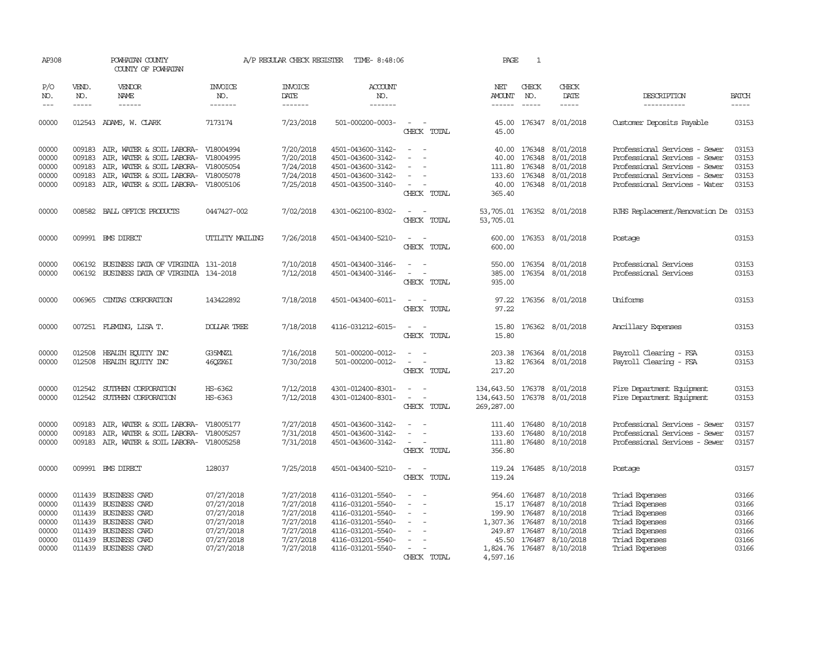| AP308                                                       |                                                | POWHATAN COUNTY<br>COUNTY OF POWHATAN                                                                                                                                |                                                                                                | A/P REGULAR CHECK REGISTER                                                              | TIME- 8:48:06                                                                                                                                   |                                                                                                                                                 | PAGE                                                           | $\mathbf{1}$                                             |                                                                                                         |                                                                                                                                                                   |                                                             |
|-------------------------------------------------------------|------------------------------------------------|----------------------------------------------------------------------------------------------------------------------------------------------------------------------|------------------------------------------------------------------------------------------------|-----------------------------------------------------------------------------------------|-------------------------------------------------------------------------------------------------------------------------------------------------|-------------------------------------------------------------------------------------------------------------------------------------------------|----------------------------------------------------------------|----------------------------------------------------------|---------------------------------------------------------------------------------------------------------|-------------------------------------------------------------------------------------------------------------------------------------------------------------------|-------------------------------------------------------------|
| P/O<br>NO.<br>$\frac{1}{2}$                                 | VEND.<br>NO.<br>$\frac{1}{2}$                  | VENDOR<br>NAME                                                                                                                                                       | INVOICE<br>NO.<br>-------                                                                      | <b>INVOICE</b><br>DATE<br>$- - - - - - -$                                               | <b>ACCOUNT</b><br>NO.<br>-------                                                                                                                |                                                                                                                                                 | NET<br><b>AMOUNT</b><br>$- - - - - -$                          | CHECK<br>NO.<br>$- - - - -$                              | CHECK<br>DATE<br>$- - - - -$                                                                            | DESCRIPTION<br>-----------                                                                                                                                        | <b>BATCH</b>                                                |
| 00000                                                       |                                                | 012543 ADAMS, W. CLARK                                                                                                                                               | 7173174                                                                                        | 7/23/2018                                                                               | 501-000200-0003-                                                                                                                                | $\sim$<br>$\sim$<br>CHECK TOTAL                                                                                                                 | 45.00<br>45.00                                                 |                                                          | 176347 8/01/2018                                                                                        | Customer Deposits Payable                                                                                                                                         | 03153                                                       |
| 00000<br>00000<br>00000<br>00000<br>00000                   | 009183<br>009183<br>009183<br>009183<br>009183 | AIR, WATER & SOIL LABORA-<br>AIR, WATER & SOIL LABORA-<br>AIR, WATER & SOIL LABORA-<br>AIR, WATER & SOIL LABORA- V18005078<br>AIR, WATER & SOIL LABORA-              | V18004994<br>V18004995<br>V18005054<br>V18005106                                               | 7/20/2018<br>7/20/2018<br>7/24/2018<br>7/24/2018<br>7/25/2018                           | 4501-043600-3142-<br>4501-043600-3142-<br>4501-043600-3142-<br>4501-043600-3142-<br>4501-043500-3140-                                           | $\sim$<br>$\sim$<br>$\sim$<br>$\sim$<br>$\overline{\phantom{a}}$<br>CHECK TOTAL                                                                 | 40.00<br>111.80<br>133.60 176348<br>40.00<br>365.40            | 40.00 176348<br>176348<br>176348<br>176348               | 8/01/2018<br>8/01/2018<br>8/01/2018<br>8/01/2018<br>8/01/2018                                           | Professional Services - Sewer<br>Professional Services - Sewer<br>Professional Services - Sewer<br>Professional Services - Sewer<br>Professional Services - Water | 03153<br>03153<br>03153<br>03153<br>03153                   |
| 00000                                                       |                                                | 008582 BALL OFFICE PRODUCTS                                                                                                                                          | 0447427-002                                                                                    | 7/02/2018                                                                               | 4301-062100-8302-                                                                                                                               | $\overline{a}$<br>$\sim$<br>CHECK TOTAL                                                                                                         | 53,705.01<br>53,705.01                                         |                                                          | 176352 8/01/2018                                                                                        | RJHS Replacement/Renovation De                                                                                                                                    | 03153                                                       |
| 00000                                                       |                                                | 009991 BMS DIRECT                                                                                                                                                    | UITLITY MAILING                                                                                | 7/26/2018                                                                               | 4501-043400-5210-                                                                                                                               | $\sim$<br>$\sim$<br>CHECK TOTAL                                                                                                                 | 600.00<br>600.00                                               |                                                          | 176353 8/01/2018                                                                                        | Postage                                                                                                                                                           | 03153                                                       |
| 00000<br>00000                                              |                                                | 006192 BUSINESS DATA OF VIRGINIA 131-2018<br>006192 BUSINESS DATA OF VIRGINIA 134-2018                                                                               |                                                                                                | 7/10/2018<br>7/12/2018                                                                  | 4501-043400-3146-<br>4501-043400-3146-                                                                                                          | $\equiv$<br>$\sim$<br>$\sim$<br>CHECK TOTAL                                                                                                     | 385.00<br>935.00                                               |                                                          | 550.00 176354 8/01/2018<br>176354 8/01/2018                                                             | Professional Services<br>Professional Services                                                                                                                    | 03153<br>03153                                              |
| 00000                                                       | 006965                                         | CINIAS CORPORATION                                                                                                                                                   | 143422892                                                                                      | 7/18/2018                                                                               | 4501-043400-6011-                                                                                                                               | $\overline{a}$<br>$\sim$<br>CHECK TOTAL                                                                                                         | 97.22<br>97.22                                                 |                                                          | 176356 8/01/2018                                                                                        | Uniforms                                                                                                                                                          | 03153                                                       |
| 00000                                                       |                                                | 007251 FLEMING, LISA T.                                                                                                                                              | <b>DOLLAR TREE</b>                                                                             | 7/18/2018                                                                               | 4116-031212-6015-                                                                                                                               | $\sim$<br>$\sim$<br>CHECK TOTAL                                                                                                                 | 15.80<br>15.80                                                 |                                                          | 176362 8/01/2018                                                                                        | Ancillary Expenses                                                                                                                                                | 03153                                                       |
| 00000<br>00000                                              |                                                | 012508 HEALTH ECUTTY INC<br>012508 HEALTH EQUITY INC                                                                                                                 | G35MNZ1<br>46QZK6I                                                                             | 7/16/2018<br>7/30/2018                                                                  | 501-000200-0012-<br>501-000200-0012-                                                                                                            | $\sim$<br>$\sim$<br>$\sim$<br>$\sim$<br>CHECK TOTAL                                                                                             | 13.82<br>217.20                                                |                                                          | 203.38 176364 8/01/2018<br>176364 8/01/2018                                                             | Payroll Clearing - FSA<br>Payroll Clearing - FSA                                                                                                                  | 03153<br>03153                                              |
| 00000<br>00000                                              |                                                | 012542 SUTHEN CORPORATION<br>012542 SUTPHEN CORPORATION                                                                                                              | HS-6362<br>HS-6363                                                                             | 7/12/2018<br>7/12/2018                                                                  | 4301-012400-8301-<br>4301-012400-8301-                                                                                                          | $\sim$<br>$\sim$<br>$\sim$<br>$\sim$<br>CHECK TOTAL                                                                                             | 134,643.50 176378<br>134,643.50 176378 8/01/2018<br>269,287.00 |                                                          | 8/01/2018                                                                                               | Fire Department Equipment<br>Fire Department Equipment                                                                                                            | 03153<br>03153                                              |
| 00000<br>00000<br>00000                                     | 009183<br>009183                               | AIR, WATER & SOIL LABORA- V18005177<br>AIR, WATER & SOIL LABORA- V18005257<br>009183 AIR, WATER & SOIL LABORA- V18005258                                             |                                                                                                | 7/27/2018<br>7/31/2018<br>7/31/2018                                                     | 4501-043600-3142-<br>4501-043600-3142-<br>4501-043600-3142-                                                                                     | $\sim$<br>$\overline{\phantom{a}}$<br>CHECK TOTAL                                                                                               | 111.40 176480<br>133.60<br>356.80                              | 176480<br>111.80 176480                                  | 8/10/2018<br>8/10/2018<br>8/10/2018                                                                     | Professional Services - Sewer<br>Professional Services - Sewer<br>Professional Services - Sewer                                                                   | 03157<br>03157<br>03157                                     |
| 00000                                                       |                                                | 009991 BMS DIRECT                                                                                                                                                    | 128037                                                                                         | 7/25/2018                                                                               | 4501-043400-5210-                                                                                                                               | $\sim$<br>$\sim$<br>CHECK TOTAL                                                                                                                 | 119.24                                                         |                                                          | 119.24 176485 8/10/2018                                                                                 | Postage                                                                                                                                                           | 03157                                                       |
| 00000<br>00000<br>00000<br>00000<br>00000<br>00000<br>00000 |                                                | 011439 BUSINESS CARD<br>011439 BUSINESS CARD<br>011439 BUSINESS CARD<br>011439 BUSINESS CARD<br>011439 BUSINESS CARD<br>011439 BUSINESS CARD<br>011439 BUSINESS CARD | 07/27/2018<br>07/27/2018<br>07/27/2018<br>07/27/2018<br>07/27/2018<br>07/27/2018<br>07/27/2018 | 7/27/2018<br>7/27/2018<br>7/27/2018<br>7/27/2018<br>7/27/2018<br>7/27/2018<br>7/27/2018 | 4116-031201-5540-<br>4116-031201-5540-<br>4116-031201-5540-<br>4116-031201-5540-<br>4116-031201-5540-<br>4116-031201-5540-<br>4116-031201-5540- | $\overline{\phantom{a}}$<br>$\sim$<br>$\overline{\phantom{a}}$<br>$\overline{\phantom{a}}$<br>$\sim$<br>$\overline{\phantom{0}}$<br>CHECK TOTAL | 1,307.36 176487<br>249.87 176487<br>45.50<br>4,597.16          | 954.60 176487<br>15.17 176487<br>199.90 176487<br>176487 | 8/10/2018<br>8/10/2018<br>8/10/2018<br>8/10/2018<br>8/10/2018<br>8/10/2018<br>1,824.76 176487 8/10/2018 | Triad Expenses<br>Triad Expenses<br>Triad Expenses<br>Triad Expenses<br>Triad Expenses<br>Triad Expenses<br>Triad Expenses                                        | 03166<br>03166<br>03166<br>03166<br>03166<br>03166<br>03166 |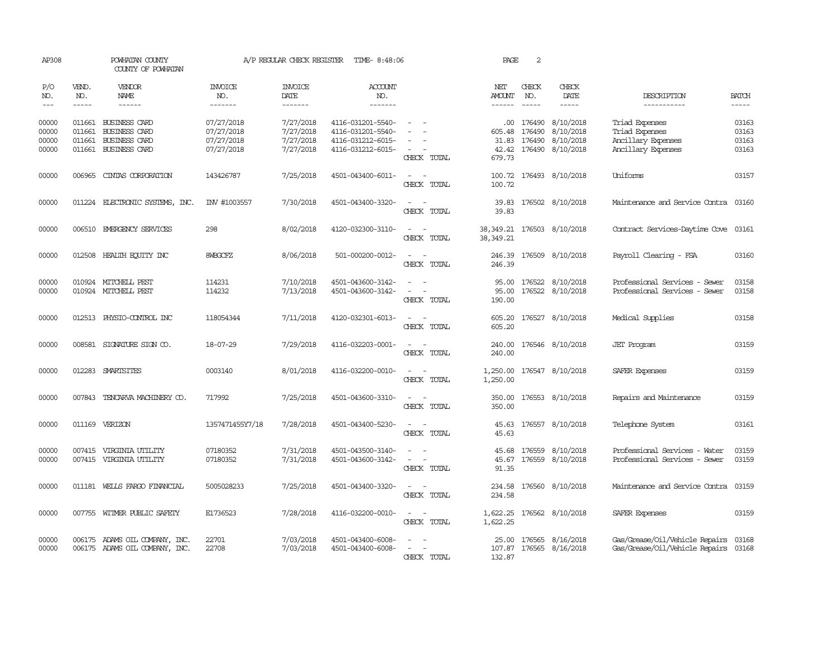| AP308                            |                             | POWHATAN COUNTY<br>COUNTY OF POWHATAN                                                 |                                                      | A/P REGULAR CHECK REGISTER                       | TIME- 8:48:06                                                                    |                                                     | PAGE                                      | $\sqrt{2}$                           |                                                  |                                                                              |                                  |
|----------------------------------|-----------------------------|---------------------------------------------------------------------------------------|------------------------------------------------------|--------------------------------------------------|----------------------------------------------------------------------------------|-----------------------------------------------------|-------------------------------------------|--------------------------------------|--------------------------------------------------|------------------------------------------------------------------------------|----------------------------------|
| P/O<br>NO.<br>$---$              | VEND.<br>NO.<br>$- - - - -$ | <b>VENDOR</b><br><b>NAME</b><br>$- - - - - -$                                         | <b>INVOICE</b><br>NO.<br>-------                     | <b>INVOICE</b><br>DATE<br>-------                | <b>ACCOUNT</b><br>NO.<br>-------                                                 |                                                     | NET<br>AMOUNT                             | CHECK<br>NO.<br>$- - - - -$          | CHECK<br><b>DATE</b><br>-----                    | DESCRIPTION<br>-----------                                                   | <b>BATCH</b><br>$- - - - -$      |
| 00000<br>00000<br>00000<br>00000 | 011661<br>011661<br>011661  | 011661 BUSINESS CARD<br>BUSINESS CARD<br><b>BUSINESS CARD</b><br><b>BUSINESS CARD</b> | 07/27/2018<br>07/27/2018<br>07/27/2018<br>07/27/2018 | 7/27/2018<br>7/27/2018<br>7/27/2018<br>7/27/2018 | 4116-031201-5540-<br>4116-031201-5540-<br>4116-031212-6015-<br>4116-031212-6015- | $\sim$<br>CHECK TOTAL                               | .00<br>605.48<br>31.83<br>42.42<br>679.73 | 176490<br>176490<br>176490<br>176490 | 8/10/2018<br>8/10/2018<br>8/10/2018<br>8/10/2018 | Triad Expenses<br>Triad Expenses<br>Ancillary Expenses<br>Ancillary Expenses | 03163<br>03163<br>03163<br>03163 |
| 00000                            | 006965                      | CINIAS CORPORATION                                                                    | 143426787                                            | 7/25/2018                                        | 4501-043400-6011-                                                                | $\equiv$<br>$\overline{\phantom{a}}$<br>CHECK TOTAL | 100.72<br>100.72                          |                                      | 176493 8/10/2018                                 | Uniforms                                                                     | 03157                            |
| 00000                            |                             | 011224 ELECTRONIC SYSTEMS, INC.                                                       | INV #1003557                                         | 7/30/2018                                        | 4501-043400-3320-                                                                | CHECK TOTAL                                         | 39.83                                     |                                      | 39.83 176502 8/10/2018                           | Maintenance and Service Contra 03160                                         |                                  |
| 00000                            |                             | 006510 EMERGENCY SERVICES                                                             | 298                                                  | 8/02/2018                                        | 4120-032300-3110-                                                                | CHECK TOTAL                                         | 38, 349.21 176503 8/10/2018<br>38, 349.21 |                                      |                                                  | Contract Services-Daytime Cove 03161                                         |                                  |
| 00000                            |                             | 012508 HEALTH EQUITY INC                                                              | 8WBGCFZ                                              | 8/06/2018                                        | 501-000200-0012-                                                                 | $\sim$<br>$\sim$<br>CHECK TOTAL                     | 246.39<br>246.39                          |                                      | 176509 8/10/2018                                 | Payroll Clearing - FSA                                                       | 03160                            |
| 00000<br>00000                   |                             | 010924 MITCHELL PEST<br>010924 MITCHELL PEST                                          | 114231<br>114232                                     | 7/10/2018<br>7/13/2018                           | 4501-043600-3142-<br>4501-043600-3142-                                           | $\equiv$<br>CHECK TOTAL                             | 95.00<br>95.00<br>190.00                  | 176522                               | 8/10/2018<br>176522 8/10/2018                    | Professional Services - Sewer<br>Professional Services - Sewer               | 03158<br>03158                   |
| 00000                            |                             | 012513 PHYSIO-CONTROL INC                                                             | 118054344                                            | 7/11/2018                                        | 4120-032301-6013-                                                                | $\sim$<br>CHECK TOTAL                               | 605.20<br>605.20                          |                                      | 176527 8/10/2018                                 | Medical Supplies                                                             | 03158                            |
| 00000                            |                             | 008581 SIGNATURE SIGN CO.                                                             | $18 - 07 - 29$                                       | 7/29/2018                                        | 4116-032203-0001-                                                                | CHECK TOTAL                                         | 240.00<br>240.00                          |                                      | 176546 8/10/2018                                 | <b>JET</b> Program                                                           | 03159                            |
| 00000                            |                             | 012283 SMARISITES                                                                     | 0003140                                              | 8/01/2018                                        | 4116-032200-0010-                                                                | CHECK TOTAL                                         | 1,250.00<br>1,250.00                      |                                      | 176547 8/10/2018                                 | <b>SAFER Expenses</b>                                                        | 03159                            |
| 00000                            | 007843                      | TENCARVA MACHINERY CO.                                                                | 717992                                               | 7/25/2018                                        | 4501-043600-3310-                                                                | CHECK TOTAL                                         | 350.00<br>350.00                          |                                      | 176553 8/10/2018                                 | Repairs and Maintenance                                                      | 03159                            |
| 00000                            |                             | 011169 VERIZON                                                                        | 1357471455Y7/18                                      | 7/28/2018                                        | 4501-043400-5230-                                                                | CHECK TOTAL                                         | 45.63<br>45.63                            |                                      | 176557 8/10/2018                                 | Telephone System                                                             | 03161                            |
| 00000<br>00000                   |                             | 007415 VIRGINIA UTILITY<br>007415 VIRGINIA UTILITY                                    | 07180352<br>07180352                                 | 7/31/2018<br>7/31/2018                           | 4501-043500-3140-<br>4501-043600-3142-                                           | $\sim$<br>$\overline{\phantom{a}}$<br>CHECK TOTAL   | 45.68<br>45.67<br>91.35                   | 176559                               | 8/10/2018<br>176559 8/10/2018                    | Professional Services - Water<br>Professional Services - Sewer               | 03159<br>03159                   |
| 00000                            |                             | 011181 WELLS FARGO FINANCIAL                                                          | 5005028233                                           | 7/25/2018                                        | 4501-043400-3320-                                                                | $ -$<br>CHECK TOTAL                                 | 234.58<br>234.58                          |                                      | 176560 8/10/2018                                 | Maintenance and Service Contra                                               | 03159                            |
| 00000                            |                             | 007755 WITMER PUBLIC SAFETY                                                           | E1736523                                             | 7/28/2018                                        | 4116-032200-0010-                                                                | $\overline{\phantom{a}}$<br>$\sim$<br>CHECK TOTAL   | 1,622.25                                  |                                      | 1,622.25 176562 8/10/2018                        | SAFER Expenses                                                               | 03159                            |
| 00000<br>00000                   |                             | 006175 ADAMS OIL COMPANY, INC.<br>006175 ADAMS OIL COMPANY, INC.                      | 22701<br>22708                                       | 7/03/2018<br>7/03/2018                           | 4501-043400-6008<br>4501-043400-6008-                                            | CHECK TOTAL                                         | 25.00<br>107.87<br>132.87                 | 176565                               | 8/16/2018<br>176565 8/16/2018                    | Gas/Grease/Oil/Vehicle Repairs<br>Gas/Grease/Oil/Vehicle Repairs 03168       | 03168                            |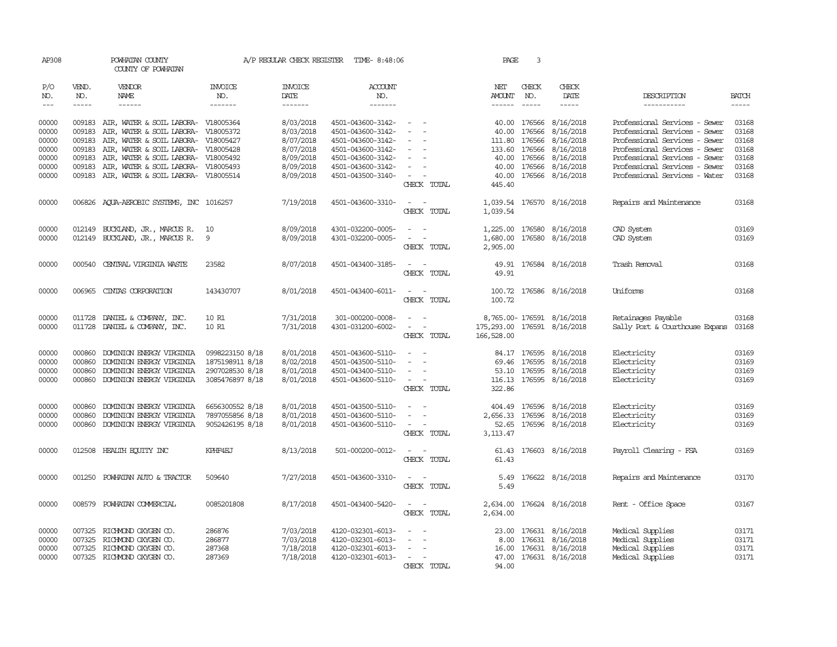| AP308                                        |                               | POWHATAN COUNTY<br>COUNTY OF POWHATAN                                             |                                    |                        | A/P REGULAR CHECK REGISTER TIME-8:48:06 |                                                                                                              | PAGE                                      | 3                             |                                     |                                                                |                             |
|----------------------------------------------|-------------------------------|-----------------------------------------------------------------------------------|------------------------------------|------------------------|-----------------------------------------|--------------------------------------------------------------------------------------------------------------|-------------------------------------------|-------------------------------|-------------------------------------|----------------------------------------------------------------|-----------------------------|
| P/O<br>NO.<br>$\!\!\!\!\!-\!-\!$ $\!\!\!-\!$ | VEND.<br>NO.<br>$\frac{1}{2}$ | <b>VENDOR</b><br>NAME<br>$- - - - - -$                                            | <b>INVOICE</b><br>NO.<br>-------   | <b>INVOICE</b><br>DATE | ACCOUNT<br>NO.<br>$- - - - - - -$       |                                                                                                              | NET<br>AMOUNT<br>$- - - - - -$            | CHECK<br>NO.<br>$\frac{1}{2}$ | CHECK<br>DATE<br>$- - - - -$        | DESCRIPTION                                                    | <b>BATCH</b><br>$- - - - -$ |
| 00000<br>00000                               | 009183                        | 009183 AIR, WATER & SOIL LABORA- V18005364<br>AIR, WATER & SOIL LABORA- V18005372 |                                    | 8/03/2018<br>8/03/2018 | 4501-043600-3142-<br>4501-043600-3142-  | $\sim$                                                                                                       | 40.00                                     | 40.00 176566<br>176566        | 8/16/2018<br>8/16/2018              | Professional Services - Sewer<br>Professional Services - Sewer | 03168<br>03168              |
| 00000<br>00000                               | 009183                        | 009183 AIR, WATER & SOIL LABORA- V18005427<br>AIR, WATER & SOIL LABORA- V18005428 |                                    | 8/07/2018<br>8/07/2018 | 4501-043600-3142-<br>4501-043600-3142-  |                                                                                                              | 133.60                                    | 111.80 176566<br>176566       | 8/16/2018<br>8/16/2018              | Professional Services - Sewer<br>Professional Services - Sewer | 03168<br>03168              |
| 00000                                        | 009183                        | AIR, WATER & SOIL LABORA- V18005492                                               |                                    | 8/09/2018              | 4501-043600-3142-                       | $\sim$                                                                                                       |                                           | 40.00 176566                  | 8/16/2018                           | Professional Services - Sewer                                  | 03168                       |
| 00000                                        | 009183                        | AIR, WATER & SOIL LABORA- V18005493                                               |                                    | 8/09/2018              | 4501-043600-3142-                       | $\overline{\phantom{a}}$                                                                                     | 40.00                                     | 176566                        | 8/16/2018                           | Professional Services - Sewer                                  | 03168                       |
| 00000                                        |                               | 009183 AIR, WATER & SOIL LABORA- V18005514                                        |                                    | 8/09/2018              | 4501-043500-3140-                       | $\sim$<br>$\overline{\phantom{a}}$<br>CHECK TOTAL                                                            | 445.40                                    |                               | 40.00 176566 8/16/2018              | Professional Services - Water                                  | 03168                       |
| 00000                                        |                               | 006826 AQUA-AEROBIC SYSTEMS, INC 1016257                                          |                                    | 7/19/2018              | 4501-043600-3310-                       | $\sim$ 100 $\sim$<br>CHECK TOTAL                                                                             | 1,039.54                                  |                               | 1,039.54 176570 8/16/2018           | Repairs and Maintenance                                        | 03168                       |
| 00000                                        |                               | 012149 BUCKLAND, JR., MARCUS R.                                                   | 10                                 | 8/09/2018              | 4301-032200-0005-                       |                                                                                                              | 1,225.00                                  |                               | 176580 8/16/2018                    | CAD System                                                     | 03169                       |
| 00000                                        |                               | 012149 BUCKLAND, JR., MARCUS R.                                                   | 9                                  | 8/09/2018              | 4301-032200-0005-                       | CHECK TOTAL                                                                                                  | 2,905.00                                  |                               | 1,680.00 176580 8/16/2018           | CAD System                                                     | 03169                       |
| 00000                                        | 000540                        | CENTRAL VIRGINIA WASTE                                                            | 23582                              | 8/07/2018              | 4501-043400-3185-                       | $\overline{\phantom{a}}$<br>CHECK TOTAL                                                                      | 49.91                                     |                               | 49.91 176584 8/16/2018              | Trash Removal                                                  | 03168                       |
| 00000                                        | 006965                        | CINIAS CORPORATION                                                                | 143430707                          | 8/01/2018              | 4501-043400-6011-                       | $\sim$ $ \sim$<br>CHECK TOTAL                                                                                | 100.72<br>100.72                          |                               | 176586 8/16/2018                    | Uniforms                                                       | 03168                       |
| 00000<br>00000                               |                               | 011728 DANIEL & COMPANY, INC.<br>011728 DANIEL & COMPANY, INC.                    | 10 R1<br>10 R1                     | 7/31/2018<br>7/31/2018 | 301-000200-0008-<br>4301-031200-6002-   | $\omega_{\rm{max}}$ and $\omega_{\rm{max}}$<br>CHECK TOTAL                                                   | 175,293.00 176591 8/16/2018<br>166,528.00 |                               | 8,765.00-176591 8/16/2018           | Retainages Payable<br>Sally Port & Courthouse Expans           | 03168<br>03168              |
| 00000                                        | 000860                        | DOMINION ENERGY VIRGINIA                                                          | 0998223150 8/18                    | 8/01/2018              | 4501-043600-5110-                       |                                                                                                              |                                           | 84.17 176595                  | 8/16/2018                           | Electricity                                                    | 03169                       |
| 00000                                        | 000860                        | DOMINION ENERGY VIRGINIA                                                          | 1875198911 8/18                    | 8/02/2018              | 4501-043500-5110-                       |                                                                                                              |                                           | 69.46 176595                  | 8/16/2018                           | Electricity                                                    | 03169                       |
| 00000                                        | 000860                        | DOMINION ENERGY VIRGINIA                                                          | 2907028530 8/18                    | 8/01/2018              | 4501-043400-5110-                       | $\sim$<br>$\overline{\phantom{a}}$<br>$\sim$                                                                 |                                           | 53.10 176595                  | 8/16/2018                           | Electricity                                                    | 03169<br>03169              |
| 00000                                        | 000860                        | DOMINION ENERGY VIRGINIA                                                          | 3085476897 8/18                    | 8/01/2018              | 4501-043600-5110-                       | CHECK TOTAL                                                                                                  | 322.86                                    |                               | 116.13 176595 8/16/2018             | Electricity                                                    |                             |
| 00000                                        | 000860                        | DOMINION ENERGY VIRGINIA                                                          | 6656300552 8/18                    | 8/01/2018              | 4501-043500-5110-                       | $\frac{1}{2} \left( \frac{1}{2} \right) \left( \frac{1}{2} \right) = \frac{1}{2} \left( \frac{1}{2} \right)$ |                                           | 404.49 176596                 | 8/16/2018                           | Electricity                                                    | 03169                       |
| 00000<br>00000                               | 000860                        | DOMINION ENERGY VIRGINIA<br>000860 DOMINION ENERGY VIRGINIA                       | 7897055856 8/18<br>9052426195 8/18 | 8/01/2018<br>8/01/2018 | 4501-043600-5110-<br>4501-043600-5110-  | $\sim$<br>$\sim$ $-$                                                                                         | 2,656.33 176596                           |                               | 8/16/2018<br>52.65 176596 8/16/2018 | Electricity<br>Electricity                                     | 03169<br>03169              |
|                                              |                               |                                                                                   |                                    |                        |                                         | CHECK TOTAL                                                                                                  | 3,113.47                                  |                               |                                     |                                                                |                             |
| 00000                                        |                               | 012508 HEALTH ECUTTY INC                                                          | KPHF4EJ                            | 8/13/2018              | 501-000200-0012-                        | $\sim$<br>CHECK TOTAL                                                                                        | 61.43                                     |                               | 61.43 176603 8/16/2018              | Payroll Clearing - FSA                                         | 03169                       |
| 00000                                        | 001250                        | POWHATAN AUTO & TRACTOR                                                           | 509640                             | 7/27/2018              | 4501-043600-3310-                       | $\overline{a}$<br>$\sim$ $\sim$<br>CHECK TOTAL                                                               | 5.49<br>5.49                              |                               | 176622 8/16/2018                    | Repairs and Maintenance                                        | 03170                       |
| 00000                                        |                               | 008579 POWHATAN COMMERCIAL                                                        | 0085201808                         | 8/17/2018              | 4501-043400-5420-                       | $\sim$<br>$\sim$<br>CHECK TOTAL                                                                              | 2,634.00                                  |                               | 2,634.00 176624 8/16/2018           | Rent - Office Space                                            | 03167                       |
| 00000                                        |                               | 007325 RICHMOND OXYGEN CO.                                                        | 286876                             | 7/03/2018              | 4120-032301-6013-                       | $\sim$<br>$\overline{\phantom{a}}$                                                                           |                                           |                               | 23.00 176631 8/16/2018              | Medical Supplies                                               | 03171                       |
| 00000                                        | 007325                        | RICHMOND OXYGEN CO.                                                               | 286877                             | 7/03/2018              | 4120-032301-6013-                       |                                                                                                              | 8.00                                      | 176631                        | 8/16/2018                           | Medical Supplies                                               | 03171                       |
| 00000                                        | 007325                        | RICHMOND OXYGEN CO.                                                               | 287368                             | 7/18/2018              | 4120-032301-6013-                       |                                                                                                              |                                           |                               | 16.00 176631 8/16/2018              | Medical Supplies                                               | 03171                       |
| 00000                                        |                               | 007325 RICHMOND OXYGEN CO.                                                        | 287369                             | 7/18/2018              | 4120-032301-6013-                       | $\sim$<br>CHECK TOTAL                                                                                        | 94.00                                     |                               | 47.00 176631 8/16/2018              | Medical Supplies                                               | 03171                       |
|                                              |                               |                                                                                   |                                    |                        |                                         |                                                                                                              |                                           |                               |                                     |                                                                |                             |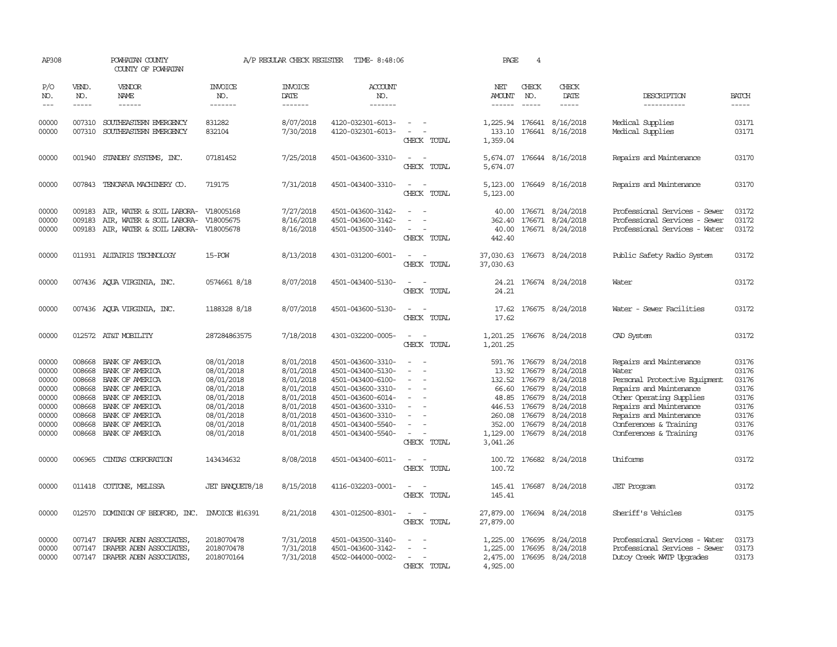| AP308                                                                         |                                                                              | POWHATAN COUNTY<br>COUNTY OF POWHATAN                                                                                                                                          |                                                                                                                            | A/P REGULAR CHECK REGISTER                                                                                        | TIME- 8:48:06                                                                                                                                                                             |                                                   | PAGE                                                               | 4                                                                                         |                                                                                                                                   |                                                                                                                                                                                                                                    |                                                                               |
|-------------------------------------------------------------------------------|------------------------------------------------------------------------------|--------------------------------------------------------------------------------------------------------------------------------------------------------------------------------|----------------------------------------------------------------------------------------------------------------------------|-------------------------------------------------------------------------------------------------------------------|-------------------------------------------------------------------------------------------------------------------------------------------------------------------------------------------|---------------------------------------------------|--------------------------------------------------------------------|-------------------------------------------------------------------------------------------|-----------------------------------------------------------------------------------------------------------------------------------|------------------------------------------------------------------------------------------------------------------------------------------------------------------------------------------------------------------------------------|-------------------------------------------------------------------------------|
| P/O<br>NO.<br>$- - -$                                                         | VEND.<br>NO.<br>$- - - - -$                                                  | VENDOR<br>NAME<br>------                                                                                                                                                       | <b>INVOICE</b><br>NO.<br>-------                                                                                           | <b>INVOICE</b><br>DATE<br>--------                                                                                | <b>ACCOUNT</b><br>NO.<br>-------                                                                                                                                                          |                                                   | NET<br>AMOUNT<br>$- - - - - -$                                     | CHECK<br>NO.<br>$\frac{1}{2}$                                                             | CHECK<br>DATE<br>$- - - - -$                                                                                                      | DESCRIPTION<br>-----------                                                                                                                                                                                                         | <b>BATCH</b><br>$\frac{1}{2}$                                                 |
|                                                                               |                                                                              |                                                                                                                                                                                |                                                                                                                            |                                                                                                                   |                                                                                                                                                                                           |                                                   |                                                                    |                                                                                           |                                                                                                                                   |                                                                                                                                                                                                                                    |                                                                               |
| 00000<br>00000                                                                | 007310<br>007310                                                             | SOUTHEASTERN EMERGENCY<br>SOUTHEASTERN EMERGENCY                                                                                                                               | 831282<br>832104                                                                                                           | 8/07/2018<br>7/30/2018                                                                                            | 4120-032301-6013-<br>4120-032301-6013-                                                                                                                                                    | $\overline{\phantom{a}}$<br>CHECK TOTAL           | 133.10<br>1,359.04                                                 |                                                                                           | 1,225.94 176641 8/16/2018<br>176641 8/16/2018                                                                                     | Medical Supplies<br>Medical Supplies                                                                                                                                                                                               | 03171<br>03171                                                                |
| 00000                                                                         |                                                                              | 001940 STANDBY SYSTEMS, INC.                                                                                                                                                   | 07181452                                                                                                                   | 7/25/2018                                                                                                         | 4501-043600-3310-                                                                                                                                                                         | CHECK TOTAL                                       | 5,674.07<br>5,674.07                                               |                                                                                           | 176644 8/16/2018                                                                                                                  | Repairs and Maintenance                                                                                                                                                                                                            | 03170                                                                         |
| 00000                                                                         | 007843                                                                       | TENCARVA MACHINERY CO.                                                                                                                                                         | 719175                                                                                                                     | 7/31/2018                                                                                                         | 4501-043400-3310-                                                                                                                                                                         | $\overline{\phantom{a}}$<br>CHECK TOTAL           | 5,123.00<br>5,123.00                                               |                                                                                           | 176649 8/16/2018                                                                                                                  | Repairs and Maintenance                                                                                                                                                                                                            | 03170                                                                         |
| 00000<br>00000<br>00000                                                       | 009183<br>009183                                                             | AIR, WATER & SOIL LABORA-<br>AIR, WATER & SOIL LABORA-<br>009183 AIR, WATER & SOIL LABORA- V18005678                                                                           | V18005168<br>V18005675                                                                                                     | 7/27/2018<br>8/16/2018<br>8/16/2018                                                                               | 4501-043600-3142-<br>4501-043600-3142-<br>4501-043500-3140-                                                                                                                               | $\sim$<br>CHECK TOTAL                             | 40.00<br>362.40<br>40.00<br>442.40                                 |                                                                                           | 176671 8/24/2018<br>176671 8/24/2018<br>176671 8/24/2018                                                                          | Professional Services - Sewer<br>Professional Services - Sewer<br>Professional Services - Water                                                                                                                                    | 03172<br>03172<br>03172                                                       |
| 00000                                                                         |                                                                              | 011931 ALTAIRIS TECHNOLOGY                                                                                                                                                     | 15-POW                                                                                                                     | 8/13/2018                                                                                                         | 4301-031200-6001-                                                                                                                                                                         | CHECK TOTAL                                       | 37,030.63<br>37,030.63                                             |                                                                                           | 176673 8/24/2018                                                                                                                  | Public Safety Radio System                                                                                                                                                                                                         | 03172                                                                         |
| 00000                                                                         |                                                                              | 007436 AQUA VIRGINIA, INC.                                                                                                                                                     | 0574661 8/18                                                                                                               | 8/07/2018                                                                                                         | 4501-043400-5130-                                                                                                                                                                         | CHECK TOTAL                                       | 24.21<br>24.21                                                     |                                                                                           | 176674 8/24/2018                                                                                                                  | Water                                                                                                                                                                                                                              | 03172                                                                         |
| 00000                                                                         |                                                                              | 007436 AQUA VIRGINIA, INC.                                                                                                                                                     | 1188328 8/18                                                                                                               | 8/07/2018                                                                                                         | 4501-043600-5130-                                                                                                                                                                         | CHECK TOTAL                                       | 17.62<br>17.62                                                     |                                                                                           | 176675 8/24/2018                                                                                                                  | Water - Sewer Facilities                                                                                                                                                                                                           | 03172                                                                         |
| 00000                                                                         |                                                                              | 012572 AT&T MOBILITY                                                                                                                                                           | 287284863575                                                                                                               | 7/18/2018                                                                                                         | 4301-032200-0005-                                                                                                                                                                         | CHECK TOTAL                                       | 1,201.25                                                           |                                                                                           | 1,201.25 176676 8/24/2018                                                                                                         | CAD System                                                                                                                                                                                                                         | 03172                                                                         |
| 00000<br>00000<br>00000<br>00000<br>00000<br>00000<br>00000<br>00000<br>00000 | 008668<br>008668<br>008668<br>008668<br>008668<br>008668<br>008668<br>008668 | BANK OF AMERICA<br>BANK OF AMERICA<br>BANK OF AMERICA<br>BANK OF AMERICA<br>BANK OF AMERICA<br>BANK OF AMERICA<br>BANK OF AMERICA<br>BANK OF AMERICA<br>008668 BANK OF AMERICA | 08/01/2018<br>08/01/2018<br>08/01/2018<br>08/01/2018<br>08/01/2018<br>08/01/2018<br>08/01/2018<br>08/01/2018<br>08/01/2018 | 8/01/2018<br>8/01/2018<br>8/01/2018<br>8/01/2018<br>8/01/2018<br>8/01/2018<br>8/01/2018<br>8/01/2018<br>8/01/2018 | 4501-043600-3310-<br>4501-043400-5130-<br>4501-043400-6100-<br>4501-043600-3310-<br>4501-043600-6014-<br>4501-043600-3310-<br>4501-043600-3310-<br>4501-043400-5540-<br>4501-043400-5540- | $\overline{\phantom{a}}$<br>$\sim$<br>CHECK TOTAL | 132.52<br>66.60<br>48.85<br>446.53<br>260.08<br>352.00<br>3,041.26 | 591.76 176679<br>13.92 176679<br>176679<br>176679<br>176679<br>176679<br>176679<br>176679 | 8/24/2018<br>8/24/2018<br>8/24/2018<br>8/24/2018<br>8/24/2018<br>8/24/2018<br>8/24/2018<br>8/24/2018<br>1,129.00 176679 8/24/2018 | Repairs and Maintenance<br>Water<br>Personal Protective Equipment<br>Repairs and Maintenance<br>Other Operating Supplies<br>Repairs and Maintenance<br>Repairs and Maintenance<br>Conferences & Training<br>Conferences & Training | 03176<br>03176<br>03176<br>03176<br>03176<br>03176<br>03176<br>03176<br>03176 |
| 00000                                                                         | 006965                                                                       | CINIAS CORPORATION                                                                                                                                                             | 143434632                                                                                                                  | 8/08/2018                                                                                                         | 4501-043400-6011-                                                                                                                                                                         | $\overline{\phantom{a}}$<br>CHECK TOTAL           | 100.72<br>100.72                                                   |                                                                                           | 176682 8/24/2018                                                                                                                  | Uniforms                                                                                                                                                                                                                           | 03172                                                                         |
| 00000                                                                         |                                                                              | 011418 COTTONE, MELISSA                                                                                                                                                        | JET BANQUET8/18                                                                                                            | 8/15/2018                                                                                                         | 4116-032203-0001-                                                                                                                                                                         | CHECK TOTAL                                       | 145.41<br>145.41                                                   |                                                                                           | 176687 8/24/2018                                                                                                                  | <b>JET</b> Program                                                                                                                                                                                                                 | 03172                                                                         |
| 00000                                                                         | 012570                                                                       | DOMINION OF BEDFORD, INC.                                                                                                                                                      | <b>INVOICE #16391</b>                                                                                                      | 8/21/2018                                                                                                         | 4301-012500-8301-                                                                                                                                                                         | $\sim$<br>CHECK TOTAL                             | 27,879.00<br>27,879.00                                             |                                                                                           | 176694 8/24/2018                                                                                                                  | Sheriff's Vehicles                                                                                                                                                                                                                 | 03175                                                                         |
| 00000<br>00000<br>00000                                                       | 007147<br>007147                                                             | DRAPER ADEN ASSOCIATES,<br>DRAPER ADEN ASSOCIATES,<br>007147 DRAPER ADEN ASSOCIATES.                                                                                           | 2018070478<br>2018070478<br>2018070164                                                                                     | 7/31/2018<br>7/31/2018<br>7/31/2018                                                                               | 4501-043500-3140-<br>4501-043600-3142-<br>4502-044000-0002-                                                                                                                               | CHECK TOTAL                                       | 1,225.00<br>1,225.00<br>4,925.00                                   | 176695<br>176695                                                                          | 8/24/2018<br>8/24/2018<br>2,475.00 176695 8/24/2018                                                                               | Professional Services - Water<br>Professional Services - Sewer<br>Dutoy Creek WITP Upqrades                                                                                                                                        | 03173<br>03173<br>03173                                                       |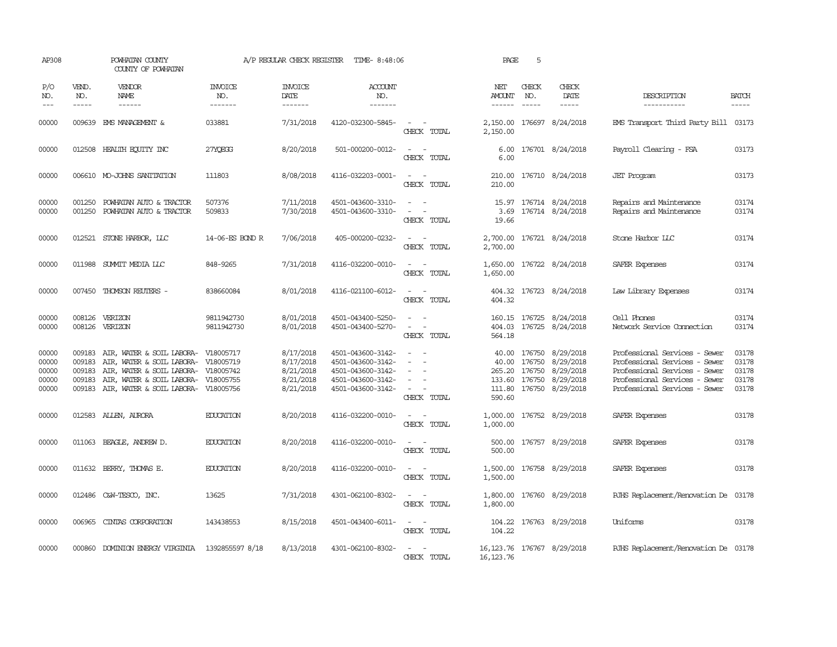| AP308                                     |                               | POWHATAN COUNTY<br>COUNTY OF POWHATAN                                                                                                                                                                         |                           | A/P REGULAR CHECK REGISTER                                    | TIME- 8:48:06                                                                                         |                                                                                                                             | PAGE                                      | 5                                      |                                                                             |                                                                                                                                                                   |                                           |
|-------------------------------------------|-------------------------------|---------------------------------------------------------------------------------------------------------------------------------------------------------------------------------------------------------------|---------------------------|---------------------------------------------------------------|-------------------------------------------------------------------------------------------------------|-----------------------------------------------------------------------------------------------------------------------------|-------------------------------------------|----------------------------------------|-----------------------------------------------------------------------------|-------------------------------------------------------------------------------------------------------------------------------------------------------------------|-------------------------------------------|
| P/O<br>NO.<br>$ -$                        | VEND.<br>NO.<br>$\frac{1}{2}$ | VENDOR<br><b>NAME</b>                                                                                                                                                                                         | INVOICE<br>NO.<br>------- | <b>INVOICE</b><br>DATE<br>-------                             | <b>ACCOUNT</b><br>NO.<br>-------                                                                      |                                                                                                                             | NET<br>AMOUNT<br>$- - - - - -$            | CHECK<br>NO.                           | CHECK<br>DATE<br>$- - - - -$                                                | DESCRIPTION<br>-----------                                                                                                                                        | <b>BATCH</b><br>-----                     |
| 00000                                     | 009639                        | ENS MANAGEMENT &                                                                                                                                                                                              | 033881                    | 7/31/2018                                                     | 4120-032300-5845-                                                                                     | CHECK TOTAL                                                                                                                 | 2,150.00                                  |                                        | 2,150.00 176697 8/24/2018                                                   | EMS Transport Third Party Bill 03173                                                                                                                              |                                           |
| 00000                                     |                               | 012508 HEALTH ECUTTY INC                                                                                                                                                                                      | 27YOEGG                   | 8/20/2018                                                     | 501-000200-0012-                                                                                      | $\sim$<br>CHECK TOTAL                                                                                                       | 6.00<br>6.00                              |                                        | 176701 8/24/2018                                                            | Payroll Clearing - FSA                                                                                                                                            | 03173                                     |
| 00000                                     |                               | 006610 MO-JOHNS SANITATION                                                                                                                                                                                    | 111803                    | 8/08/2018                                                     | 4116-032203-0001-                                                                                     | $\overline{\phantom{a}}$<br>CHECK TOTAL                                                                                     | 210.00<br>210.00                          |                                        | 176710 8/24/2018                                                            | <b>JET</b> Program                                                                                                                                                | 03173                                     |
| 00000<br>00000                            | 001250<br>001250              | POWHATAN AUTO & TRACTOR<br>POWHATAN AUTO & TRACTOR                                                                                                                                                            | 507376<br>509833          | 7/11/2018<br>7/30/2018                                        | 4501-043600-3310-<br>4501-043600-3310-                                                                | $\sim$ $\sim$<br>$\equiv$<br>$\sim$<br>CHECK TOTAL                                                                          | 3.69<br>19.66                             |                                        | 15.97 176714 8/24/2018<br>176714 8/24/2018                                  | Repairs and Maintenance<br>Repairs and Maintenance                                                                                                                | 03174<br>03174                            |
| 00000                                     |                               | 012521 STONE HARBOR, LLC                                                                                                                                                                                      | 14-06-ES BOND R           | 7/06/2018                                                     | 405-000200-0232-                                                                                      | $\overline{\phantom{a}}$<br>$\sim$<br>CHECK TOTAL                                                                           | 2,700.00<br>2,700.00                      |                                        | 176721 8/24/2018                                                            | Stone Harbor LLC                                                                                                                                                  | 03174                                     |
| 00000                                     |                               | 011988 SUMMIT MEDIA LLC                                                                                                                                                                                       | 848-9265                  | 7/31/2018                                                     | 4116-032200-0010-                                                                                     | $\sim$<br>CHECK TOTAL                                                                                                       | 1,650.00<br>1,650.00                      |                                        | 176722 8/24/2018                                                            | SAFER Expenses                                                                                                                                                    | 03174                                     |
| 00000                                     | 007450                        | THOMSON REUTERS -                                                                                                                                                                                             | 838660084                 | 8/01/2018                                                     | 4116-021100-6012-                                                                                     | $\sim$ $ \sim$<br>CHECK TOTAL                                                                                               | 404.32<br>404.32                          |                                        | 176723 8/24/2018                                                            | Law Library Expenses                                                                                                                                              | 03174                                     |
| 00000<br>00000                            | 008126<br>008126              | VERIZON<br>VERIZON                                                                                                                                                                                            | 9811942730<br>9811942730  | 8/01/2018<br>8/01/2018                                        | 4501-043400-5250-<br>4501-043400-5270-                                                                | $\overline{\phantom{a}}$<br>CHECK TOTAL                                                                                     | 404.03<br>564.18                          |                                        | 160.15 176725 8/24/2018<br>176725 8/24/2018                                 | Cell Phones<br>Network Service Connection                                                                                                                         | 03174<br>03174                            |
| 00000<br>00000<br>00000<br>00000<br>00000 | 009183<br>009183<br>009183    | 009183 AIR, WATER & SOIL LABORA- V18005717<br>AIR, WATER & SOIL LABORA- V18005719<br>AIR, WATER & SOIL LABORA- V18005742<br>AIR, WATER & SOIL LABORA- V18005755<br>009183 AIR, WATER & SOIL LABORA- V18005756 |                           | 8/17/2018<br>8/17/2018<br>8/21/2018<br>8/21/2018<br>8/21/2018 | 4501-043600-3142-<br>4501-043600-3142-<br>4501-043600-3142-<br>4501-043600-3142-<br>4501-043600-3142- | $\sim$<br>$\sim$<br>CHECK TOTAL                                                                                             | 265.20<br>133.60 176750<br>590.60         | 40.00 176750<br>40.00 176750<br>176750 | 8/29/2018<br>8/29/2018<br>8/29/2018<br>8/29/2018<br>111.80 176750 8/29/2018 | Professional Services - Sewer<br>Professional Services - Sewer<br>Professional Services - Sewer<br>Professional Services - Sewer<br>Professional Services - Sewer | 03178<br>03178<br>03178<br>03178<br>03178 |
| 00000                                     |                               | 012583 ALLEN, AURORA                                                                                                                                                                                          | <b>EDUCATION</b>          | 8/20/2018                                                     | 4116-032200-0010-                                                                                     | $\sim$<br>$\overline{\phantom{a}}$<br>CHECK TOTAL                                                                           | 1,000.00<br>1,000.00                      |                                        | 176752 8/29/2018                                                            | SAFER Expenses                                                                                                                                                    | 03178                                     |
| 00000                                     | 011063                        | BEAGLE, ANDREW D.                                                                                                                                                                                             | <b>EDUCATION</b>          | 8/20/2018                                                     | 4116-032200-0010-                                                                                     | $\frac{1}{2} \left( \frac{1}{2} \right) \left( \frac{1}{2} \right) = \frac{1}{2} \left( \frac{1}{2} \right)$<br>CHECK TOTAL | 500.00<br>500.00                          |                                        | 176757 8/29/2018                                                            | SAFER Expenses                                                                                                                                                    | 03178                                     |
| 00000                                     |                               | 011632 BERRY, THOMAS E.                                                                                                                                                                                       | <b>EDUCATION</b>          | 8/20/2018                                                     | 4116-032200-0010-                                                                                     | $\overline{\phantom{a}}$<br>$\sim$<br>CHECK TOTAL                                                                           | 1,500.00<br>1,500.00                      |                                        | 176758 8/29/2018                                                            | SAFER Expenses                                                                                                                                                    | 03178                                     |
| 00000                                     |                               | 012486 C&W-TESCO, INC.                                                                                                                                                                                        | 13625                     | 7/31/2018                                                     | 4301-062100-8302-                                                                                     | $ -$<br>CHECK TOTAL                                                                                                         | 1,800.00<br>1,800.00                      |                                        | 176760 8/29/2018                                                            | RJHS Replacement/Renovation De 03178                                                                                                                              |                                           |
| 00000                                     | 006965                        | CINIAS CORPORATION                                                                                                                                                                                            | 143438553                 | 8/15/2018                                                     | 4501-043400-6011-                                                                                     | $\sim$ $\sim$<br>CHECK TOTAL                                                                                                | 104.22                                    |                                        | 104.22 176763 8/29/2018                                                     | Uniforms                                                                                                                                                          | 03178                                     |
| 00000                                     | 000860                        | DOMINION ENERGY VIRGINIA 1392855597 8/18                                                                                                                                                                      |                           | 8/13/2018                                                     | 4301-062100-8302-                                                                                     | CHECK TOTAL                                                                                                                 | 16, 123.76 176767 8/29/2018<br>16, 123.76 |                                        |                                                                             | RJHS Replacement/Renovation De 03178                                                                                                                              |                                           |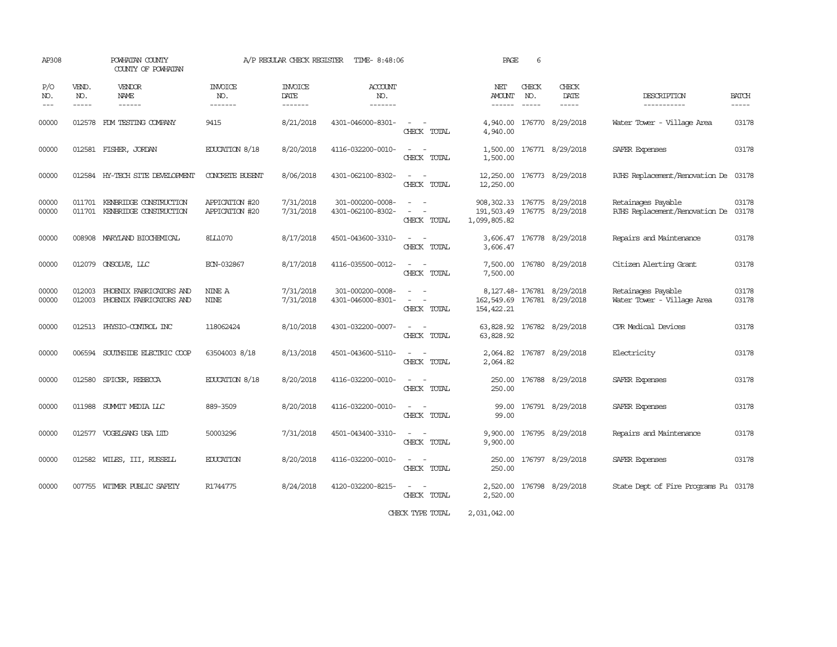| AP308               | POWHATAN COUNTY<br>COUNTY OF POWHATAN |                                                                | A/P REGULAR CHECK REGISTER       | TIME- 8:48:06                      | PAGE                                  | 6                                                                                                                                          |                                                                             |                             |                            |                                                      |                       |
|---------------------|---------------------------------------|----------------------------------------------------------------|----------------------------------|------------------------------------|---------------------------------------|--------------------------------------------------------------------------------------------------------------------------------------------|-----------------------------------------------------------------------------|-----------------------------|----------------------------|------------------------------------------------------|-----------------------|
| P/O<br>NO.<br>$---$ | VEND.<br>NO.<br>$- - - - -$           | VENDOR<br>NAME<br>------                                       | <b>INVOICE</b><br>NO.<br>------- | <b>INVOICE</b><br>DATE<br>-------- | ACCOUNT<br>NO.<br>-------             |                                                                                                                                            | NET<br>AMOUNT<br>$- - - - - -$                                              | CHECK<br>NO.<br>$- - - - -$ | CHECK<br>DATE<br>-----     | DESCRIPTION<br>-----------                           | <b>BATCH</b><br>----- |
| 00000               | 012578                                | FIM TESTING COMPANY                                            | 9415                             | 8/21/2018                          | 4301-046000-8301-                     | $\omega_{\rm{max}}$ and $\omega_{\rm{max}}$<br>CHECK TOTAL                                                                                 | 4,940.00<br>4,940.00                                                        |                             | 176770 8/29/2018           | Water Tower - Village Area                           | 03178                 |
| 00000               |                                       | 012581 FISHER, JORDAN                                          | EDUCATION 8/18                   | 8/20/2018                          | 4116-032200-0010-                     | $\sim$ 100 $\sim$<br>CHECK TOTAL                                                                                                           | 1,500.00                                                                    |                             | 1,500.00 176771 8/29/2018  | SAFER Expenses                                       | 03178                 |
| 00000               |                                       | 012584 HY-TECH SITE DEVELOPMENT                                | CONCRETE BUSENT                  | 8/06/2018                          | 4301-062100-8302-                     | $\sim$ 10 $\sim$ 10 $\sim$<br>CHECK TOTAL                                                                                                  | 12,250.00 176773 8/29/2018<br>12,250.00                                     |                             |                            | RJHS Replacement/Renovation De                       | 03178                 |
| 00000<br>00000      |                                       | 011701 KENBRIDGE CONSTRUCTION<br>011701 KENBRIDGE CONSTRUCTION | APPICATION #20<br>APPICATION #20 | 7/31/2018<br>7/31/2018             | 301-000200-0008-<br>4301-062100-8302- | $\sim$ $ -$<br>$\frac{1}{2} \left( \frac{1}{2} \right) \left( \frac{1}{2} \right) = \frac{1}{2} \left( \frac{1}{2} \right)$<br>CHECK TOTAL | 908, 302.33 176775 8/29/2018<br>191,503.49 176775 8/29/2018<br>1,099,805.82 |                             |                            | Retainages Payable<br>RJHS Replacement/Renovation De | 03178<br>03178        |
| 00000               |                                       | 008908 MARYLAND BIOCHEMICAL                                    | 8LL1070                          | 8/17/2018                          | 4501-043600-3310-                     | $\sim$ 100 $\sim$<br>CHECK TOTAL                                                                                                           | 3,606.47                                                                    |                             | 3,606.47 176778 8/29/2018  | Repairs and Maintenance                              | 03178                 |
| 00000               |                                       | 012079 CNSOLVE, LLC                                            | ECN-032867                       | 8/17/2018                          | 4116-035500-0012-                     | $\equiv$<br>CHECK TOTAL                                                                                                                    | 7,500.00                                                                    |                             | 7,500.00 176780 8/29/2018  | Citizen Alerting Grant                               | 03178                 |
| 00000<br>00000      | 012003<br>012003                      | PHOENIX FABRICATORS AND<br>PHOENIX FABRICATORS AND             | NINE A<br><b>NINE</b>            | 7/31/2018<br>7/31/2018             | 301-000200-0008-<br>4301-046000-8301- | $\frac{1}{2} \left( \frac{1}{2} \right) \left( \frac{1}{2} \right) = \frac{1}{2} \left( \frac{1}{2} \right)$<br>$\sim$ $ -$<br>CHECK TOTAL | 162,549.69 176781 8/29/2018<br>154, 422, 21                                 |                             | 8, 127.48-176781 8/29/2018 | Retainages Payable<br>Water Tower - Village Area     | 03178<br>03178        |
| 00000               |                                       | 012513 PHYSIO-CONTROL INC                                      | 118062424                        | 8/10/2018                          | 4301-032200-0007-                     | $\overline{\phantom{a}}$<br>CHECK TOTAL                                                                                                    | 63,828.92                                                                   |                             | 63,828.92 176782 8/29/2018 | CPR Medical Devices                                  | 03178                 |
| 00000               | 006594                                | SOUTHSIDE ELECTRIC COOP                                        | 63504003 8/18                    | 8/13/2018                          | 4501-043600-5110-                     | $\sim$ $ -$<br>CHECK TOTAL                                                                                                                 | 2,064.82                                                                    |                             | 2,064.82 176787 8/29/2018  | Electricity                                          | 03178                 |
| 00000               |                                       | 012580 SPICER, REBECCA                                         | EDUCATION 8/18                   | 8/20/2018                          | 4116-032200-0010-                     | $\sim$ $ -$<br>CHECK TOTAL                                                                                                                 | 250.00<br>250.00                                                            |                             | 176788 8/29/2018           | SAFER Expenses                                       | 03178                 |
| 00000               |                                       | 011988 SUMMIT MEDIA LLC                                        | 889-3509                         | 8/20/2018                          | 4116-032200-0010-                     | $\sim$ 100 $\sim$<br>CHECK TOTAL                                                                                                           | 99.00<br>99.00                                                              |                             | 176791 8/29/2018           | SAFER Expenses                                       | 03178                 |
| 00000               |                                       | 012577 VOGELSANG USA LTD                                       | 50003296                         | 7/31/2018                          | 4501-043400-3310-                     | $\sim$ $ -$<br>CHECK TOTAL                                                                                                                 | 9,900.00                                                                    |                             | 9,900.00 176795 8/29/2018  | Repairs and Maintenance                              | 03178                 |
| 00000               |                                       | 012582 WILES, III, RUSSELL                                     | <b>EDUCATION</b>                 | 8/20/2018                          | 4116-032200-0010-                     | $\sim$ 10 $\sim$ 10 $\sim$<br>CHECK TOTAL                                                                                                  | 250,00                                                                      |                             | 250.00 176797 8/29/2018    | SAFER Expenses                                       | 03178                 |
| 00000               |                                       | 007755 WITMER PUBLIC SAFETY                                    | R1744775                         | 8/24/2018                          | 4120-032200-8215-                     | $\sim$<br>CHECK TOTAL                                                                                                                      | 2,520.00<br>2,520.00                                                        |                             | 176798 8/29/2018           | State Dept of Fire Programs Fu 03178                 |                       |
|                     |                                       |                                                                |                                  |                                    |                                       | CHECK TYPE TOTAL                                                                                                                           | 2,031,042.00                                                                |                             |                            |                                                      |                       |